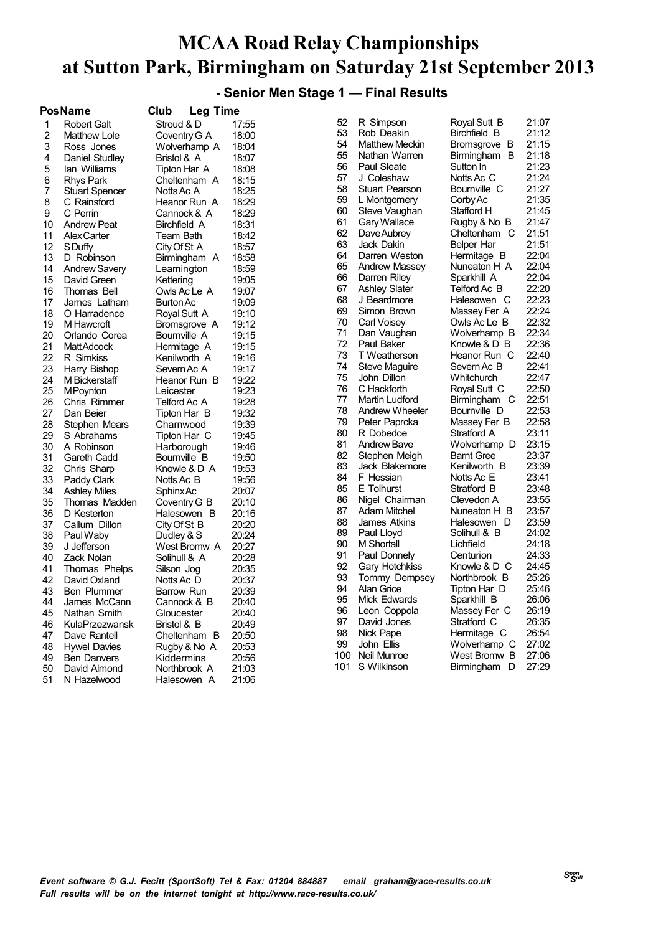#### **- Senior Men Stage 1 — Final Results**

|    | <b>PosName</b>        | Club                        | <b>Leg Time</b> |       |     |                       |                   |       |
|----|-----------------------|-----------------------------|-----------------|-------|-----|-----------------------|-------------------|-------|
| 1  | <b>Robert Galt</b>    | Stroud & D                  |                 | 17:55 | 52  | R Simpson             | Royal Sutt B      | 21:07 |
| 2  | Matthew Lole          | Coventry G A                |                 | 18:00 | 53  | Rob Deakin            | Birchfield B      | 21:12 |
| 3  | Ross Jones            | Wolverhamp A                |                 | 18:04 | 54  | <b>Matthew Meckin</b> | Bromsgrove B      | 21:15 |
| 4  | Daniel Studley        | Bristol & A                 |                 | 18:07 | 55  | Nathan Warren         | Birmingham B      | 21:18 |
| 5  | lan Williams          | Tipton Har A                |                 | 18:08 | 56  | Paul Sleate           | Sutton In         | 21:23 |
| 6  | <b>Rhys Park</b>      | Cheltenham A                |                 | 18:15 | 57  | J Coleshaw            | Notts Ac C        | 21:24 |
| 7  | <b>Stuart Spencer</b> | Notts Ac A                  |                 | 18:25 | 58  | <b>Stuart Pearson</b> | Bournville C      | 21:27 |
| 8  | C Rainsford           | Heanor Run A                |                 | 18:29 | 59  | L Montgomery          | Corby Ac          | 21:35 |
| 9  | C Perrin              | Cannock & A                 |                 | 18:29 | 60  | Steve Vaughan         | Stafford H        | 21:45 |
| 10 | <b>Andrew Peat</b>    | Birchfield A                |                 | 18:31 | 61  | Gary Wallace          | Rugby & No B      | 21:47 |
| 11 | <b>AlexCarter</b>     | Team Bath                   |                 | 18:42 | 62  | Dave Aubrey           | Cheltenham C      | 21:51 |
| 12 | <b>SDuffy</b>         | City Of St A                |                 | 18:57 | 63  | Jack Dakin            | Belper Har        | 21:51 |
| 13 | D Robinson            | Birmingham A                |                 | 18:58 | 64  | Darren Weston         | Hermitage B       | 22:04 |
| 14 | <b>Andrew Savery</b>  | Leamington                  |                 | 18:59 | 65  | <b>Andrew Massey</b>  | Nuneaton H A      | 22:04 |
| 15 | David Green           | Kettering                   |                 | 19:05 | 66  | Darren Riley          | Sparkhill A       | 22:04 |
| 16 | Thomas Bell           | Owls Ac Le A                |                 | 19:07 | 67  | <b>Ashley Slater</b>  | Telford Ac B      | 22:20 |
| 17 | James Latham          | Burton Ac                   |                 | 19:09 | 68  | J Beardmore           | Halesowen C       | 22:23 |
| 18 | O Harradence          | Royal Sutt A                |                 | 19:10 | 69  | Simon Brown           | Massey Fer A      | 22:24 |
| 19 | M Hawcroft            | Bromsgrove A                |                 | 19:12 | 70  | Carl Voisey           | Owls Ac Le B      | 22:32 |
| 20 | Orlando Corea         | Bournville A                |                 | 19:15 | 71  | Dan Vaughan           | Wolverhamp B      | 22:34 |
| 21 | MattAdcock            | Hermitage A                 |                 | 19:15 | 72  | Paul Baker            | Knowle & D B      | 22:36 |
| 22 | R Simkiss             | Kenilworth A                |                 | 19:16 | 73  | T Weatherson          | Heanor Run C      | 22:40 |
| 23 | Harry Bishop          | Severn Ac A                 |                 | 19:17 | 74  | Steve Maguire         | Severn Ac B       | 22:41 |
| 24 | M Bickerstaff         | Heanor Run B                |                 | 19:22 | 75  | John Dillon           | Whitchurch        | 22:47 |
| 25 | <b>MPoynton</b>       | Leicester                   |                 | 19:23 | 76  | C Hackforth           | Royal Sutt C      | 22:50 |
| 26 | Chris Rimmer          | Telford Ac A                |                 | 19:28 | 77  | <b>Martin Ludford</b> | Birmingham C      | 22:51 |
| 27 | Dan Beier             | Tipton Har B                |                 | 19:32 | 78  | Andrew Wheeler        | Bournville D      | 22:53 |
| 28 | Stephen Mears         | Charnwood                   |                 | 19:39 | 79  | Peter Paprcka         | Massey Fer B      | 22:58 |
| 29 | S Abrahams            | Tipton Har C                |                 | 19:45 | 80  | R Dobedoe             | Stratford A       | 23:11 |
| 30 | A Robinson            | Harborough                  |                 | 19:46 | 81  | <b>Andrew Bave</b>    | Wolverhamp D      | 23:15 |
| 31 | Gareth Cadd           | Bournville B                |                 | 19:50 | 82  | Stephen Meigh         | <b>Barnt Gree</b> | 23:37 |
| 32 | Chris Sharp           | Knowle & D A                |                 | 19:53 | 83  | Jack Blakemore        | Kenilworth B      | 23:39 |
| 33 | Paddy Clark           | Notts Ac B                  |                 | 19:56 | 84  | F Hessian             | Notts Ac E        | 23:41 |
| 34 | <b>Ashley Miles</b>   | Sphinx Ac                   |                 | 20:07 | 85  | E Tolhurst            | Stratford B       | 23:48 |
| 35 | Thomas Madden         |                             |                 | 20:10 | 86  | Nigel Chairman        | Clevedon A        | 23:55 |
| 36 | D Kesterton           | Coventry G B<br>Halesowen B |                 | 20:16 | 87  | Adam Mitchel          | Nuneaton H B      | 23:57 |
| 37 | Callum Dillon         | City Of St B                |                 | 20:20 | 88  | James Atkins          | Halesowen D       | 23:59 |
| 38 | Paul Waby             | Dudley & S                  |                 | 20:24 | 89  | Paul Lloyd            | Solihull & B      | 24:02 |
| 39 | J Jefferson           | West Bromw A                |                 | 20:27 | 90  | <b>M</b> Shortall     | Lichfield         | 24:18 |
| 40 | Zack Nolan            | Solihull & A                |                 | 20:28 | 91  | Paul Donnely          | Centurion         | 24:33 |
| 41 | Thomas Phelps         | Silson Jog                  |                 | 20:35 | 92  | <b>Gary Hotchkiss</b> | Knowle & D C      | 24:45 |
| 42 | David Oxland          | Notts Ac D                  |                 | 20:37 | 93  | Tommy Dempsey         | Northbrook B      | 25:26 |
| 43 | <b>Ben Plummer</b>    | Barrow Run                  |                 | 20:39 | 94  | <b>Alan Grice</b>     | Tipton Har D      | 25:46 |
| 44 | James McCann          | Cannock & B                 |                 | 20:40 | 95  | <b>Mick Edwards</b>   | Sparkhill B       | 26:06 |
| 45 | Nathan Smith          | Gloucester                  |                 | 20:40 | 96  | Leon Coppola          | Massey Fer C      | 26:19 |
| 46 | <b>KulaPrzezwansk</b> | Bristol & B                 |                 | 20:49 | 97  | David Jones           | Stratford C       | 26:35 |
|    |                       |                             |                 |       | 98  | Nick Pape             | Hermitage C       | 26:54 |
| 47 | Dave Rantell          | Cheltenham B                |                 | 20:50 | 99  | John Ellis            | Wolverhamp C      | 27:02 |
| 48 | <b>Hywel Davies</b>   | Rugby & No A                |                 | 20:53 |     | 100 Neil Munroe       | West Bromw B      | 27:06 |
| 49 | Ben Danvers           | Kiddermins                  |                 | 20:56 | 101 | S Wilkinson           | Birmingham D      | 27:29 |
| 50 | David Almond          | Northbrook A                |                 | 21:03 |     |                       |                   |       |
| 51 | N Hazelwood           | Halesowen A                 |                 | 21:06 |     |                       |                   |       |
|    |                       |                             |                 |       |     |                       |                   |       |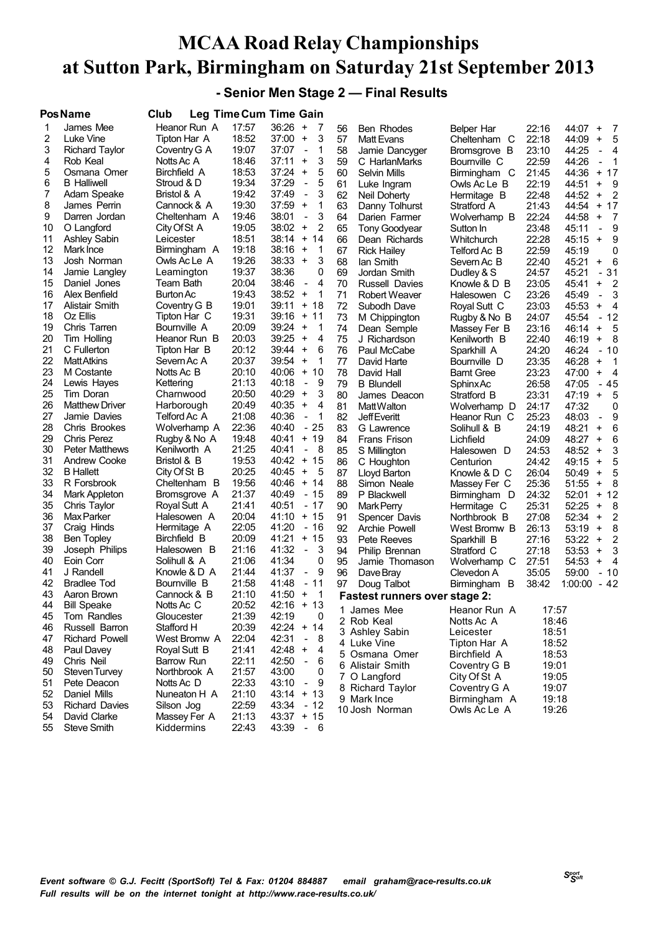**- Senior Men Stage 2 — Final Results**

|    | Pos Name                      | Club         | <b>Leg Time Cum Time Gain</b> |              |                                     |    |                                      |                   |       |                                                |
|----|-------------------------------|--------------|-------------------------------|--------------|-------------------------------------|----|--------------------------------------|-------------------|-------|------------------------------------------------|
| 1  | James Mee                     | Heanor Run A | 17:57                         | 36:26        | $^{+}$<br>7                         | 56 | <b>Ben Rhodes</b>                    | Belper Har        | 22:16 | 44:07<br>$\ddot{}$<br>- 7                      |
| 2  | Luke Vine                     | Tipton Har A | 18:52                         | 37:00        | 3<br>$\ddot{}$                      | 57 | <b>Matt Evans</b>                    | Cheltenham C      | 22:18 | 5<br>44:09<br>$\ddot{}$                        |
| 3  | <b>Richard Taylor</b>         | Coventry G A | 19:07                         | 37:07        | 1<br>$\overline{\phantom{a}}$       | 58 | Jamie Dancyger                       | Bromsgrove B      | 23:10 | 44:25<br>$\overline{4}$<br>$\frac{1}{2}$       |
| 4  | Rob Keal                      | Notts Ac A   | 18:46                         | 37:11        | $\ddot{}$<br>3                      | 59 | C HarlanMarks                        | Bournville C      | 22:59 | 44:26<br>1<br>$\qquad \qquad \blacksquare$     |
| 5  | Osmana Omer                   | Birchfield A | 18:53                         | 37:24        | 5<br>$\ddot{}$                      | 60 | Selvin Mills                         | Birmingham C      | 21:45 | 44:36<br>+ 17                                  |
| 6  | <b>B</b> Halliwell            | Stroud & D   | 19:34                         | 37:29        | 5<br>$\blacksquare$                 | 61 | Luke Ingram                          | Owls Ac Le B      | 22:19 | 9<br>44:51<br>$\ddot{}$                        |
| 7  | Adam Speake                   | Bristol & A  | 19:42                         | 37:49        | 3<br>$\blacksquare$                 | 62 | Neil Doherty                         | Hermitage B       | 22:48 | 44:52<br>$\overline{2}$<br>$\ddot{}$           |
| 8  | James Perrin                  | Cannock & A  | 19:30                         | 37:59        | 1<br>$\ddot{}$                      | 63 | Danny Tolhurst                       | Stratford A       | 21:43 | 44:54<br>$+ 17$                                |
| 9  | Darren Jordan                 | Cheltenham A | 19:46                         | 38:01        | 3<br>$\overline{a}$                 | 64 | Darien Farmer                        | Wolverhamp B      | 22:24 | 44:58<br>$\ddot{}$<br>-7                       |
| 10 | O Langford                    | City Of St A | 19:05                         | 38:02        | $\ddot{}$<br>2                      | 65 | <b>Tony Goodyear</b>                 | Sutton In         | 23:48 | 9<br>45:11<br>$\blacksquare$                   |
| 11 | <b>Ashley Sabin</b>           | Leicester    | 18:51                         | 38:14        | $\ddot{}$<br>14                     | 66 | Dean Richards                        | Whitchurch        | 22:28 | 9<br>45:15<br>$\ddot{}$                        |
| 12 | Mark Ince                     | Birmingham A | 19:18                         | 38:16        | 1<br>$\ddot{}$                      | 67 |                                      | Telford Ac B      | 22:59 | 45:19<br>0                                     |
| 13 | Josh Norman                   | Owls Ac Le A | 19:26                         | 38:33        | $\ddot{}$<br>3                      | 68 | <b>Rick Hailey</b>                   | Severn Ac B       | 22:40 | 45:21<br>6<br>$\ddot{}$                        |
| 14 | Jamie Langley                 |              | 19:37                         | 38:36        | 0                                   |    | lan Smith                            |                   |       |                                                |
| 15 |                               | Leamington   | 20:04                         | 38:46        | 4                                   | 69 | Jordan Smith                         | Dudley & S        | 24:57 | 45:21<br>31<br>$\overline{\phantom{a}}$        |
| 16 | Daniel Jones<br>Alex Benfield | Team Bath    | 19:43                         | 38:52        | $\qquad \qquad -$<br>$\ddot{}$<br>1 | 70 | Russell Davies                       | Knowle & D B      | 23:05 | 2<br>45:41<br>$\ddot{}$                        |
|    |                               | Burton Ac    |                               |              |                                     | 71 | Robert Weaver                        | Halesowen C       | 23:26 | 45:49<br>3<br>$\blacksquare$                   |
| 17 | Alistair Smith                | Coventry G B | 19:01                         | 39:11        | $\ddot{}$<br>18                     | 72 | Subodh Dave                          | Royal Sutt C      | 23:03 | 45:53<br>$\overline{4}$<br>$\ddot{}$           |
| 18 | Oz Ellis                      | Tipton Har C | 19:31                         | 39:16        | $\ddot{}$<br>11                     | 73 | M Chippington                        | Rugby & No B      | 24:07 | $-12$<br>45:54                                 |
| 19 | Chris Tarren                  | Bournville A | 20:09                         | 39:24        | $\ddot{}$<br>1                      | 74 | Dean Semple                          | Massey Fer B      | 23:16 | 5<br>46:14<br>$\ddot{}$                        |
| 20 | Tim Holling                   | Heanor Run B | 20:03                         | 39:25        | 4<br>$\ddot{}$                      | 75 | J Richardson                         | Kenilworth B      | 22:40 | - 8<br>46:19<br>$\ddot{}$                      |
| 21 | C Fullerton                   | Tipton Har B | 20:12                         | 39:44        | $\ddot{}$<br>6                      | 76 | Paul McCabe                          | Sparkhill A       | 24:20 | 46:24<br>$-10$                                 |
| 22 | <b>MattAtkins</b>             | Severn Ac A  | 20:37                         | 39:54        | $\ddot{}$<br>1                      | 77 | David Harte                          | Bournville D      | 23:35 | 46:28<br>-1<br>$\ddot{}$                       |
| 23 | M Costante                    | Notts Ac B   | 20:10                         | 40:06        | $\ddot{}$<br>10                     | 78 | David Hall                           | <b>Barnt Gree</b> | 23:23 | 47:00<br>$\ddot{}$<br>- 4                      |
| 24 | Lewis Hayes                   | Kettering    | 21:13                         | 40:18        | 9<br>$\overline{a}$                 | 79 | <b>B</b> Blundell                    | <b>SphinxAc</b>   | 26:58 | $-45$<br>47:05                                 |
| 25 | Tim Doran                     | Charnwood    | 20:50                         | 40:29        | $\ddot{}$<br>3                      | 80 | James Deacon                         | Stratford B       | 23:31 | 47:19<br>5<br>$\ddot{}$                        |
| 26 | <b>Matthew Driver</b>         | Harborough   | 20:49                         | 40:35        | $\ddot{}$<br>4                      | 81 | Matt Walton                          | Wolverhamp D      | 24:17 | 47:32<br>0                                     |
| 27 | Jamie Davies                  | Telford Ac A | 21:08                         | 40:36        | 1<br>$\overline{a}$                 | 82 | <b>JeffEveritt</b>                   | Heanor Run C      | 25:23 | 9<br>48:03                                     |
| 28 | Chris Brookes                 | Wolverhamp A | 22:36                         | 40:40        | - 25                                | 83 | G Lawrence                           | Solihull & B      | 24:19 | 48:21<br>6<br>$\ddot{}$                        |
| 29 | <b>Chris Perez</b>            | Rugby & No A | 19:48                         | 40:41        | 19<br>$\ddot{}$                     | 84 | Frans Frison                         | Lichfield         | 24:09 | 48:27<br>6<br>$\ddot{}$                        |
| 30 | <b>Peter Matthews</b>         | Kenilworth A | 21:25                         | 40:41        | 8                                   | 85 | S Millington                         | Halesowen D       | 24:53 | 3<br>48:52<br>$\ddot{}$                        |
| 31 | Andrew Cooke                  | Bristol & B  | 19:53                         | 40:42        | + 15                                | 86 | C Houghton                           | Centurion         | 24:42 | 5<br>49:15<br>$\ddot{}$                        |
| 32 | <b>B</b> Hallett              | City Of St B | 20:25                         | 40:45        | $\ddot{}$<br>5                      | 87 | Lloyd Barton                         | Knowle & D C      | 26:04 | 50:49<br>5<br>$\ddot{}$                        |
| 33 | R Forsbrook                   | Cheltenham B | 19:56                         | 40:46        | 14<br>$\ddot{}$                     | 88 | Simon Neale                          | Massey Fer C      | 25:36 | 8<br>51:55<br>$\ddot{}$                        |
| 34 | Mark Appleton                 | Bromsgrove A | 21:37                         | 40:49        | - 15                                | 89 | P Blackwell                          | Birmingham D      | 24:32 | 52:01<br>$+ 12$                                |
| 35 | Chris Taylor                  | Royal Sutt A | 21:41                         | 40:51        | - 17                                | 90 | Mark Perry                           | Hermitage C       | 25:31 | 52:25<br>8<br>$\ddot{}$                        |
| 36 | <b>Max Parker</b>             | Halesowen A  | 20:04                         | 41:10        | 15<br>$\ddot{}$                     | 91 | Spencer Davis                        | Northbrook B      | 27:08 | 52:34<br>2<br>$\ddot{}$                        |
| 37 | Craig Hinds                   | Hermitage A  | 22:05                         | 41:20        | $-16$                               | 92 | Archie Powell                        | West Bromw B      | 26:13 | 53:19<br>8<br>$\begin{array}{c} + \end{array}$ |
| 38 | Ben Topley                    | Birchfield B | 20:09                         | 41:21        | 15<br>$\ddot{}$                     | 93 | Pete Reeves                          | Sparkhill B       | 27:16 | 2<br>53:22<br>$\ddot{}$                        |
| 39 | Joseph Philips                | Halesowen B  | 21:16                         | 41:32        | 3<br>$\blacksquare$                 | 94 | Philip Brennan                       | Stratford C       | 27:18 | 3<br>53:53<br>$\ddot{}$                        |
| 40 | Eoin Corr                     | Solihull & A | 21:06                         | 41:34        | 0                                   | 95 | Jamie Thomason                       | Wolverhamp C      | 27:51 | 54:53<br>$\ddot{}$<br>- 4                      |
| 41 | J Randell                     | Knowle & D A | 21:44                         | 41:37        | 9<br>$\overline{\phantom{a}}$       | 96 | Dave Bray                            | Clevedon A        | 35:05 | 59:00<br>- 10                                  |
| 42 | Bradlee Tod                   | Bournville B | 21:58                         | 41:48        | 11<br>$\blacksquare$                | 97 | Doug Talbot                          | Birmingham B      | 38:42 | $-42$<br>1:00:00                               |
| 43 | Aaron Brown                   | Cannock & B  | 21:10                         | 41:50        | 1<br>$\ddot{}$                      |    | <b>Fastest runners over stage 2:</b> |                   |       |                                                |
| 44 | <b>Bill Speake</b>            | Notts Ac C   | 20:52                         | 42:16 + 13   |                                     |    | 1 James Mee                          | Heanor Run A      | 17:57 |                                                |
| 45 | Tom Randles                   | Gloucester   | 21:39                         | 42:19        | 0                                   |    | 2 Rob Keal                           | Notts Ac A        | 18:46 |                                                |
| 46 | Russell Barron                | Stafford H   | 20:39                         | $42:24 + 14$ |                                     |    | 3 Ashley Sabin                       | Leicester         | 18:51 |                                                |
| 47 | Richard Powell                | West Bromw A | 22:04                         | 42:31        | 8<br>$\qquad \qquad \blacksquare$   |    | 4 Luke Vine                          | Tipton Har A      | 18:52 |                                                |
| 48 | Paul Davey                    | Royal Sutt B | 21:41                         | 42:48        | $+$<br>4                            |    | 5 Osmana Omer                        | Birchfield A      | 18:53 |                                                |
| 49 | Chris Neil                    | Barrow Run   | 22:11                         | 42:50        | $\blacksquare$<br>6                 |    |                                      |                   |       |                                                |
| 50 | Steven Turvey                 | Northbrook A | 21:57                         | 43:00        | 0                                   |    | 6 Alistair Smith                     | Coventry G B      | 19:01 |                                                |
| 51 | Pete Deacon                   | Notts Ac D   | 22:33                         | 43:10        | $\overline{\phantom{a}}$<br>9       |    | 7 O Langford                         | City Of St A      | 19:05 |                                                |
| 52 | Daniel Mills                  | Nuneaton H A | 21:10                         | $43:14 + 13$ |                                     |    | 8 Richard Taylor                     | Coventry G A      | 19:07 |                                                |
| 53 | <b>Richard Davies</b>         | Silson Jog   | 22:59                         | 43:34        | - 12                                |    | 9 Mark Ince                          | Birmingham A      | 19:18 |                                                |
| 54 | David Clarke                  | Massey Fer A | 21:13                         | $43:37 + 15$ |                                     |    | 10 Josh Norman                       | Owls Ac Le A      | 19:26 |                                                |
| 55 | Steve Smith                   | Kiddermins   | 22:43                         | 43:39        | $-6$                                |    |                                      |                   |       |                                                |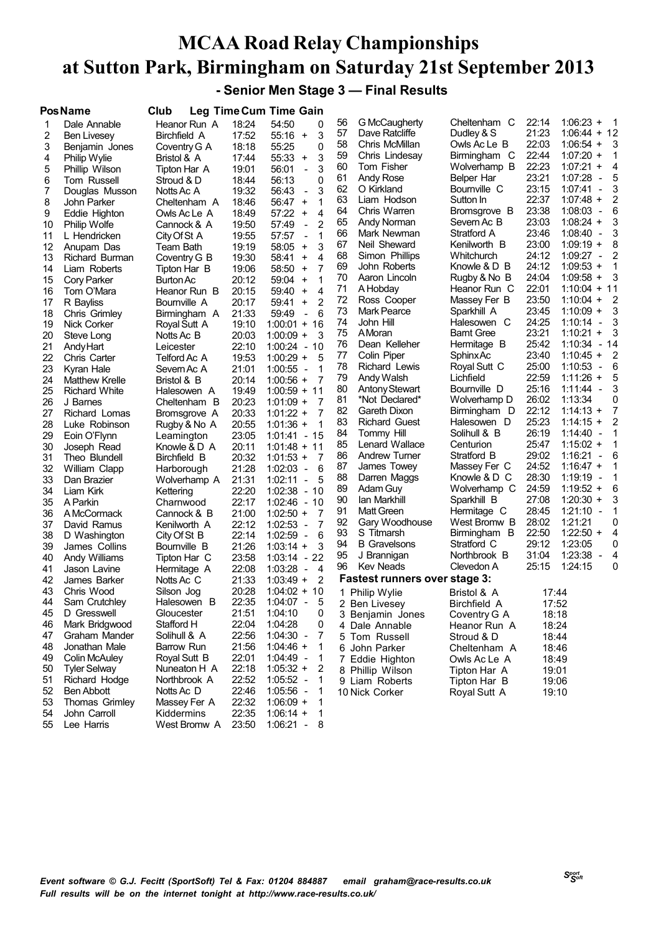**- Senior Men Stage 3 — Final Results**

|    | <b>Pos Name</b>      | Club                      |       | Leg Time Cum Time Gain                              |    |                                      |                   |                |                                          |
|----|----------------------|---------------------------|-------|-----------------------------------------------------|----|--------------------------------------|-------------------|----------------|------------------------------------------|
| 1  | Dale Annable         | Heanor Run A              | 18:24 | 54:50<br>0                                          | 56 | G McCaugherty                        | Cheltenham C      | 22:14          | $1:06:23 +$<br>1                         |
| 2  | Ben Livesey          | Birchfield A              | 17:52 | 55:16<br>3<br>$\ddot{}$                             | 57 | Dave Ratcliffe                       | Dudley & S        | 21:23          | $1:06:44 + 12$                           |
| 3  | Benjamin Jones       | Coventry G A              | 18:18 | 55:25<br>0                                          | 58 | Chris McMillan                       | Owls Ac Le B      | 22:03          | $1:06:54 +$<br>3                         |
| 4  | Philip Wylie         | Bristol & A               | 17:44 | 55:33<br>3<br>$\ddot{}$                             | 59 | Chris Lindesay                       | Birmingham C      | 22:44          | $1:07:20 +$<br>1                         |
| 5  | Phillip Wilson       | Tipton Har A              | 19:01 | 56:01<br>3<br>$\overline{a}$                        | 60 | Tom Fisher                           | Wolverhamp B      | 22:23          | $1:07:21 +$<br>4                         |
| 6  | Tom Russell          | Stroud & D                | 18:44 | 56:13<br>0                                          | 61 | Andy Rose                            | Belper Har        | 23:21          | 1:07:28<br>5<br>$\overline{\phantom{a}}$ |
| 7  | Douglas Musson       | Notts Ac A                | 19:32 | 3<br>56:43<br>$\frac{1}{2}$                         | 62 | O Kirkland                           | Bournville C      | 23:15          | 1:07:41<br>3<br>$\overline{\phantom{a}}$ |
| 8  | John Parker          | Cheltenham A              | 18:46 | 56:47<br>1<br>$\ddot{}$                             | 63 | Liam Hodson                          | Sutton In         | 22:37          | $1:07:48 +$<br>2                         |
| 9  | Eddie Highton        | Owls Ac Le A              | 18:49 | 57:22<br>4<br>$\ddot{}$                             | 64 | Chris Warren                         | Bromsgrove B      | 23:38          | 1:08:03<br>$\overline{\phantom{a}}$<br>6 |
| 10 | <b>Philip Wolfe</b>  | Cannock & A               | 19:50 | 57:49<br>$\overline{2}$<br>$\overline{\phantom{a}}$ | 65 | Andy Norman                          | Severn Ac B       | 23:03          | $1:08:24 +$<br>3                         |
| 11 | L Hendricken         |                           | 19:55 | 57:57<br>1<br>$\overline{\phantom{a}}$              | 66 | Mark Newman                          | Stratford A       | 23:46          | 1:08:40<br>3<br>$\overline{\phantom{a}}$ |
| 12 | Anupam Das           | City Of St A<br>Team Bath | 19:19 | 3<br>58:05<br>$\ddot{}$                             | 67 | Neil Sheward                         | Kenilworth B      | 23:00          | $1:09:19 +$<br>8                         |
| 13 |                      |                           | 19:30 | 4<br>58:41<br>$\ddot{}$                             | 68 | Simon Phillips                       | Whitchurch        | 24:12          | $1:09:27 -$<br>2                         |
|    | Richard Burman       | Coventry G B              |       | 7                                                   | 69 | John Roberts                         | Knowle & D B      | 24:12          | $1:09:53 +$<br>1                         |
| 14 | Liam Roberts         | Tipton Har B              | 19:06 | 58:50<br>$\ddot{}$<br>1                             | 70 | Aaron Lincoln                        | Rugby & No B      | 24:04          | $1:09:58 +$<br>3                         |
| 15 | <b>Cory Parker</b>   | Burton Ac                 | 20:12 | 59:04<br>$\ddot{}$                                  | 71 | A Hobday                             | Heanor Run C      | 22:01          | $1:10:04 + 11$                           |
| 16 | Tom O'Mara           | Heanor Run B              | 20:15 | 59:40<br>4<br>$\ddot{}$                             | 72 | Ross Cooper                          | Massey Fer B      | 23:50          | 2<br>$1:10:04 +$                         |
| 17 | R Bayliss            | Bournville A              | 20:17 | $\overline{2}$<br>59:41<br>$\ddot{}$                | 73 | <b>Mark Pearce</b>                   | Sparkhill A       | 23:45          | $1:10:09 +$<br>3                         |
| 18 | Chris Grimley        | Birmingham A              | 21:33 | 6<br>59:49<br>$\frac{1}{2}$                         | 74 | John Hill                            | Halesowen C       | 24:25          | 1:10:14<br>3<br>$\overline{\phantom{a}}$ |
| 19 | Nick Corker          | Royal Sutt A              | 19:10 | $1:00:01 + 16$                                      | 75 | AMoran                               | <b>Barnt Gree</b> | 23:21          | 1:10:21<br>3<br>$\ddot{}$                |
| 20 | Steve Long           | Notts Ac B                | 20:03 | $1:00:09 +$<br>3                                    | 76 | Dean Kelleher                        | Hermitage B       | 25:42          | $1:10:34 - 14$                           |
| 21 | Andy Hart            | Leicester                 | 22:10 | $1:00:24 - 10$                                      |    | Colin Piper                          |                   | 23:40          | 2<br>$1:10:45 +$                         |
| 22 | Chris Carter         | Telford Ac A              | 19:53 | $1:00:29 +$<br>5                                    | 77 |                                      | <b>SphinxAc</b>   |                | 6                                        |
| 23 | Kyran Hale           | Severn Ac A               | 21:01 | $1:00:55 -$<br>1                                    | 78 | Richard Lewis                        | Royal Sutt C      | 25:00<br>22:59 | 1:10:53<br>$\overline{\phantom{a}}$      |
| 24 | Matthew Krelle       | Bristol & B               | 20:14 | $1:00:56 +$<br>7                                    | 79 | Andy Walsh                           | Lichfield         | 25:16          | $1:11:26 +$<br>5                         |
| 25 | <b>Richard White</b> | Halesowen A               | 19:49 | $1:00:59 + 11$                                      | 80 | <b>Antony Stewart</b>                | Bournville D      |                | $1:11:44 -$<br>3                         |
| 26 | J Barnes             | Cheltenham B              | 20:23 | $1:01:09 +$<br>7                                    | 81 | *Not Declared*                       | Wolverhamp D      | 26:02          | 1:13:34<br>0                             |
| 27 | Richard Lomas        | Bromsgrove A              | 20:33 | 7<br>$1:01:22 +$                                    | 82 | Gareth Dixon                         | Birmingham D      | 22:12          | $1:14:13 +$<br>7                         |
| 28 | Luke Robinson        | Rugby & No A              | 20:55 | $1:01:36 +$<br>1                                    | 83 | <b>Richard Guest</b>                 | Halesowen D       | 25:23          | $1:14:15 +$<br>2                         |
| 29 | Eoin O'Flynn         | Leamington                | 23:05 | $1:01:41 - 15$                                      | 84 | Tommy Hill                           | Solihull & B      | 26:19          | 1:14:40<br>1<br>$\sim$                   |
| 30 | Joseph Read          | Knowle & D_A              | 20:11 | $1:01:48 + 11$                                      | 85 | Lenard Wallace                       | Centurion         | 25:47          | $1:15:02 +$                              |
| 31 | Theo Blundell        | Birchfield B              | 20:32 | $1:01:53 +$<br>7                                    | 86 | Andrew Turner                        | Stratford B       | 29:02          | 1:16:21<br>6<br>$\overline{\phantom{a}}$ |
| 32 | William Clapp        | Harborough                | 21:28 | $1:02:03 -$<br>6                                    | 87 | James Towey                          | Massey Fer C      | 24:52          | $1:16:47 +$<br>1                         |
| 33 | Dan Brazier          | Wolverhamp A              | 21:31 | 1:02:11<br>5<br>$\overline{\phantom{a}}$            | 88 | Darren Maggs                         | Knowle & D C      | 28:30          | 1:19:19<br>$\overline{a}$                |
| 34 | Liam Kirk            | Kettering                 | 22:20 | $1:02:38 - 10$                                      | 89 | Adam Guy                             | Wolverhamp C      | 24:59          | $1:19:52 +$<br>6                         |
| 35 | A Parkin             | Charnwood                 | 22:17 | $1:02:46 - 10$                                      | 90 | lan Markhill                         | Sparkhill B       | 27:08          | $1:20:30 +$<br>3                         |
| 36 | A McCormack          | Cannock & B               | 21:00 | $1:02:50 +$<br>7                                    | 91 | Matt Green                           | Hermitage C       | 28:45          | $1:21:10 -$                              |
| 37 | David Ramus          | Kenilworth A              | 22:12 | 7<br>$1:02:53 -$                                    | 92 | Gary Woodhouse                       | West Bromw B      | 28:02          | 1:21:21<br>0                             |
| 38 | D Washington         | City Of St B              | 22:14 | 1:02:59 -<br>6                                      | 93 | S Titmarsh                           | Birmingham B      | 22:50          | $1:22:50 +$<br>4                         |
| 39 | James Collins        | Bournville B              | 21:26 | $1:03:14 +$<br>3                                    | 94 | <b>B</b> Gravelsons                  | Stratford C       | 29:12          | 1:23:05<br>0                             |
| 40 | Andy Williams        | Tipton Har C              | 23:58 | $1:03:14 -$<br>22                                   | 95 | J Brannigan                          | Northbrook B      | 31:04          | 1:23:38<br>4<br>$\overline{\phantom{a}}$ |
| 41 | Jason Lavine         | Hermitage A               | 22:08 | 1:03:28<br>4<br>$\overline{\phantom{a}}$            | 96 | Kev Neads                            | Clevedon A        | 25:15          | 1:24:15<br>0                             |
| 42 | James Barker         | Notts Ac C                | 21:33 | 1:03:49<br>2<br>$\ddot{}$                           |    | <b>Fastest runners over stage 3:</b> |                   |                |                                          |
| 43 | Chris Wood           | Silson Jog                | 20:28 | $1:04:02 + 10$                                      |    | 1 Philip Wylie                       | Bristol & A       | 17:44          |                                          |
| 44 | Sam Crutchley        | Halesowen B               | 22:35 | $1:04:07 -$<br>5                                    |    | 2 Ben Livesey                        | Birchfield A      | 17:52          |                                          |
| 45 | D Gresswell          | Gloucester                | 21:51 | 1:04:10<br>0                                        |    | 3 Benjamin Jones                     | Coventry G A      | 18:18          |                                          |
| 46 | Mark Bridgwood       | Stafford H                | 22:04 | 1:04:28<br>0                                        |    | 4 Dale Annable                       | Heanor Run A      | 18:24          |                                          |
| 47 | Graham Mander        | Solihull & A              | 22:56 | $1:04:30 -$<br>7                                    |    | 5 Tom Russell                        | Stroud & D        | 18:44          |                                          |
| 48 | Jonathan Male        | Barrow Run                | 21:56 | $1:04:46 +$<br>1                                    |    | 6 John Parker                        | Cheltenham A      | 18:46          |                                          |
| 49 | <b>Colin McAuley</b> | Royal Sutt B              | 22:01 | $1:04:49 -$<br>1                                    |    | 7 Eddie Highton                      | Owls Ac Le A      | 18:49          |                                          |
| 50 | <b>Tyler Selway</b>  | Nuneaton H A              | 22:18 | $1:05:32 +$<br>2                                    |    | 8 Phillip Wilson                     | Tipton Har A      | 19:01          |                                          |
| 51 | Richard Hodge        | Northbrook A              | 22:52 | $1:05:52 -$<br>-1                                   |    | 9 Liam Roberts                       | Tipton Har B      | 19:06          |                                          |
| 52 | <b>Ben Abbott</b>    | Notts Ac D                | 22:46 | $1:05:56 -$<br>1                                    |    | 10 Nick Corker                       | Royal Sutt A      | 19:10          |                                          |
| 53 | Thomas Grimley       | Massey Fer A              | 22:32 | $1:06:09 +$<br>1                                    |    |                                      |                   |                |                                          |
| 54 | John Carroll         | Kiddermins                | 22:35 | $1:06:14 +$<br>$\mathbf{1}$                         |    |                                      |                   |                |                                          |
| 55 | Lee Harris           | West Bromw A              | 23:50 | $1:06:21 -$<br>8                                    |    |                                      |                   |                |                                          |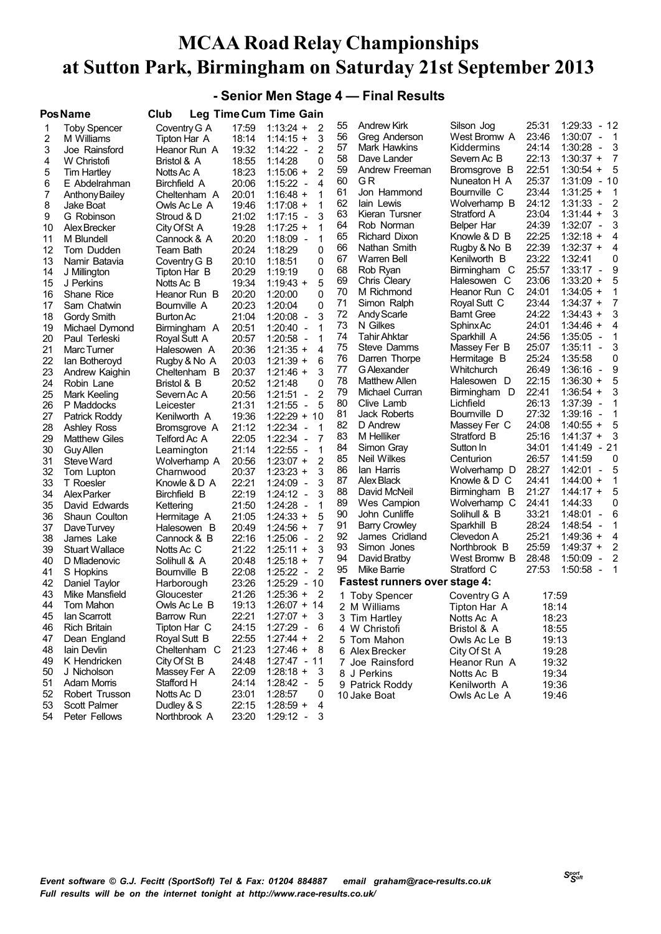#### **- Senior Men Stage 4 — Final Results**

|    | <b>PosName</b>        | Club         |       | Leg Time Cum Time Gain                   |    |                                      |                   |       |                                                       |
|----|-----------------------|--------------|-------|------------------------------------------|----|--------------------------------------|-------------------|-------|-------------------------------------------------------|
| 1  | <b>Toby Spencer</b>   | Coventry G A | 17:59 | $1:13:24 +$<br>$\overline{2}$            | 55 | <b>Andrew Kirk</b>                   | Silson Jog        | 25:31 | 1:29:33<br>- 12                                       |
| 2  | M Williams            | Tipton Har A | 18:14 | 3<br>$1:14:15 +$                         | 56 | Greg Anderson                        | West Bromw A      | 23:46 | 1:30:07<br>- 1<br>$\overline{\phantom{a}}$            |
| 3  | Joe Rainsford         | Heanor Run A | 19:32 | $1:14:22 -$<br>2                         | 57 | Mark Hawkins                         | Kiddermins        | 24:14 | 1:30:28<br>3<br>$\overline{\phantom{a}}$              |
| 4  | W Christofi           | Bristol & A  | 18:55 | 0<br>1:14:28                             | 58 | Dave Lander                          | Severn Ac B       | 22:13 | 7<br>$1:30:37 +$                                      |
| 5  | <b>Tim Hartley</b>    | Notts Ac A   | 18:23 | 2<br>$1:15:06 +$                         | 59 | Andrew Freeman                       | Bromsgrove B      | 22:51 | 5<br>$1:30:54 +$                                      |
| 6  | E Abdelrahman         | Birchfield A | 20:06 | $1:15:22 -$<br>4                         | 60 | GR                                   | Nuneaton H A      | 25:37 | $1:31:09 - 10$                                        |
| 7  | <b>Anthony Bailey</b> | Cheltenham A | 20:01 | $1:16:48 +$<br>1                         | 61 | Jon Hammond                          | Bournville C      | 23:44 | $1:31:25 +$<br>$\mathbf 1$                            |
| 8  | Jake Boat             | Owls Ac Le A | 19:46 | $1:17:08 +$<br>1                         | 62 | lain Lewis                           | Wolverhamp B      | 24:12 | $\overline{2}$<br>1:31:33<br>$\overline{\phantom{a}}$ |
| 9  | G Robinson            | Stroud & D   | 21:02 | 3<br>$1:17:15 -$                         | 63 | Kieran Tursner                       | Stratford A       | 23:04 | 3<br>$1:31:44 +$                                      |
| 10 | Alex Brecker          | City Of St A | 19:28 | 1<br>$1:17:25 +$                         | 64 | Rob Norman                           | Belper Har        | 24:39 | 3<br>$1:32:07 -$                                      |
| 11 | M Blundell            | Cannock & A  | 20:20 | 1<br>$1:18:09 -$                         | 65 | Richard Dixon                        | Knowle & D B      | 22:25 | $1:32:18 +$<br>4                                      |
| 12 | Tom Dudden            | Team Bath    | 20:24 | 0<br>1:18:29                             | 66 | Nathan Smith                         | Rugby & No B      | 22:39 | $1:32:37 +$<br>4                                      |
| 13 | Namir Batavia         | Coventry G B | 20:10 | 0<br>1:18:51                             | 67 | Warren Bell                          | Kenilworth B      | 23:22 | 1:32:41<br>0                                          |
| 14 | J Millington          | Tipton Har B | 20:29 | 1:19:19<br>0                             | 68 | Rob Ryan                             | Birmingham C      | 25:57 | 9<br>1:33:17<br>$\overline{\phantom{a}}$              |
| 15 | J Perkins             | Notts Ac B   | 19:34 | 5<br>$1:19:43 +$                         | 69 | Chris Cleary                         | Halesowen C       | 23:06 | 5<br>$1:33:20 +$                                      |
| 16 | Shane Rice            | Heanor Run B | 20:20 | $\Omega$<br>1:20:00                      | 70 | M Richmond                           | Heanor Run C      | 24:01 | 1<br>$1:34:05 +$                                      |
| 17 | Sam Chatwin           | Bournville A | 20:23 | 0<br>1:20:04                             | 71 | Simon Ralph                          | Royal Sutt C      | 23:44 | 7<br>$1:34:37 +$                                      |
| 18 | Gordy Smith           | Burton Ac    | 21:04 | 3<br>$1:20:08 -$                         | 72 | Andy Scarle                          | <b>Barnt Gree</b> | 24:22 | 3<br>$1:34:43 +$                                      |
| 19 | Michael Dymond        | Birmingham A | 20:51 | 1<br>$1:20:40 -$                         | 73 | N Gilkes                             | Sphinx Ac         | 24:01 | $1:34:46 +$<br>4                                      |
| 20 | Paul Terleski         | Royal Sutt A | 20:57 | $1:20:58 -$<br>1                         | 74 | Tahir Ahktar                         | Sparkhill A       | 24:56 | 1:35:05<br>1<br>$\overline{\phantom{a}}$              |
| 21 | Marc Turner           | Halesowen A  | 20:36 | 4<br>$1:21:35 +$                         | 75 | Steve Damms                          | Massey Fer B      | 25:07 | 3<br>1:35:11<br>$\blacksquare$                        |
| 22 | lan Botheroyd         | Rugby & No A | 20:03 | 6<br>$1:21:39 +$                         | 76 | Darren Thorpe                        | Hermitage B       | 25:24 | 1:35:58<br>0                                          |
| 23 | Andrew Kaighin        | Cheltenham B | 20:37 | $1:21:46 +$<br>3                         | 77 | G Alexander                          | Whitchurch        | 26:49 | 9<br>$1:36:16 -$                                      |
| 24 | Robin Lane            | Bristol & B  | 20:52 | 1:21:48<br>0                             | 78 | Matthew Allen                        | Halesowen D       | 22:15 | 5<br>$1:36:30 +$                                      |
| 25 | Mark Keeling          | Severn Ac A  | 20:56 | 2<br>$1:21:51 -$                         | 79 | Michael Curran                       | Birmingham D      | 22:41 | 3<br>$1:36:54 +$                                      |
| 26 | P Maddocks            | Leicester    | 21:31 | 1:21:55<br>5<br>$\overline{\phantom{a}}$ | 80 | Clive Lamb                           | Lichfield         | 26:13 | 1:37:39<br>1<br>$\overline{\phantom{a}}$              |
| 27 | Patrick Roddy         | Kenilworth A | 19:36 | $1:22:29 + 10$                           | 81 | <b>Jack Roberts</b>                  | Bournville D      | 27:32 | 1:39:16<br>1<br>$\overline{\phantom{a}}$              |
| 28 | <b>Ashley Ross</b>    | Bromsgrove A | 21:12 | 1:22:34<br>1<br>$\sim$                   | 82 | D Andrew                             | Massey Fer C      | 24:08 | 5<br>$1:40:55 +$                                      |
| 29 | <b>Matthew Giles</b>  | Telford Ac A | 22:05 | $1:22:34 -$<br>7                         | 83 | M Helliker                           | Stratford B       | 25:16 | 3<br>$1:41:37 +$                                      |
| 30 | <b>Guy Allen</b>      | Leamington   | 21:14 | $1:22:55 -$<br>1                         | 84 | Simon Gray                           | Sutton In         | 34:01 | $1:41:49 - 21$                                        |
| 31 | Steve Ward            | Wolverhamp A | 20:56 | $\overline{2}$<br>$1:23:07 +$            | 85 | Neil Wilkes                          | Centurion         | 26:57 | 1:41:59<br>0                                          |
| 32 | Tom Lupton            | Charnwood    | 20:37 | $1:23:23 +$<br>3                         | 86 | lan Harris                           | Wolverhamp D      | 28:27 | 5<br>1:42:01<br>$\blacksquare$                        |
| 33 | T Roesler             | Knowle & D A | 22:21 | 3<br>$1:24:09 -$                         | 87 | Alex Black                           | Knowle & D C      | 24:41 | $\mathbf{1}$<br>$1:44:00 +$                           |
| 34 | <b>AlexParker</b>     | Birchfield B | 22:19 | 3<br>$1:24:12 -$                         | 88 | David McNeil                         | Birmingham B      | 21:27 | 5<br>$1:44:17 +$                                      |
| 35 | David Edwards         | Kettering    | 21:50 | $1:24:28 -$<br>1                         | 89 | Wes Campion                          | Wolverhamp C      | 24:41 | 0<br>1:44:33                                          |
| 36 | Shaun Coulton         | Hermitage A  | 21:05 | 5<br>$1:24:33 +$                         | 90 | John Cunliffe                        | Solihull & B      | 33:21 | 6<br>1:48:01<br>$\blacksquare$                        |
| 37 | Dave Turvey           | Halesowen B  | 20:49 | 7<br>$1:24:56 +$                         | 91 | <b>Barry Crowley</b>                 | Sparkhill B       | 28:24 | 1:48:54<br>1<br>$\overline{\phantom{a}}$              |
| 38 | James Lake            | Cannock & B  | 22:16 | 2<br>$1:25:06 -$                         | 92 | James Cridland                       | Clevedon A        | 25:21 | 4<br>$1:49:36 +$                                      |
| 39 | <b>Stuart Wallace</b> | Notts Ac C   | 21:22 | $1:25:11 +$<br>3                         | 93 | Simon Jones                          | Northbrook B      | 25:59 | 2<br>$1:49:37 +$                                      |
| 40 | D Mladenovic          | Solihull & A | 20:48 | 7<br>$1:25:18 +$                         | 94 | David Bratby                         | West Bromw B      | 28:48 | 2<br>1:50:09<br>$\blacksquare$                        |
| 41 | S Hopkins             | Bournville B | 22:08 | 1:25:22<br>2<br>$\overline{\phantom{a}}$ | 95 | Mike Barrie                          | Stratford C       | 27:53 | 1<br>$1:50:58 -$                                      |
| 42 | Daniel Taylor         | Harborough   | 23:26 | $1:25:29 - 10$                           |    | <b>Fastest runners over stage 4:</b> |                   |       |                                                       |
| 43 | Mike Mansfield        | Gloucester   | 21:26 | $1:25:36 +$<br>$\overline{2}$            |    | 1 Toby Spencer                       | Coventry G A      | 17:59 |                                                       |
| 44 | Tom Mahon             | Owls Ac Le B | 19:13 | $1:26:07 + 14$                           |    | 2 M Williams                         | Tipton Har A      | 18:14 |                                                       |
| 45 | lan Scarrott          | Barrow Run   | 22:21 | $1:27:07 +$<br>3                         |    | 3 Tim Hartley                        | Notts Ac A        | 18:23 |                                                       |
| 46 | <b>Rich Britain</b>   | Tipton Har C | 24:15 | $1:27:29 -$<br>6                         |    | 4 W Christofi                        | Bristol & A       | 18:55 |                                                       |
| 47 | Dean England          | Royal Sutt B | 22:55 | $1:27:44 +$<br>2                         |    | 5 Tom Mahon                          | Owls Ac Le B      | 19:13 |                                                       |
| 48 | Iain Devlin           | Cheltenham C | 21:23 | $1:27:46 +$<br>8                         |    | 6 Alex Brecker                       | City Of St A      | 19:28 |                                                       |
| 49 | K Hendricken          | City Of St B | 24:48 | $1:27:47 - 11$                           |    | 7 Joe Rainsford                      | Heanor Run A      | 19:32 |                                                       |
| 50 | J Nicholson           | Massey Fer A | 22:09 | $1:28:18 +$<br>3                         |    | 8 J Perkins                          | Notts Ac B        | 19:34 |                                                       |
| 51 | <b>Adam Morris</b>    | Stafford H   | 24:14 | $1:28:42 -$<br>5                         |    | 9 Patrick Roddy                      | Kenilworth A      | 19:36 |                                                       |
| 52 | Robert Trusson        | Notts Ac D   | 23:01 | 1:28:57<br>0                             |    | 10 Jake Boat                         | Owls Ac Le A      | 19:46 |                                                       |
| 53 | Scott Palmer          | Dudley & S   | 22:15 | $1:28:59 +$<br>4                         |    |                                      |                   |       |                                                       |
| 54 | Peter Fellows         | Northbrook A | 23:20 | $1:29:12 -$<br>3                         |    |                                      |                   |       |                                                       |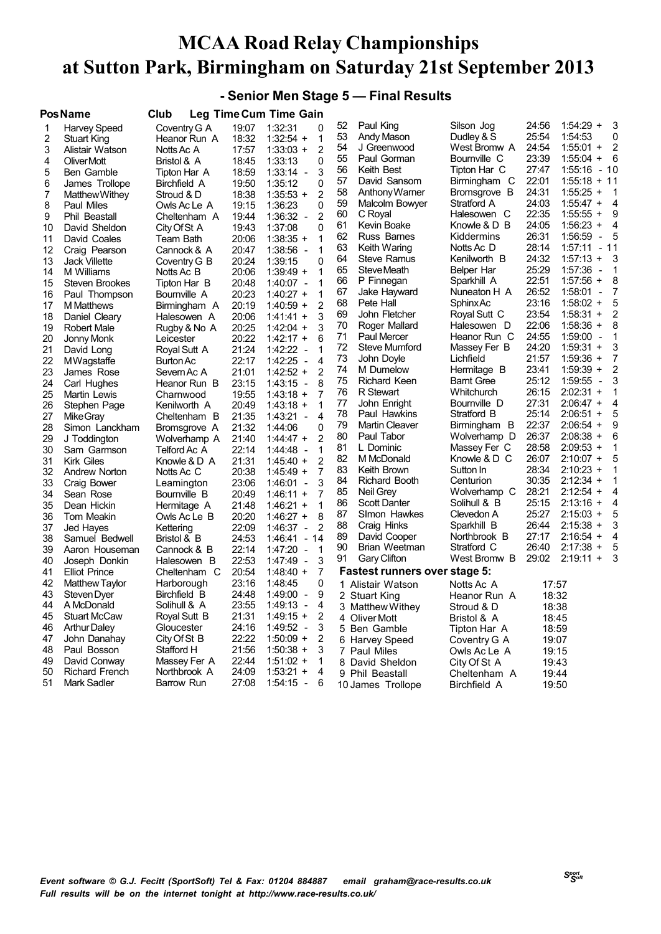#### **- Senior Men Stage 5 — Final Results**

| $1:54:29 +$<br>3<br>52<br>Paul King<br>24:56<br>Silson Jog<br>Coventry G A<br>19:07<br>1:32:31<br>1<br>Harvey Speed<br>0<br>25:54<br>53<br>Andy Mason<br>Dudley & S<br>1:54:53<br>0<br>2<br>Heanor Run A<br>18:32<br>$1:32:54 +$<br>1<br><b>Stuart King</b><br>24:54<br>$\overline{2}$<br>54<br>$1:55:01 +$<br>J Greenwood<br>West Bromw A<br>3<br>$\overline{2}$<br>17:57<br>Alistair Watson<br>Notts Ac A<br>$1:33:03 +$<br>55<br>Bournville C<br>23:39<br>$1:55:04 +$<br>- 6<br>Paul Gorman<br>$\mathbf{0}$<br>4<br>18:45<br>1:33:13<br>Oliver Mott<br>Bristol & A<br>56<br>Keith Best<br>27:47<br>$1:55:16 - 10$<br>Tipton Har C<br>5<br>18:59<br>3<br>Ben Gamble<br>$1:33:14 -$<br>Tipton Har A<br>Birmingham C<br>22:01<br>57<br>$1:55:18 + 11$<br>David Sansom<br>6<br>Birchfield A<br>19:50<br>1:35:12<br>0<br>James Trollope<br>24:31<br>58<br>$1:55:25 +$<br>Anthony Warner<br>Bromsgrove B<br>$\overline{1}$<br>7<br>18:38<br>$\overline{2}$<br>$1:35:53 +$<br>Matthew Withey<br>Stroud & D<br>59<br>24:03<br>$1:55:47 +$<br>$\overline{4}$<br>Malcolm Bowyer<br>Stratford A<br>8<br>19:15<br>1:36:23<br>0<br>Paul Miles<br>Owls Ac Le A<br>22:35<br>9<br>60<br>$1:55:55 +$<br>C Royal<br>Halesowen C<br>$\overline{2}$<br>9<br>Phil Beastall<br>Cheltenham A<br>19:44<br>$1:36:32 -$<br>24:05<br>$\overline{4}$<br>61<br>Kevin Boake<br>Knowle & D B<br>$1:56:23 +$<br>$\mathbf 0$<br>10<br>David Sheldon<br>19:43<br>1:37:08<br>City Of St A<br>26:31<br>62<br>Russ Barnes<br>1:56:59<br>5<br>Kiddermins<br>$\overline{\phantom{a}}$<br>11<br>20:06<br>$1:38:35 +$<br>1<br>David Coales<br>Team Bath<br>28:14<br>$-11$<br>63<br>Keith Waring<br>Notts Ac D<br>1:57:11<br>12<br>20:47<br>$1:38:56 -$<br>1<br>Craig Pearson<br>Cannock & A<br>24:32<br>64<br><b>Steve Ramus</b><br>Kenilworth B<br>$1:57:13 +$<br>3<br>20:24<br>1:39:15<br>$\mathbf 0$<br>13<br><b>Jack Villette</b><br>Coventry G B<br>25:29<br>$\mathbf{1}$<br>65<br>Steve Meath<br>1:57:36<br>Belper Har<br>$\overline{\phantom{a}}$<br>14<br>M Williams<br>20:06<br>$1:39:49 +$<br>1<br>Notts Ac B<br>66<br>22:51<br>$1:57:56 +$<br>8<br>P Finnegan<br>Sparkhill A<br>15<br>20:48<br>$1:40:07 -$<br>1<br><b>Steven Brookes</b><br>Tipton Har B<br>67<br>26:52<br>1:58:01<br>7<br>Jake Hayward<br>Nuneaton H A<br>$\blacksquare$<br>20:23<br>$1:40:27 +$<br>1<br>16<br>Paul Thompson<br>Bournville A<br>5<br>23:16<br>68<br>Pete Hall<br>Sphinx Ac<br>$1:58:02 +$<br>$\overline{2}$<br>17<br>20:19<br>$1:40:59 +$<br>M Matthews<br>Birmingham A<br>23:54<br>$\overline{2}$<br>69<br>John Fletcher<br>Royal Sutt C<br>$1:58:31 +$<br>3<br>18<br>20:06<br>Daniel Cleary<br>Halesowen A<br>$1:41:41 +$<br>22:06<br>70<br>Roger Mallard<br>$1:58:36 +$<br>8<br>Halesowen D<br>3<br>19<br>20:25<br>$1:42:04 +$<br><b>Robert Male</b><br>Rugby & No A<br>71<br>Heanor Run C<br>24:55<br>1:59:00<br><b>Paul Mercer</b><br>1<br>$\overline{\phantom{a}}$<br>20<br>20:22<br>$1:42:17 +$<br>6<br>Jonny Monk<br>Leicester<br>24:20<br>3<br>72<br>$1:59:31 +$<br>Steve Mumford<br>Massey Fer B<br>21:24<br>$1:42:22 -$<br>21<br>Royal Sutt A<br>1<br>David Long<br>73<br>21:57<br>$1:59:36 +$<br>7<br>John Doyle<br>Lichfield<br>22<br>22:17<br>1:42:25<br>4<br>$\overline{a}$<br><b>MWagstaffe</b><br><b>Burton Ac</b><br>$\overline{c}$<br>74<br>23:41<br>$1:59:39 +$<br>M Dumelow<br>Hermitage B<br>23<br>$\overline{2}$<br>21:01<br>$1:42:52 +$<br>James Rose<br>Severn Ac A<br>25:12<br>3<br>75<br><b>Richard Keen</b><br><b>Barnt Gree</b><br>1:59:55<br>$\overline{\phantom{a}}$<br>24<br>23:15<br>$1:43:15 -$<br>8<br>Carl Hughes<br>Heanor Run B<br>26:15<br>$2:02:31 +$<br>76<br>R Stewart<br>Whitchurch<br>1<br>25<br>$\overline{7}$<br>19:55<br>$1:43:18 +$<br>Martin Lewis<br>Charnwood<br>77<br>Bournville D<br>27:31<br>$\overline{4}$<br>John Enright<br>$2:06:47 +$<br>26<br>20:49<br>$1:43:18 +$<br>1<br>Stephen Page<br>Kenilworth A<br>78<br>25:14<br>5<br>Paul Hawkins<br>Stratford B<br>$2:06:51 +$<br>27<br>21:35<br>1:43:21<br>$\overline{4}$<br>Mike Gray<br>Cheltenham B<br>$\overline{a}$<br>79<br>22:37<br>9<br><b>Martin Cleaver</b><br>Birmingham B<br>$2:06:54 +$<br>28<br>21:32<br>1:44:06<br>0<br>Simon Lanckham<br>Bromsgrove A<br>80<br>26:37<br>6<br>Paul Tabor<br>Wolverhamp D<br>$2:08:38 +$<br>29<br>$\overline{2}$<br>21:40<br>$1:44:47 +$<br>J Toddington<br>Wolverhamp A<br>81<br>28:58<br>$2:09:53 +$<br>L Dominic<br>Massey Fer C<br>1<br>22:14<br>$\mathbf{1}$<br>30<br>Sam Garmson<br>Telford Ac A<br>1:44:48<br>$\overline{a}$<br>82<br>M McDonald<br>26:07<br>$2:10:07 +$<br>5<br>Knowle & D C<br>$\overline{2}$<br>31<br><b>Kirk Giles</b><br>Knowle & D A<br>21:31<br>$1:45:40 +$<br>28:34<br>83<br>Keith Brown<br>Sutton In<br>$2:10:23 +$<br>1<br>7<br>32<br>Andrew Norton<br>Notts Ac C<br>20:38<br>$1:45:49 +$<br>30:35<br>$2:12:34 +$<br>$\mathbf{1}$<br>84<br>Richard Booth<br>Centurion<br>33<br>3<br>23:06<br>1:46:01<br>Craig Bower<br>Leamington<br>$\overline{a}$<br>Wolverhamp C<br>28:21<br>85<br>$2:12:54 +$<br>4<br>Neil Grey<br>7<br>34<br>Sean Rose<br>20:49<br>$1:46:11 +$<br>Bournville B<br>86<br>25:15<br>$2:13:16 +$<br>4<br><b>Scott Danter</b><br>Solihull & B<br>35<br>1<br>Dean Hickin<br>21:48<br>$1:46:21 +$<br>Hermitage A<br>87<br>25:27<br>5<br>SImon Hawkes<br>$2:15:03 +$<br>Clevedon A<br>$1:46:27 +$<br>8<br>36<br><b>Tom Meakin</b><br>Owls Ac Le B<br>20:20<br>88<br>26:44<br>3<br>Sparkhill B<br>$2:15:38 +$<br>Craig Hinks<br>37<br>22:09<br>$\overline{2}$<br>$1:46:37 -$<br>Jed Hayes<br>Kettering<br>27:17<br>89<br>Northbrook B<br>$2:16:54 +$<br>4<br>David Cooper<br>38<br>24:53<br>$1:46:41 - 14$<br>Samuel Bedwell<br>Bristol & B<br>26:40<br>$2:17:38 +$<br>5<br>90<br>Brian Weetman<br>Stratford C<br>39<br>22:14<br>$1:47:20 -$<br>1<br>Aaron Houseman<br>Cannock & B<br>29:02<br>$2:19:11 +$<br>3<br>91<br><b>Gary Clifton</b><br>West Bromw B<br>22:53<br>3<br>40<br>Joseph Donkin<br>Halesowen B<br>1:47:49 -<br><b>Fastest runners over stage 5:</b><br>20:54<br>7<br>41<br>Cheltenham C<br>$1:48:40 +$<br><b>Elliot Prince</b><br>42<br>23:16<br>1:48:45<br>0<br><b>Matthew Taylor</b><br>Harborough<br>1 Alistair Watson<br>Notts Ac A<br>17:57<br>24:48<br>9<br>43<br>Steven Dyer<br>Birchfield B<br>$1:49:00 -$<br>18:32<br>2 Stuart King<br>Heanor Run A<br>23:55<br>A McDonald<br>4<br>44<br>Solihull & A<br>1:49:13<br>$\overline{\phantom{a}}$<br>3 Matthew Withey<br>18:38<br>Stroud & D<br>21:31<br>$\overline{c}$<br>45<br><b>Stuart McCaw</b><br>Royal Sutt B<br>$1:49:15 +$<br>4 Oliver Mott<br>Bristol & A<br>18:45<br>3<br>24:16<br>$1:49:52 -$<br>46<br><b>Arthur Daley</b><br>Gloucester<br>5 Ben Gamble<br>18:59<br>Tipton Har A<br>2<br>47<br>City Of St B<br>22:22<br>$1:50:09 +$<br>John Danahay<br>19:07<br>6 Harvey Speed<br>Coventry G A<br>3<br>48<br>Stafford H<br>21:56<br>$1:50:38 +$<br>Paul Bosson<br>7 Paul Miles<br>19:15<br>Owls Ac Le A<br>49<br>22:44<br>1<br>David Conway<br>Massey Fer A<br>$1:51:02 +$<br>8 David Sheldon<br>City Of St A<br>19:43<br>50<br>24:09<br>4<br><b>Richard French</b><br>Northbrook A<br>$1:53:21 +$<br>9 Phil Beastall<br>Cheltenham A<br>19:44<br>51<br>27:08<br><b>Mark Sadler</b><br>Barrow Run<br>$1:54:15 -$<br>6<br>10 James Trollope<br>19:50<br>Birchfield A | <b>PosName</b> | Club | <b>Leg Time Cum Time Gain</b> |  |  |  |
|-----------------------------------------------------------------------------------------------------------------------------------------------------------------------------------------------------------------------------------------------------------------------------------------------------------------------------------------------------------------------------------------------------------------------------------------------------------------------------------------------------------------------------------------------------------------------------------------------------------------------------------------------------------------------------------------------------------------------------------------------------------------------------------------------------------------------------------------------------------------------------------------------------------------------------------------------------------------------------------------------------------------------------------------------------------------------------------------------------------------------------------------------------------------------------------------------------------------------------------------------------------------------------------------------------------------------------------------------------------------------------------------------------------------------------------------------------------------------------------------------------------------------------------------------------------------------------------------------------------------------------------------------------------------------------------------------------------------------------------------------------------------------------------------------------------------------------------------------------------------------------------------------------------------------------------------------------------------------------------------------------------------------------------------------------------------------------------------------------------------------------------------------------------------------------------------------------------------------------------------------------------------------------------------------------------------------------------------------------------------------------------------------------------------------------------------------------------------------------------------------------------------------------------------------------------------------------------------------------------------------------------------------------------------------------------------------------------------------------------------------------------------------------------------------------------------------------------------------------------------------------------------------------------------------------------------------------------------------------------------------------------------------------------------------------------------------------------------------------------------------------------------------------------------------------------------------------------------------------------------------------------------------------------------------------------------------------------------------------------------------------------------------------------------------------------------------------------------------------------------------------------------------------------------------------------------------------------------------------------------------------------------------------------------------------------------------------------------------------------------------------------------------------------------------------------------------------------------------------------------------------------------------------------------------------------------------------------------------------------------------------------------------------------------------------------------------------------------------------------------------------------------------------------------------------------------------------------------------------------------------------------------------------------------------------------------------------------------------------------------------------------------------------------------------------------------------------------------------------------------------------------------------------------------------------------------------------------------------------------------------------------------------------------------------------------------------------------------------------------------------------------------------------------------------------------------------------------------------------------------------------------------------------------------------------------------------------------------------------------------------------------------------------------------------------------------------------------------------------------------------------------------------------------------------------------------------------------------------------------------------------------------------------------------------------------------------------------------------------------------------------------------------------------------------------------------------------------------------------------------------------------------------------------------------------------------------------------------------------------------------------------------------------------------------------------------------------------------------------------------------------------------------------------------------------------------------------------------------------------------------------------------------------------------------------------------------------------------------------------------------------------------------------------------------------------------------------------------------------------------------------------------------------------------------------------------------------------------------------------------------------------------------------------------------------------------------------------------------------------------------------------------------------------------------------------------------------------------------------------------------------------------------------------------------------------------------------------------------------------------------------------------------------------------------------------------------------------------------------------------------------------------------------------------------------------------------------------------------------------------------------------------------------------------------------------------------------------------------------------------------------------------------------------------------------------------------------------------------------------------------------------------------------------------------------------------------------------------------------------------------------------------------------------------------------------------|----------------|------|-------------------------------|--|--|--|
|                                                                                                                                                                                                                                                                                                                                                                                                                                                                                                                                                                                                                                                                                                                                                                                                                                                                                                                                                                                                                                                                                                                                                                                                                                                                                                                                                                                                                                                                                                                                                                                                                                                                                                                                                                                                                                                                                                                                                                                                                                                                                                                                                                                                                                                                                                                                                                                                                                                                                                                                                                                                                                                                                                                                                                                                                                                                                                                                                                                                                                                                                                                                                                                                                                                                                                                                                                                                                                                                                                                                                                                                                                                                                                                                                                                                                                                                                                                                                                                                                                                                                                                                                                                                                                                                                                                                                                                                                                                                                                                                                                                                                                                                                                                                                                                                                                                                                                                                                                                                                                                                                                                                                                                                                                                                                                                                                                                                                                                                                                                                                                                                                                                                                                                                                                                                                                                                                                                                                                                                                                                                                                                                                                                                                                                                                                                                                                                                                                                                                                                                                                                                                                                                                                                                                                                                                                                                                                                                                                                                                                                                                                                                                                                                                                                                                                                 |                |      |                               |  |  |  |
|                                                                                                                                                                                                                                                                                                                                                                                                                                                                                                                                                                                                                                                                                                                                                                                                                                                                                                                                                                                                                                                                                                                                                                                                                                                                                                                                                                                                                                                                                                                                                                                                                                                                                                                                                                                                                                                                                                                                                                                                                                                                                                                                                                                                                                                                                                                                                                                                                                                                                                                                                                                                                                                                                                                                                                                                                                                                                                                                                                                                                                                                                                                                                                                                                                                                                                                                                                                                                                                                                                                                                                                                                                                                                                                                                                                                                                                                                                                                                                                                                                                                                                                                                                                                                                                                                                                                                                                                                                                                                                                                                                                                                                                                                                                                                                                                                                                                                                                                                                                                                                                                                                                                                                                                                                                                                                                                                                                                                                                                                                                                                                                                                                                                                                                                                                                                                                                                                                                                                                                                                                                                                                                                                                                                                                                                                                                                                                                                                                                                                                                                                                                                                                                                                                                                                                                                                                                                                                                                                                                                                                                                                                                                                                                                                                                                                                                 |                |      |                               |  |  |  |
|                                                                                                                                                                                                                                                                                                                                                                                                                                                                                                                                                                                                                                                                                                                                                                                                                                                                                                                                                                                                                                                                                                                                                                                                                                                                                                                                                                                                                                                                                                                                                                                                                                                                                                                                                                                                                                                                                                                                                                                                                                                                                                                                                                                                                                                                                                                                                                                                                                                                                                                                                                                                                                                                                                                                                                                                                                                                                                                                                                                                                                                                                                                                                                                                                                                                                                                                                                                                                                                                                                                                                                                                                                                                                                                                                                                                                                                                                                                                                                                                                                                                                                                                                                                                                                                                                                                                                                                                                                                                                                                                                                                                                                                                                                                                                                                                                                                                                                                                                                                                                                                                                                                                                                                                                                                                                                                                                                                                                                                                                                                                                                                                                                                                                                                                                                                                                                                                                                                                                                                                                                                                                                                                                                                                                                                                                                                                                                                                                                                                                                                                                                                                                                                                                                                                                                                                                                                                                                                                                                                                                                                                                                                                                                                                                                                                                                                 |                |      |                               |  |  |  |
|                                                                                                                                                                                                                                                                                                                                                                                                                                                                                                                                                                                                                                                                                                                                                                                                                                                                                                                                                                                                                                                                                                                                                                                                                                                                                                                                                                                                                                                                                                                                                                                                                                                                                                                                                                                                                                                                                                                                                                                                                                                                                                                                                                                                                                                                                                                                                                                                                                                                                                                                                                                                                                                                                                                                                                                                                                                                                                                                                                                                                                                                                                                                                                                                                                                                                                                                                                                                                                                                                                                                                                                                                                                                                                                                                                                                                                                                                                                                                                                                                                                                                                                                                                                                                                                                                                                                                                                                                                                                                                                                                                                                                                                                                                                                                                                                                                                                                                                                                                                                                                                                                                                                                                                                                                                                                                                                                                                                                                                                                                                                                                                                                                                                                                                                                                                                                                                                                                                                                                                                                                                                                                                                                                                                                                                                                                                                                                                                                                                                                                                                                                                                                                                                                                                                                                                                                                                                                                                                                                                                                                                                                                                                                                                                                                                                                                                 |                |      |                               |  |  |  |
|                                                                                                                                                                                                                                                                                                                                                                                                                                                                                                                                                                                                                                                                                                                                                                                                                                                                                                                                                                                                                                                                                                                                                                                                                                                                                                                                                                                                                                                                                                                                                                                                                                                                                                                                                                                                                                                                                                                                                                                                                                                                                                                                                                                                                                                                                                                                                                                                                                                                                                                                                                                                                                                                                                                                                                                                                                                                                                                                                                                                                                                                                                                                                                                                                                                                                                                                                                                                                                                                                                                                                                                                                                                                                                                                                                                                                                                                                                                                                                                                                                                                                                                                                                                                                                                                                                                                                                                                                                                                                                                                                                                                                                                                                                                                                                                                                                                                                                                                                                                                                                                                                                                                                                                                                                                                                                                                                                                                                                                                                                                                                                                                                                                                                                                                                                                                                                                                                                                                                                                                                                                                                                                                                                                                                                                                                                                                                                                                                                                                                                                                                                                                                                                                                                                                                                                                                                                                                                                                                                                                                                                                                                                                                                                                                                                                                                                 |                |      |                               |  |  |  |
|                                                                                                                                                                                                                                                                                                                                                                                                                                                                                                                                                                                                                                                                                                                                                                                                                                                                                                                                                                                                                                                                                                                                                                                                                                                                                                                                                                                                                                                                                                                                                                                                                                                                                                                                                                                                                                                                                                                                                                                                                                                                                                                                                                                                                                                                                                                                                                                                                                                                                                                                                                                                                                                                                                                                                                                                                                                                                                                                                                                                                                                                                                                                                                                                                                                                                                                                                                                                                                                                                                                                                                                                                                                                                                                                                                                                                                                                                                                                                                                                                                                                                                                                                                                                                                                                                                                                                                                                                                                                                                                                                                                                                                                                                                                                                                                                                                                                                                                                                                                                                                                                                                                                                                                                                                                                                                                                                                                                                                                                                                                                                                                                                                                                                                                                                                                                                                                                                                                                                                                                                                                                                                                                                                                                                                                                                                                                                                                                                                                                                                                                                                                                                                                                                                                                                                                                                                                                                                                                                                                                                                                                                                                                                                                                                                                                                                                 |                |      |                               |  |  |  |
|                                                                                                                                                                                                                                                                                                                                                                                                                                                                                                                                                                                                                                                                                                                                                                                                                                                                                                                                                                                                                                                                                                                                                                                                                                                                                                                                                                                                                                                                                                                                                                                                                                                                                                                                                                                                                                                                                                                                                                                                                                                                                                                                                                                                                                                                                                                                                                                                                                                                                                                                                                                                                                                                                                                                                                                                                                                                                                                                                                                                                                                                                                                                                                                                                                                                                                                                                                                                                                                                                                                                                                                                                                                                                                                                                                                                                                                                                                                                                                                                                                                                                                                                                                                                                                                                                                                                                                                                                                                                                                                                                                                                                                                                                                                                                                                                                                                                                                                                                                                                                                                                                                                                                                                                                                                                                                                                                                                                                                                                                                                                                                                                                                                                                                                                                                                                                                                                                                                                                                                                                                                                                                                                                                                                                                                                                                                                                                                                                                                                                                                                                                                                                                                                                                                                                                                                                                                                                                                                                                                                                                                                                                                                                                                                                                                                                                                 |                |      |                               |  |  |  |
|                                                                                                                                                                                                                                                                                                                                                                                                                                                                                                                                                                                                                                                                                                                                                                                                                                                                                                                                                                                                                                                                                                                                                                                                                                                                                                                                                                                                                                                                                                                                                                                                                                                                                                                                                                                                                                                                                                                                                                                                                                                                                                                                                                                                                                                                                                                                                                                                                                                                                                                                                                                                                                                                                                                                                                                                                                                                                                                                                                                                                                                                                                                                                                                                                                                                                                                                                                                                                                                                                                                                                                                                                                                                                                                                                                                                                                                                                                                                                                                                                                                                                                                                                                                                                                                                                                                                                                                                                                                                                                                                                                                                                                                                                                                                                                                                                                                                                                                                                                                                                                                                                                                                                                                                                                                                                                                                                                                                                                                                                                                                                                                                                                                                                                                                                                                                                                                                                                                                                                                                                                                                                                                                                                                                                                                                                                                                                                                                                                                                                                                                                                                                                                                                                                                                                                                                                                                                                                                                                                                                                                                                                                                                                                                                                                                                                                                 |                |      |                               |  |  |  |
|                                                                                                                                                                                                                                                                                                                                                                                                                                                                                                                                                                                                                                                                                                                                                                                                                                                                                                                                                                                                                                                                                                                                                                                                                                                                                                                                                                                                                                                                                                                                                                                                                                                                                                                                                                                                                                                                                                                                                                                                                                                                                                                                                                                                                                                                                                                                                                                                                                                                                                                                                                                                                                                                                                                                                                                                                                                                                                                                                                                                                                                                                                                                                                                                                                                                                                                                                                                                                                                                                                                                                                                                                                                                                                                                                                                                                                                                                                                                                                                                                                                                                                                                                                                                                                                                                                                                                                                                                                                                                                                                                                                                                                                                                                                                                                                                                                                                                                                                                                                                                                                                                                                                                                                                                                                                                                                                                                                                                                                                                                                                                                                                                                                                                                                                                                                                                                                                                                                                                                                                                                                                                                                                                                                                                                                                                                                                                                                                                                                                                                                                                                                                                                                                                                                                                                                                                                                                                                                                                                                                                                                                                                                                                                                                                                                                                                                 |                |      |                               |  |  |  |
|                                                                                                                                                                                                                                                                                                                                                                                                                                                                                                                                                                                                                                                                                                                                                                                                                                                                                                                                                                                                                                                                                                                                                                                                                                                                                                                                                                                                                                                                                                                                                                                                                                                                                                                                                                                                                                                                                                                                                                                                                                                                                                                                                                                                                                                                                                                                                                                                                                                                                                                                                                                                                                                                                                                                                                                                                                                                                                                                                                                                                                                                                                                                                                                                                                                                                                                                                                                                                                                                                                                                                                                                                                                                                                                                                                                                                                                                                                                                                                                                                                                                                                                                                                                                                                                                                                                                                                                                                                                                                                                                                                                                                                                                                                                                                                                                                                                                                                                                                                                                                                                                                                                                                                                                                                                                                                                                                                                                                                                                                                                                                                                                                                                                                                                                                                                                                                                                                                                                                                                                                                                                                                                                                                                                                                                                                                                                                                                                                                                                                                                                                                                                                                                                                                                                                                                                                                                                                                                                                                                                                                                                                                                                                                                                                                                                                                                 |                |      |                               |  |  |  |
|                                                                                                                                                                                                                                                                                                                                                                                                                                                                                                                                                                                                                                                                                                                                                                                                                                                                                                                                                                                                                                                                                                                                                                                                                                                                                                                                                                                                                                                                                                                                                                                                                                                                                                                                                                                                                                                                                                                                                                                                                                                                                                                                                                                                                                                                                                                                                                                                                                                                                                                                                                                                                                                                                                                                                                                                                                                                                                                                                                                                                                                                                                                                                                                                                                                                                                                                                                                                                                                                                                                                                                                                                                                                                                                                                                                                                                                                                                                                                                                                                                                                                                                                                                                                                                                                                                                                                                                                                                                                                                                                                                                                                                                                                                                                                                                                                                                                                                                                                                                                                                                                                                                                                                                                                                                                                                                                                                                                                                                                                                                                                                                                                                                                                                                                                                                                                                                                                                                                                                                                                                                                                                                                                                                                                                                                                                                                                                                                                                                                                                                                                                                                                                                                                                                                                                                                                                                                                                                                                                                                                                                                                                                                                                                                                                                                                                                 |                |      |                               |  |  |  |
|                                                                                                                                                                                                                                                                                                                                                                                                                                                                                                                                                                                                                                                                                                                                                                                                                                                                                                                                                                                                                                                                                                                                                                                                                                                                                                                                                                                                                                                                                                                                                                                                                                                                                                                                                                                                                                                                                                                                                                                                                                                                                                                                                                                                                                                                                                                                                                                                                                                                                                                                                                                                                                                                                                                                                                                                                                                                                                                                                                                                                                                                                                                                                                                                                                                                                                                                                                                                                                                                                                                                                                                                                                                                                                                                                                                                                                                                                                                                                                                                                                                                                                                                                                                                                                                                                                                                                                                                                                                                                                                                                                                                                                                                                                                                                                                                                                                                                                                                                                                                                                                                                                                                                                                                                                                                                                                                                                                                                                                                                                                                                                                                                                                                                                                                                                                                                                                                                                                                                                                                                                                                                                                                                                                                                                                                                                                                                                                                                                                                                                                                                                                                                                                                                                                                                                                                                                                                                                                                                                                                                                                                                                                                                                                                                                                                                                                 |                |      |                               |  |  |  |
|                                                                                                                                                                                                                                                                                                                                                                                                                                                                                                                                                                                                                                                                                                                                                                                                                                                                                                                                                                                                                                                                                                                                                                                                                                                                                                                                                                                                                                                                                                                                                                                                                                                                                                                                                                                                                                                                                                                                                                                                                                                                                                                                                                                                                                                                                                                                                                                                                                                                                                                                                                                                                                                                                                                                                                                                                                                                                                                                                                                                                                                                                                                                                                                                                                                                                                                                                                                                                                                                                                                                                                                                                                                                                                                                                                                                                                                                                                                                                                                                                                                                                                                                                                                                                                                                                                                                                                                                                                                                                                                                                                                                                                                                                                                                                                                                                                                                                                                                                                                                                                                                                                                                                                                                                                                                                                                                                                                                                                                                                                                                                                                                                                                                                                                                                                                                                                                                                                                                                                                                                                                                                                                                                                                                                                                                                                                                                                                                                                                                                                                                                                                                                                                                                                                                                                                                                                                                                                                                                                                                                                                                                                                                                                                                                                                                                                                 |                |      |                               |  |  |  |
|                                                                                                                                                                                                                                                                                                                                                                                                                                                                                                                                                                                                                                                                                                                                                                                                                                                                                                                                                                                                                                                                                                                                                                                                                                                                                                                                                                                                                                                                                                                                                                                                                                                                                                                                                                                                                                                                                                                                                                                                                                                                                                                                                                                                                                                                                                                                                                                                                                                                                                                                                                                                                                                                                                                                                                                                                                                                                                                                                                                                                                                                                                                                                                                                                                                                                                                                                                                                                                                                                                                                                                                                                                                                                                                                                                                                                                                                                                                                                                                                                                                                                                                                                                                                                                                                                                                                                                                                                                                                                                                                                                                                                                                                                                                                                                                                                                                                                                                                                                                                                                                                                                                                                                                                                                                                                                                                                                                                                                                                                                                                                                                                                                                                                                                                                                                                                                                                                                                                                                                                                                                                                                                                                                                                                                                                                                                                                                                                                                                                                                                                                                                                                                                                                                                                                                                                                                                                                                                                                                                                                                                                                                                                                                                                                                                                                                                 |                |      |                               |  |  |  |
|                                                                                                                                                                                                                                                                                                                                                                                                                                                                                                                                                                                                                                                                                                                                                                                                                                                                                                                                                                                                                                                                                                                                                                                                                                                                                                                                                                                                                                                                                                                                                                                                                                                                                                                                                                                                                                                                                                                                                                                                                                                                                                                                                                                                                                                                                                                                                                                                                                                                                                                                                                                                                                                                                                                                                                                                                                                                                                                                                                                                                                                                                                                                                                                                                                                                                                                                                                                                                                                                                                                                                                                                                                                                                                                                                                                                                                                                                                                                                                                                                                                                                                                                                                                                                                                                                                                                                                                                                                                                                                                                                                                                                                                                                                                                                                                                                                                                                                                                                                                                                                                                                                                                                                                                                                                                                                                                                                                                                                                                                                                                                                                                                                                                                                                                                                                                                                                                                                                                                                                                                                                                                                                                                                                                                                                                                                                                                                                                                                                                                                                                                                                                                                                                                                                                                                                                                                                                                                                                                                                                                                                                                                                                                                                                                                                                                                                 |                |      |                               |  |  |  |
|                                                                                                                                                                                                                                                                                                                                                                                                                                                                                                                                                                                                                                                                                                                                                                                                                                                                                                                                                                                                                                                                                                                                                                                                                                                                                                                                                                                                                                                                                                                                                                                                                                                                                                                                                                                                                                                                                                                                                                                                                                                                                                                                                                                                                                                                                                                                                                                                                                                                                                                                                                                                                                                                                                                                                                                                                                                                                                                                                                                                                                                                                                                                                                                                                                                                                                                                                                                                                                                                                                                                                                                                                                                                                                                                                                                                                                                                                                                                                                                                                                                                                                                                                                                                                                                                                                                                                                                                                                                                                                                                                                                                                                                                                                                                                                                                                                                                                                                                                                                                                                                                                                                                                                                                                                                                                                                                                                                                                                                                                                                                                                                                                                                                                                                                                                                                                                                                                                                                                                                                                                                                                                                                                                                                                                                                                                                                                                                                                                                                                                                                                                                                                                                                                                                                                                                                                                                                                                                                                                                                                                                                                                                                                                                                                                                                                                                 |                |      |                               |  |  |  |
|                                                                                                                                                                                                                                                                                                                                                                                                                                                                                                                                                                                                                                                                                                                                                                                                                                                                                                                                                                                                                                                                                                                                                                                                                                                                                                                                                                                                                                                                                                                                                                                                                                                                                                                                                                                                                                                                                                                                                                                                                                                                                                                                                                                                                                                                                                                                                                                                                                                                                                                                                                                                                                                                                                                                                                                                                                                                                                                                                                                                                                                                                                                                                                                                                                                                                                                                                                                                                                                                                                                                                                                                                                                                                                                                                                                                                                                                                                                                                                                                                                                                                                                                                                                                                                                                                                                                                                                                                                                                                                                                                                                                                                                                                                                                                                                                                                                                                                                                                                                                                                                                                                                                                                                                                                                                                                                                                                                                                                                                                                                                                                                                                                                                                                                                                                                                                                                                                                                                                                                                                                                                                                                                                                                                                                                                                                                                                                                                                                                                                                                                                                                                                                                                                                                                                                                                                                                                                                                                                                                                                                                                                                                                                                                                                                                                                                                 |                |      |                               |  |  |  |
|                                                                                                                                                                                                                                                                                                                                                                                                                                                                                                                                                                                                                                                                                                                                                                                                                                                                                                                                                                                                                                                                                                                                                                                                                                                                                                                                                                                                                                                                                                                                                                                                                                                                                                                                                                                                                                                                                                                                                                                                                                                                                                                                                                                                                                                                                                                                                                                                                                                                                                                                                                                                                                                                                                                                                                                                                                                                                                                                                                                                                                                                                                                                                                                                                                                                                                                                                                                                                                                                                                                                                                                                                                                                                                                                                                                                                                                                                                                                                                                                                                                                                                                                                                                                                                                                                                                                                                                                                                                                                                                                                                                                                                                                                                                                                                                                                                                                                                                                                                                                                                                                                                                                                                                                                                                                                                                                                                                                                                                                                                                                                                                                                                                                                                                                                                                                                                                                                                                                                                                                                                                                                                                                                                                                                                                                                                                                                                                                                                                                                                                                                                                                                                                                                                                                                                                                                                                                                                                                                                                                                                                                                                                                                                                                                                                                                                                 |                |      |                               |  |  |  |
|                                                                                                                                                                                                                                                                                                                                                                                                                                                                                                                                                                                                                                                                                                                                                                                                                                                                                                                                                                                                                                                                                                                                                                                                                                                                                                                                                                                                                                                                                                                                                                                                                                                                                                                                                                                                                                                                                                                                                                                                                                                                                                                                                                                                                                                                                                                                                                                                                                                                                                                                                                                                                                                                                                                                                                                                                                                                                                                                                                                                                                                                                                                                                                                                                                                                                                                                                                                                                                                                                                                                                                                                                                                                                                                                                                                                                                                                                                                                                                                                                                                                                                                                                                                                                                                                                                                                                                                                                                                                                                                                                                                                                                                                                                                                                                                                                                                                                                                                                                                                                                                                                                                                                                                                                                                                                                                                                                                                                                                                                                                                                                                                                                                                                                                                                                                                                                                                                                                                                                                                                                                                                                                                                                                                                                                                                                                                                                                                                                                                                                                                                                                                                                                                                                                                                                                                                                                                                                                                                                                                                                                                                                                                                                                                                                                                                                                 |                |      |                               |  |  |  |
|                                                                                                                                                                                                                                                                                                                                                                                                                                                                                                                                                                                                                                                                                                                                                                                                                                                                                                                                                                                                                                                                                                                                                                                                                                                                                                                                                                                                                                                                                                                                                                                                                                                                                                                                                                                                                                                                                                                                                                                                                                                                                                                                                                                                                                                                                                                                                                                                                                                                                                                                                                                                                                                                                                                                                                                                                                                                                                                                                                                                                                                                                                                                                                                                                                                                                                                                                                                                                                                                                                                                                                                                                                                                                                                                                                                                                                                                                                                                                                                                                                                                                                                                                                                                                                                                                                                                                                                                                                                                                                                                                                                                                                                                                                                                                                                                                                                                                                                                                                                                                                                                                                                                                                                                                                                                                                                                                                                                                                                                                                                                                                                                                                                                                                                                                                                                                                                                                                                                                                                                                                                                                                                                                                                                                                                                                                                                                                                                                                                                                                                                                                                                                                                                                                                                                                                                                                                                                                                                                                                                                                                                                                                                                                                                                                                                                                                 |                |      |                               |  |  |  |
|                                                                                                                                                                                                                                                                                                                                                                                                                                                                                                                                                                                                                                                                                                                                                                                                                                                                                                                                                                                                                                                                                                                                                                                                                                                                                                                                                                                                                                                                                                                                                                                                                                                                                                                                                                                                                                                                                                                                                                                                                                                                                                                                                                                                                                                                                                                                                                                                                                                                                                                                                                                                                                                                                                                                                                                                                                                                                                                                                                                                                                                                                                                                                                                                                                                                                                                                                                                                                                                                                                                                                                                                                                                                                                                                                                                                                                                                                                                                                                                                                                                                                                                                                                                                                                                                                                                                                                                                                                                                                                                                                                                                                                                                                                                                                                                                                                                                                                                                                                                                                                                                                                                                                                                                                                                                                                                                                                                                                                                                                                                                                                                                                                                                                                                                                                                                                                                                                                                                                                                                                                                                                                                                                                                                                                                                                                                                                                                                                                                                                                                                                                                                                                                                                                                                                                                                                                                                                                                                                                                                                                                                                                                                                                                                                                                                                                                 |                |      |                               |  |  |  |
|                                                                                                                                                                                                                                                                                                                                                                                                                                                                                                                                                                                                                                                                                                                                                                                                                                                                                                                                                                                                                                                                                                                                                                                                                                                                                                                                                                                                                                                                                                                                                                                                                                                                                                                                                                                                                                                                                                                                                                                                                                                                                                                                                                                                                                                                                                                                                                                                                                                                                                                                                                                                                                                                                                                                                                                                                                                                                                                                                                                                                                                                                                                                                                                                                                                                                                                                                                                                                                                                                                                                                                                                                                                                                                                                                                                                                                                                                                                                                                                                                                                                                                                                                                                                                                                                                                                                                                                                                                                                                                                                                                                                                                                                                                                                                                                                                                                                                                                                                                                                                                                                                                                                                                                                                                                                                                                                                                                                                                                                                                                                                                                                                                                                                                                                                                                                                                                                                                                                                                                                                                                                                                                                                                                                                                                                                                                                                                                                                                                                                                                                                                                                                                                                                                                                                                                                                                                                                                                                                                                                                                                                                                                                                                                                                                                                                                                 |                |      |                               |  |  |  |
|                                                                                                                                                                                                                                                                                                                                                                                                                                                                                                                                                                                                                                                                                                                                                                                                                                                                                                                                                                                                                                                                                                                                                                                                                                                                                                                                                                                                                                                                                                                                                                                                                                                                                                                                                                                                                                                                                                                                                                                                                                                                                                                                                                                                                                                                                                                                                                                                                                                                                                                                                                                                                                                                                                                                                                                                                                                                                                                                                                                                                                                                                                                                                                                                                                                                                                                                                                                                                                                                                                                                                                                                                                                                                                                                                                                                                                                                                                                                                                                                                                                                                                                                                                                                                                                                                                                                                                                                                                                                                                                                                                                                                                                                                                                                                                                                                                                                                                                                                                                                                                                                                                                                                                                                                                                                                                                                                                                                                                                                                                                                                                                                                                                                                                                                                                                                                                                                                                                                                                                                                                                                                                                                                                                                                                                                                                                                                                                                                                                                                                                                                                                                                                                                                                                                                                                                                                                                                                                                                                                                                                                                                                                                                                                                                                                                                                                 |                |      |                               |  |  |  |
|                                                                                                                                                                                                                                                                                                                                                                                                                                                                                                                                                                                                                                                                                                                                                                                                                                                                                                                                                                                                                                                                                                                                                                                                                                                                                                                                                                                                                                                                                                                                                                                                                                                                                                                                                                                                                                                                                                                                                                                                                                                                                                                                                                                                                                                                                                                                                                                                                                                                                                                                                                                                                                                                                                                                                                                                                                                                                                                                                                                                                                                                                                                                                                                                                                                                                                                                                                                                                                                                                                                                                                                                                                                                                                                                                                                                                                                                                                                                                                                                                                                                                                                                                                                                                                                                                                                                                                                                                                                                                                                                                                                                                                                                                                                                                                                                                                                                                                                                                                                                                                                                                                                                                                                                                                                                                                                                                                                                                                                                                                                                                                                                                                                                                                                                                                                                                                                                                                                                                                                                                                                                                                                                                                                                                                                                                                                                                                                                                                                                                                                                                                                                                                                                                                                                                                                                                                                                                                                                                                                                                                                                                                                                                                                                                                                                                                                 |                |      |                               |  |  |  |
|                                                                                                                                                                                                                                                                                                                                                                                                                                                                                                                                                                                                                                                                                                                                                                                                                                                                                                                                                                                                                                                                                                                                                                                                                                                                                                                                                                                                                                                                                                                                                                                                                                                                                                                                                                                                                                                                                                                                                                                                                                                                                                                                                                                                                                                                                                                                                                                                                                                                                                                                                                                                                                                                                                                                                                                                                                                                                                                                                                                                                                                                                                                                                                                                                                                                                                                                                                                                                                                                                                                                                                                                                                                                                                                                                                                                                                                                                                                                                                                                                                                                                                                                                                                                                                                                                                                                                                                                                                                                                                                                                                                                                                                                                                                                                                                                                                                                                                                                                                                                                                                                                                                                                                                                                                                                                                                                                                                                                                                                                                                                                                                                                                                                                                                                                                                                                                                                                                                                                                                                                                                                                                                                                                                                                                                                                                                                                                                                                                                                                                                                                                                                                                                                                                                                                                                                                                                                                                                                                                                                                                                                                                                                                                                                                                                                                                                 |                |      |                               |  |  |  |
|                                                                                                                                                                                                                                                                                                                                                                                                                                                                                                                                                                                                                                                                                                                                                                                                                                                                                                                                                                                                                                                                                                                                                                                                                                                                                                                                                                                                                                                                                                                                                                                                                                                                                                                                                                                                                                                                                                                                                                                                                                                                                                                                                                                                                                                                                                                                                                                                                                                                                                                                                                                                                                                                                                                                                                                                                                                                                                                                                                                                                                                                                                                                                                                                                                                                                                                                                                                                                                                                                                                                                                                                                                                                                                                                                                                                                                                                                                                                                                                                                                                                                                                                                                                                                                                                                                                                                                                                                                                                                                                                                                                                                                                                                                                                                                                                                                                                                                                                                                                                                                                                                                                                                                                                                                                                                                                                                                                                                                                                                                                                                                                                                                                                                                                                                                                                                                                                                                                                                                                                                                                                                                                                                                                                                                                                                                                                                                                                                                                                                                                                                                                                                                                                                                                                                                                                                                                                                                                                                                                                                                                                                                                                                                                                                                                                                                                 |                |      |                               |  |  |  |
|                                                                                                                                                                                                                                                                                                                                                                                                                                                                                                                                                                                                                                                                                                                                                                                                                                                                                                                                                                                                                                                                                                                                                                                                                                                                                                                                                                                                                                                                                                                                                                                                                                                                                                                                                                                                                                                                                                                                                                                                                                                                                                                                                                                                                                                                                                                                                                                                                                                                                                                                                                                                                                                                                                                                                                                                                                                                                                                                                                                                                                                                                                                                                                                                                                                                                                                                                                                                                                                                                                                                                                                                                                                                                                                                                                                                                                                                                                                                                                                                                                                                                                                                                                                                                                                                                                                                                                                                                                                                                                                                                                                                                                                                                                                                                                                                                                                                                                                                                                                                                                                                                                                                                                                                                                                                                                                                                                                                                                                                                                                                                                                                                                                                                                                                                                                                                                                                                                                                                                                                                                                                                                                                                                                                                                                                                                                                                                                                                                                                                                                                                                                                                                                                                                                                                                                                                                                                                                                                                                                                                                                                                                                                                                                                                                                                                                                 |                |      |                               |  |  |  |
|                                                                                                                                                                                                                                                                                                                                                                                                                                                                                                                                                                                                                                                                                                                                                                                                                                                                                                                                                                                                                                                                                                                                                                                                                                                                                                                                                                                                                                                                                                                                                                                                                                                                                                                                                                                                                                                                                                                                                                                                                                                                                                                                                                                                                                                                                                                                                                                                                                                                                                                                                                                                                                                                                                                                                                                                                                                                                                                                                                                                                                                                                                                                                                                                                                                                                                                                                                                                                                                                                                                                                                                                                                                                                                                                                                                                                                                                                                                                                                                                                                                                                                                                                                                                                                                                                                                                                                                                                                                                                                                                                                                                                                                                                                                                                                                                                                                                                                                                                                                                                                                                                                                                                                                                                                                                                                                                                                                                                                                                                                                                                                                                                                                                                                                                                                                                                                                                                                                                                                                                                                                                                                                                                                                                                                                                                                                                                                                                                                                                                                                                                                                                                                                                                                                                                                                                                                                                                                                                                                                                                                                                                                                                                                                                                                                                                                                 |                |      |                               |  |  |  |
|                                                                                                                                                                                                                                                                                                                                                                                                                                                                                                                                                                                                                                                                                                                                                                                                                                                                                                                                                                                                                                                                                                                                                                                                                                                                                                                                                                                                                                                                                                                                                                                                                                                                                                                                                                                                                                                                                                                                                                                                                                                                                                                                                                                                                                                                                                                                                                                                                                                                                                                                                                                                                                                                                                                                                                                                                                                                                                                                                                                                                                                                                                                                                                                                                                                                                                                                                                                                                                                                                                                                                                                                                                                                                                                                                                                                                                                                                                                                                                                                                                                                                                                                                                                                                                                                                                                                                                                                                                                                                                                                                                                                                                                                                                                                                                                                                                                                                                                                                                                                                                                                                                                                                                                                                                                                                                                                                                                                                                                                                                                                                                                                                                                                                                                                                                                                                                                                                                                                                                                                                                                                                                                                                                                                                                                                                                                                                                                                                                                                                                                                                                                                                                                                                                                                                                                                                                                                                                                                                                                                                                                                                                                                                                                                                                                                                                                 |                |      |                               |  |  |  |
|                                                                                                                                                                                                                                                                                                                                                                                                                                                                                                                                                                                                                                                                                                                                                                                                                                                                                                                                                                                                                                                                                                                                                                                                                                                                                                                                                                                                                                                                                                                                                                                                                                                                                                                                                                                                                                                                                                                                                                                                                                                                                                                                                                                                                                                                                                                                                                                                                                                                                                                                                                                                                                                                                                                                                                                                                                                                                                                                                                                                                                                                                                                                                                                                                                                                                                                                                                                                                                                                                                                                                                                                                                                                                                                                                                                                                                                                                                                                                                                                                                                                                                                                                                                                                                                                                                                                                                                                                                                                                                                                                                                                                                                                                                                                                                                                                                                                                                                                                                                                                                                                                                                                                                                                                                                                                                                                                                                                                                                                                                                                                                                                                                                                                                                                                                                                                                                                                                                                                                                                                                                                                                                                                                                                                                                                                                                                                                                                                                                                                                                                                                                                                                                                                                                                                                                                                                                                                                                                                                                                                                                                                                                                                                                                                                                                                                                 |                |      |                               |  |  |  |
|                                                                                                                                                                                                                                                                                                                                                                                                                                                                                                                                                                                                                                                                                                                                                                                                                                                                                                                                                                                                                                                                                                                                                                                                                                                                                                                                                                                                                                                                                                                                                                                                                                                                                                                                                                                                                                                                                                                                                                                                                                                                                                                                                                                                                                                                                                                                                                                                                                                                                                                                                                                                                                                                                                                                                                                                                                                                                                                                                                                                                                                                                                                                                                                                                                                                                                                                                                                                                                                                                                                                                                                                                                                                                                                                                                                                                                                                                                                                                                                                                                                                                                                                                                                                                                                                                                                                                                                                                                                                                                                                                                                                                                                                                                                                                                                                                                                                                                                                                                                                                                                                                                                                                                                                                                                                                                                                                                                                                                                                                                                                                                                                                                                                                                                                                                                                                                                                                                                                                                                                                                                                                                                                                                                                                                                                                                                                                                                                                                                                                                                                                                                                                                                                                                                                                                                                                                                                                                                                                                                                                                                                                                                                                                                                                                                                                                                 |                |      |                               |  |  |  |
|                                                                                                                                                                                                                                                                                                                                                                                                                                                                                                                                                                                                                                                                                                                                                                                                                                                                                                                                                                                                                                                                                                                                                                                                                                                                                                                                                                                                                                                                                                                                                                                                                                                                                                                                                                                                                                                                                                                                                                                                                                                                                                                                                                                                                                                                                                                                                                                                                                                                                                                                                                                                                                                                                                                                                                                                                                                                                                                                                                                                                                                                                                                                                                                                                                                                                                                                                                                                                                                                                                                                                                                                                                                                                                                                                                                                                                                                                                                                                                                                                                                                                                                                                                                                                                                                                                                                                                                                                                                                                                                                                                                                                                                                                                                                                                                                                                                                                                                                                                                                                                                                                                                                                                                                                                                                                                                                                                                                                                                                                                                                                                                                                                                                                                                                                                                                                                                                                                                                                                                                                                                                                                                                                                                                                                                                                                                                                                                                                                                                                                                                                                                                                                                                                                                                                                                                                                                                                                                                                                                                                                                                                                                                                                                                                                                                                                                 |                |      |                               |  |  |  |
|                                                                                                                                                                                                                                                                                                                                                                                                                                                                                                                                                                                                                                                                                                                                                                                                                                                                                                                                                                                                                                                                                                                                                                                                                                                                                                                                                                                                                                                                                                                                                                                                                                                                                                                                                                                                                                                                                                                                                                                                                                                                                                                                                                                                                                                                                                                                                                                                                                                                                                                                                                                                                                                                                                                                                                                                                                                                                                                                                                                                                                                                                                                                                                                                                                                                                                                                                                                                                                                                                                                                                                                                                                                                                                                                                                                                                                                                                                                                                                                                                                                                                                                                                                                                                                                                                                                                                                                                                                                                                                                                                                                                                                                                                                                                                                                                                                                                                                                                                                                                                                                                                                                                                                                                                                                                                                                                                                                                                                                                                                                                                                                                                                                                                                                                                                                                                                                                                                                                                                                                                                                                                                                                                                                                                                                                                                                                                                                                                                                                                                                                                                                                                                                                                                                                                                                                                                                                                                                                                                                                                                                                                                                                                                                                                                                                                                                 |                |      |                               |  |  |  |
|                                                                                                                                                                                                                                                                                                                                                                                                                                                                                                                                                                                                                                                                                                                                                                                                                                                                                                                                                                                                                                                                                                                                                                                                                                                                                                                                                                                                                                                                                                                                                                                                                                                                                                                                                                                                                                                                                                                                                                                                                                                                                                                                                                                                                                                                                                                                                                                                                                                                                                                                                                                                                                                                                                                                                                                                                                                                                                                                                                                                                                                                                                                                                                                                                                                                                                                                                                                                                                                                                                                                                                                                                                                                                                                                                                                                                                                                                                                                                                                                                                                                                                                                                                                                                                                                                                                                                                                                                                                                                                                                                                                                                                                                                                                                                                                                                                                                                                                                                                                                                                                                                                                                                                                                                                                                                                                                                                                                                                                                                                                                                                                                                                                                                                                                                                                                                                                                                                                                                                                                                                                                                                                                                                                                                                                                                                                                                                                                                                                                                                                                                                                                                                                                                                                                                                                                                                                                                                                                                                                                                                                                                                                                                                                                                                                                                                                 |                |      |                               |  |  |  |
|                                                                                                                                                                                                                                                                                                                                                                                                                                                                                                                                                                                                                                                                                                                                                                                                                                                                                                                                                                                                                                                                                                                                                                                                                                                                                                                                                                                                                                                                                                                                                                                                                                                                                                                                                                                                                                                                                                                                                                                                                                                                                                                                                                                                                                                                                                                                                                                                                                                                                                                                                                                                                                                                                                                                                                                                                                                                                                                                                                                                                                                                                                                                                                                                                                                                                                                                                                                                                                                                                                                                                                                                                                                                                                                                                                                                                                                                                                                                                                                                                                                                                                                                                                                                                                                                                                                                                                                                                                                                                                                                                                                                                                                                                                                                                                                                                                                                                                                                                                                                                                                                                                                                                                                                                                                                                                                                                                                                                                                                                                                                                                                                                                                                                                                                                                                                                                                                                                                                                                                                                                                                                                                                                                                                                                                                                                                                                                                                                                                                                                                                                                                                                                                                                                                                                                                                                                                                                                                                                                                                                                                                                                                                                                                                                                                                                                                 |                |      |                               |  |  |  |
|                                                                                                                                                                                                                                                                                                                                                                                                                                                                                                                                                                                                                                                                                                                                                                                                                                                                                                                                                                                                                                                                                                                                                                                                                                                                                                                                                                                                                                                                                                                                                                                                                                                                                                                                                                                                                                                                                                                                                                                                                                                                                                                                                                                                                                                                                                                                                                                                                                                                                                                                                                                                                                                                                                                                                                                                                                                                                                                                                                                                                                                                                                                                                                                                                                                                                                                                                                                                                                                                                                                                                                                                                                                                                                                                                                                                                                                                                                                                                                                                                                                                                                                                                                                                                                                                                                                                                                                                                                                                                                                                                                                                                                                                                                                                                                                                                                                                                                                                                                                                                                                                                                                                                                                                                                                                                                                                                                                                                                                                                                                                                                                                                                                                                                                                                                                                                                                                                                                                                                                                                                                                                                                                                                                                                                                                                                                                                                                                                                                                                                                                                                                                                                                                                                                                                                                                                                                                                                                                                                                                                                                                                                                                                                                                                                                                                                                 |                |      |                               |  |  |  |
|                                                                                                                                                                                                                                                                                                                                                                                                                                                                                                                                                                                                                                                                                                                                                                                                                                                                                                                                                                                                                                                                                                                                                                                                                                                                                                                                                                                                                                                                                                                                                                                                                                                                                                                                                                                                                                                                                                                                                                                                                                                                                                                                                                                                                                                                                                                                                                                                                                                                                                                                                                                                                                                                                                                                                                                                                                                                                                                                                                                                                                                                                                                                                                                                                                                                                                                                                                                                                                                                                                                                                                                                                                                                                                                                                                                                                                                                                                                                                                                                                                                                                                                                                                                                                                                                                                                                                                                                                                                                                                                                                                                                                                                                                                                                                                                                                                                                                                                                                                                                                                                                                                                                                                                                                                                                                                                                                                                                                                                                                                                                                                                                                                                                                                                                                                                                                                                                                                                                                                                                                                                                                                                                                                                                                                                                                                                                                                                                                                                                                                                                                                                                                                                                                                                                                                                                                                                                                                                                                                                                                                                                                                                                                                                                                                                                                                                 |                |      |                               |  |  |  |
|                                                                                                                                                                                                                                                                                                                                                                                                                                                                                                                                                                                                                                                                                                                                                                                                                                                                                                                                                                                                                                                                                                                                                                                                                                                                                                                                                                                                                                                                                                                                                                                                                                                                                                                                                                                                                                                                                                                                                                                                                                                                                                                                                                                                                                                                                                                                                                                                                                                                                                                                                                                                                                                                                                                                                                                                                                                                                                                                                                                                                                                                                                                                                                                                                                                                                                                                                                                                                                                                                                                                                                                                                                                                                                                                                                                                                                                                                                                                                                                                                                                                                                                                                                                                                                                                                                                                                                                                                                                                                                                                                                                                                                                                                                                                                                                                                                                                                                                                                                                                                                                                                                                                                                                                                                                                                                                                                                                                                                                                                                                                                                                                                                                                                                                                                                                                                                                                                                                                                                                                                                                                                                                                                                                                                                                                                                                                                                                                                                                                                                                                                                                                                                                                                                                                                                                                                                                                                                                                                                                                                                                                                                                                                                                                                                                                                                                 |                |      |                               |  |  |  |
|                                                                                                                                                                                                                                                                                                                                                                                                                                                                                                                                                                                                                                                                                                                                                                                                                                                                                                                                                                                                                                                                                                                                                                                                                                                                                                                                                                                                                                                                                                                                                                                                                                                                                                                                                                                                                                                                                                                                                                                                                                                                                                                                                                                                                                                                                                                                                                                                                                                                                                                                                                                                                                                                                                                                                                                                                                                                                                                                                                                                                                                                                                                                                                                                                                                                                                                                                                                                                                                                                                                                                                                                                                                                                                                                                                                                                                                                                                                                                                                                                                                                                                                                                                                                                                                                                                                                                                                                                                                                                                                                                                                                                                                                                                                                                                                                                                                                                                                                                                                                                                                                                                                                                                                                                                                                                                                                                                                                                                                                                                                                                                                                                                                                                                                                                                                                                                                                                                                                                                                                                                                                                                                                                                                                                                                                                                                                                                                                                                                                                                                                                                                                                                                                                                                                                                                                                                                                                                                                                                                                                                                                                                                                                                                                                                                                                                                 |                |      |                               |  |  |  |
|                                                                                                                                                                                                                                                                                                                                                                                                                                                                                                                                                                                                                                                                                                                                                                                                                                                                                                                                                                                                                                                                                                                                                                                                                                                                                                                                                                                                                                                                                                                                                                                                                                                                                                                                                                                                                                                                                                                                                                                                                                                                                                                                                                                                                                                                                                                                                                                                                                                                                                                                                                                                                                                                                                                                                                                                                                                                                                                                                                                                                                                                                                                                                                                                                                                                                                                                                                                                                                                                                                                                                                                                                                                                                                                                                                                                                                                                                                                                                                                                                                                                                                                                                                                                                                                                                                                                                                                                                                                                                                                                                                                                                                                                                                                                                                                                                                                                                                                                                                                                                                                                                                                                                                                                                                                                                                                                                                                                                                                                                                                                                                                                                                                                                                                                                                                                                                                                                                                                                                                                                                                                                                                                                                                                                                                                                                                                                                                                                                                                                                                                                                                                                                                                                                                                                                                                                                                                                                                                                                                                                                                                                                                                                                                                                                                                                                                 |                |      |                               |  |  |  |
|                                                                                                                                                                                                                                                                                                                                                                                                                                                                                                                                                                                                                                                                                                                                                                                                                                                                                                                                                                                                                                                                                                                                                                                                                                                                                                                                                                                                                                                                                                                                                                                                                                                                                                                                                                                                                                                                                                                                                                                                                                                                                                                                                                                                                                                                                                                                                                                                                                                                                                                                                                                                                                                                                                                                                                                                                                                                                                                                                                                                                                                                                                                                                                                                                                                                                                                                                                                                                                                                                                                                                                                                                                                                                                                                                                                                                                                                                                                                                                                                                                                                                                                                                                                                                                                                                                                                                                                                                                                                                                                                                                                                                                                                                                                                                                                                                                                                                                                                                                                                                                                                                                                                                                                                                                                                                                                                                                                                                                                                                                                                                                                                                                                                                                                                                                                                                                                                                                                                                                                                                                                                                                                                                                                                                                                                                                                                                                                                                                                                                                                                                                                                                                                                                                                                                                                                                                                                                                                                                                                                                                                                                                                                                                                                                                                                                                                 |                |      |                               |  |  |  |
|                                                                                                                                                                                                                                                                                                                                                                                                                                                                                                                                                                                                                                                                                                                                                                                                                                                                                                                                                                                                                                                                                                                                                                                                                                                                                                                                                                                                                                                                                                                                                                                                                                                                                                                                                                                                                                                                                                                                                                                                                                                                                                                                                                                                                                                                                                                                                                                                                                                                                                                                                                                                                                                                                                                                                                                                                                                                                                                                                                                                                                                                                                                                                                                                                                                                                                                                                                                                                                                                                                                                                                                                                                                                                                                                                                                                                                                                                                                                                                                                                                                                                                                                                                                                                                                                                                                                                                                                                                                                                                                                                                                                                                                                                                                                                                                                                                                                                                                                                                                                                                                                                                                                                                                                                                                                                                                                                                                                                                                                                                                                                                                                                                                                                                                                                                                                                                                                                                                                                                                                                                                                                                                                                                                                                                                                                                                                                                                                                                                                                                                                                                                                                                                                                                                                                                                                                                                                                                                                                                                                                                                                                                                                                                                                                                                                                                                 |                |      |                               |  |  |  |
|                                                                                                                                                                                                                                                                                                                                                                                                                                                                                                                                                                                                                                                                                                                                                                                                                                                                                                                                                                                                                                                                                                                                                                                                                                                                                                                                                                                                                                                                                                                                                                                                                                                                                                                                                                                                                                                                                                                                                                                                                                                                                                                                                                                                                                                                                                                                                                                                                                                                                                                                                                                                                                                                                                                                                                                                                                                                                                                                                                                                                                                                                                                                                                                                                                                                                                                                                                                                                                                                                                                                                                                                                                                                                                                                                                                                                                                                                                                                                                                                                                                                                                                                                                                                                                                                                                                                                                                                                                                                                                                                                                                                                                                                                                                                                                                                                                                                                                                                                                                                                                                                                                                                                                                                                                                                                                                                                                                                                                                                                                                                                                                                                                                                                                                                                                                                                                                                                                                                                                                                                                                                                                                                                                                                                                                                                                                                                                                                                                                                                                                                                                                                                                                                                                                                                                                                                                                                                                                                                                                                                                                                                                                                                                                                                                                                                                                 |                |      |                               |  |  |  |
|                                                                                                                                                                                                                                                                                                                                                                                                                                                                                                                                                                                                                                                                                                                                                                                                                                                                                                                                                                                                                                                                                                                                                                                                                                                                                                                                                                                                                                                                                                                                                                                                                                                                                                                                                                                                                                                                                                                                                                                                                                                                                                                                                                                                                                                                                                                                                                                                                                                                                                                                                                                                                                                                                                                                                                                                                                                                                                                                                                                                                                                                                                                                                                                                                                                                                                                                                                                                                                                                                                                                                                                                                                                                                                                                                                                                                                                                                                                                                                                                                                                                                                                                                                                                                                                                                                                                                                                                                                                                                                                                                                                                                                                                                                                                                                                                                                                                                                                                                                                                                                                                                                                                                                                                                                                                                                                                                                                                                                                                                                                                                                                                                                                                                                                                                                                                                                                                                                                                                                                                                                                                                                                                                                                                                                                                                                                                                                                                                                                                                                                                                                                                                                                                                                                                                                                                                                                                                                                                                                                                                                                                                                                                                                                                                                                                                                                 |                |      |                               |  |  |  |
|                                                                                                                                                                                                                                                                                                                                                                                                                                                                                                                                                                                                                                                                                                                                                                                                                                                                                                                                                                                                                                                                                                                                                                                                                                                                                                                                                                                                                                                                                                                                                                                                                                                                                                                                                                                                                                                                                                                                                                                                                                                                                                                                                                                                                                                                                                                                                                                                                                                                                                                                                                                                                                                                                                                                                                                                                                                                                                                                                                                                                                                                                                                                                                                                                                                                                                                                                                                                                                                                                                                                                                                                                                                                                                                                                                                                                                                                                                                                                                                                                                                                                                                                                                                                                                                                                                                                                                                                                                                                                                                                                                                                                                                                                                                                                                                                                                                                                                                                                                                                                                                                                                                                                                                                                                                                                                                                                                                                                                                                                                                                                                                                                                                                                                                                                                                                                                                                                                                                                                                                                                                                                                                                                                                                                                                                                                                                                                                                                                                                                                                                                                                                                                                                                                                                                                                                                                                                                                                                                                                                                                                                                                                                                                                                                                                                                                                 |                |      |                               |  |  |  |
|                                                                                                                                                                                                                                                                                                                                                                                                                                                                                                                                                                                                                                                                                                                                                                                                                                                                                                                                                                                                                                                                                                                                                                                                                                                                                                                                                                                                                                                                                                                                                                                                                                                                                                                                                                                                                                                                                                                                                                                                                                                                                                                                                                                                                                                                                                                                                                                                                                                                                                                                                                                                                                                                                                                                                                                                                                                                                                                                                                                                                                                                                                                                                                                                                                                                                                                                                                                                                                                                                                                                                                                                                                                                                                                                                                                                                                                                                                                                                                                                                                                                                                                                                                                                                                                                                                                                                                                                                                                                                                                                                                                                                                                                                                                                                                                                                                                                                                                                                                                                                                                                                                                                                                                                                                                                                                                                                                                                                                                                                                                                                                                                                                                                                                                                                                                                                                                                                                                                                                                                                                                                                                                                                                                                                                                                                                                                                                                                                                                                                                                                                                                                                                                                                                                                                                                                                                                                                                                                                                                                                                                                                                                                                                                                                                                                                                                 |                |      |                               |  |  |  |
|                                                                                                                                                                                                                                                                                                                                                                                                                                                                                                                                                                                                                                                                                                                                                                                                                                                                                                                                                                                                                                                                                                                                                                                                                                                                                                                                                                                                                                                                                                                                                                                                                                                                                                                                                                                                                                                                                                                                                                                                                                                                                                                                                                                                                                                                                                                                                                                                                                                                                                                                                                                                                                                                                                                                                                                                                                                                                                                                                                                                                                                                                                                                                                                                                                                                                                                                                                                                                                                                                                                                                                                                                                                                                                                                                                                                                                                                                                                                                                                                                                                                                                                                                                                                                                                                                                                                                                                                                                                                                                                                                                                                                                                                                                                                                                                                                                                                                                                                                                                                                                                                                                                                                                                                                                                                                                                                                                                                                                                                                                                                                                                                                                                                                                                                                                                                                                                                                                                                                                                                                                                                                                                                                                                                                                                                                                                                                                                                                                                                                                                                                                                                                                                                                                                                                                                                                                                                                                                                                                                                                                                                                                                                                                                                                                                                                                                 |                |      |                               |  |  |  |
|                                                                                                                                                                                                                                                                                                                                                                                                                                                                                                                                                                                                                                                                                                                                                                                                                                                                                                                                                                                                                                                                                                                                                                                                                                                                                                                                                                                                                                                                                                                                                                                                                                                                                                                                                                                                                                                                                                                                                                                                                                                                                                                                                                                                                                                                                                                                                                                                                                                                                                                                                                                                                                                                                                                                                                                                                                                                                                                                                                                                                                                                                                                                                                                                                                                                                                                                                                                                                                                                                                                                                                                                                                                                                                                                                                                                                                                                                                                                                                                                                                                                                                                                                                                                                                                                                                                                                                                                                                                                                                                                                                                                                                                                                                                                                                                                                                                                                                                                                                                                                                                                                                                                                                                                                                                                                                                                                                                                                                                                                                                                                                                                                                                                                                                                                                                                                                                                                                                                                                                                                                                                                                                                                                                                                                                                                                                                                                                                                                                                                                                                                                                                                                                                                                                                                                                                                                                                                                                                                                                                                                                                                                                                                                                                                                                                                                                 |                |      |                               |  |  |  |
|                                                                                                                                                                                                                                                                                                                                                                                                                                                                                                                                                                                                                                                                                                                                                                                                                                                                                                                                                                                                                                                                                                                                                                                                                                                                                                                                                                                                                                                                                                                                                                                                                                                                                                                                                                                                                                                                                                                                                                                                                                                                                                                                                                                                                                                                                                                                                                                                                                                                                                                                                                                                                                                                                                                                                                                                                                                                                                                                                                                                                                                                                                                                                                                                                                                                                                                                                                                                                                                                                                                                                                                                                                                                                                                                                                                                                                                                                                                                                                                                                                                                                                                                                                                                                                                                                                                                                                                                                                                                                                                                                                                                                                                                                                                                                                                                                                                                                                                                                                                                                                                                                                                                                                                                                                                                                                                                                                                                                                                                                                                                                                                                                                                                                                                                                                                                                                                                                                                                                                                                                                                                                                                                                                                                                                                                                                                                                                                                                                                                                                                                                                                                                                                                                                                                                                                                                                                                                                                                                                                                                                                                                                                                                                                                                                                                                                                 |                |      |                               |  |  |  |
|                                                                                                                                                                                                                                                                                                                                                                                                                                                                                                                                                                                                                                                                                                                                                                                                                                                                                                                                                                                                                                                                                                                                                                                                                                                                                                                                                                                                                                                                                                                                                                                                                                                                                                                                                                                                                                                                                                                                                                                                                                                                                                                                                                                                                                                                                                                                                                                                                                                                                                                                                                                                                                                                                                                                                                                                                                                                                                                                                                                                                                                                                                                                                                                                                                                                                                                                                                                                                                                                                                                                                                                                                                                                                                                                                                                                                                                                                                                                                                                                                                                                                                                                                                                                                                                                                                                                                                                                                                                                                                                                                                                                                                                                                                                                                                                                                                                                                                                                                                                                                                                                                                                                                                                                                                                                                                                                                                                                                                                                                                                                                                                                                                                                                                                                                                                                                                                                                                                                                                                                                                                                                                                                                                                                                                                                                                                                                                                                                                                                                                                                                                                                                                                                                                                                                                                                                                                                                                                                                                                                                                                                                                                                                                                                                                                                                                                 |                |      |                               |  |  |  |
|                                                                                                                                                                                                                                                                                                                                                                                                                                                                                                                                                                                                                                                                                                                                                                                                                                                                                                                                                                                                                                                                                                                                                                                                                                                                                                                                                                                                                                                                                                                                                                                                                                                                                                                                                                                                                                                                                                                                                                                                                                                                                                                                                                                                                                                                                                                                                                                                                                                                                                                                                                                                                                                                                                                                                                                                                                                                                                                                                                                                                                                                                                                                                                                                                                                                                                                                                                                                                                                                                                                                                                                                                                                                                                                                                                                                                                                                                                                                                                                                                                                                                                                                                                                                                                                                                                                                                                                                                                                                                                                                                                                                                                                                                                                                                                                                                                                                                                                                                                                                                                                                                                                                                                                                                                                                                                                                                                                                                                                                                                                                                                                                                                                                                                                                                                                                                                                                                                                                                                                                                                                                                                                                                                                                                                                                                                                                                                                                                                                                                                                                                                                                                                                                                                                                                                                                                                                                                                                                                                                                                                                                                                                                                                                                                                                                                                                 |                |      |                               |  |  |  |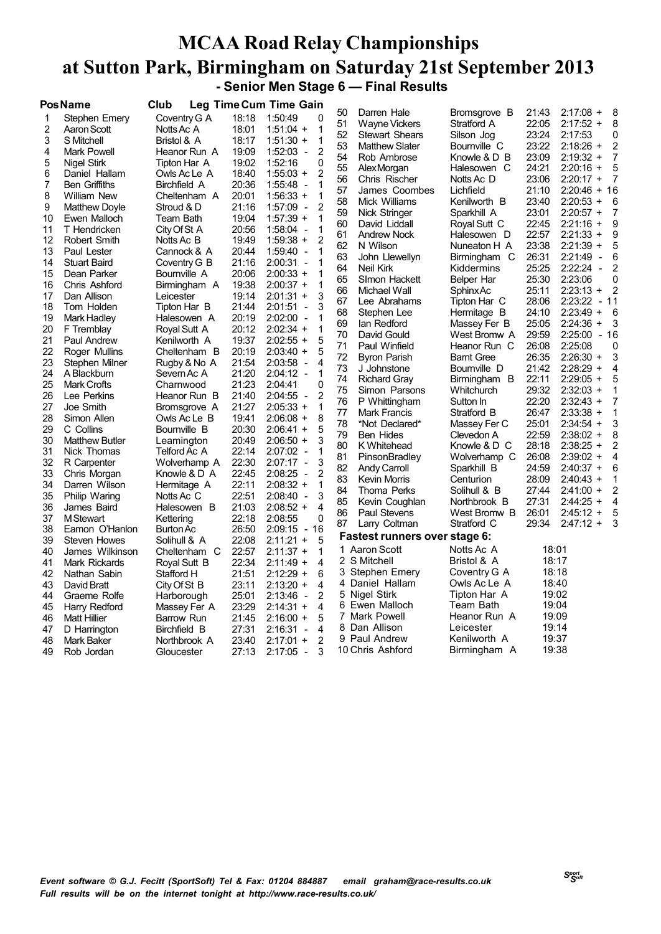#### **MCAA Road Relay Championships at Sutton Park, Birmingham on Saturday 21st September 2013 - Senior Men Stage 6 — Final Results**

|    | Pos Name              | Club             |       | Leg Time Cum Time Gain                   |    |                               |                   |       |                                          |
|----|-----------------------|------------------|-------|------------------------------------------|----|-------------------------------|-------------------|-------|------------------------------------------|
| 1  | Stephen Emery         | Coventry G A     | 18:18 | 1:50:49<br>0                             | 50 | Darren Hale                   | Bromsgrove B      | 21:43 | $2:17:08 +$<br>8                         |
| 2  | Aaron Scott           | Notts Ac A       | 18:01 | $1:51:04 +$<br>1                         | 51 | <b>Wayne Vickers</b>          | Stratford A       | 22:05 | $2:17:52 +$<br>8                         |
| 3  | S Mitchell            | Bristol & A      | 18:17 | 1<br>$1:51:30 +$                         | 52 | <b>Stewart Shears</b>         | Silson Jog        | 23:24 | 2:17:53<br>0                             |
| 4  | Mark Powell           | Heanor Run A     | 19:09 | 2<br>$1:52:03 -$                         | 53 | <b>Matthew Slater</b>         | Bournville C      | 23:22 | $2:18:26 +$<br>2                         |
| 5  | Nigel Stirk           | Tipton Har A     | 19:02 | 1:52:16<br>0                             | 54 | Rob Ambrose                   | Knowle & D B      | 23:09 | $2:19:32 +$<br>7                         |
| 6  | Daniel Hallam         | Owls Ac Le A     | 18:40 | $\overline{2}$<br>$1:55:03 +$            | 55 | AlexMorgan                    | Halesowen C       | 24:21 | $2:20:16 +$<br>5                         |
| 7  | Ben Griffiths         | Birchfield A     | 20:36 | 1:55:48<br>1<br>$\overline{\phantom{a}}$ | 56 | Chris Rischer                 | Notts Ac D        | 23:06 | $2:20:17 +$<br>7                         |
| 8  | <b>William New</b>    | Cheltenham A     | 20:01 | $1:56:33 +$<br>1                         | 57 | James Coombes                 | Lichfield         | 21:10 | $2:20:46 + 16$                           |
| 9  | <b>Matthew Doyle</b>  | Stroud & D       | 21:16 | $\overline{2}$<br>$1:57:09 -$            | 58 | Mick Williams                 | Kenilworth B      | 23:40 | $2:20:53 +$<br>6                         |
| 10 | Ewen Malloch          | Team Bath        | 19:04 | 1<br>$1:57:39 +$                         | 59 | Nick Stringer                 | Sparkhill A       | 23:01 | $2:20:57 +$<br>7                         |
| 11 | T Hendricken          | City Of St A     | 20:56 | $1:58:04 -$<br>1                         | 60 | David Liddall                 | Royal Sutt C      | 22:45 | $2:21:16 +$<br>9                         |
| 12 | Robert Smith          | Notts Ac B       | 19:49 | $\overline{2}$<br>$1:59:38 +$            | 61 | <b>Andrew Nock</b>            | Halesowen D       | 22:57 | $2:21:33 +$<br>9                         |
| 13 | Paul Lester           | Cannock & A      | 20:44 | $1:59:40 -$<br>1                         | 62 | N Wilson                      | Nuneaton H A      | 23:38 | $2:21:39 +$<br>5                         |
| 14 | <b>Stuart Baird</b>   | Coventry G B     | 21:16 | 2:00:31<br>1<br>$\overline{\phantom{a}}$ | 63 | John Llewellyn                | Birmingham C      | 26:31 | 2:21:49<br>$\overline{\phantom{a}}$<br>6 |
| 15 | Dean Parker           | Bournville A     | 20:06 | $2:00:33 +$<br>1                         | 64 | <b>Neil Kirk</b>              | Kiddermins        | 25:25 | 2:22:24<br>2<br>$\overline{\phantom{a}}$ |
| 16 | Chris Ashford         | Birmingham A     | 19:38 | $2:00:37 +$<br>1                         | 65 | SImon Hackett                 | Belper Har        | 25:30 | 2:23:06<br>0                             |
| 17 | Dan Allison           | Leicester        | 19:14 | 3<br>$2:01:31 +$                         | 66 | Michael Wall                  | SphinxAc          | 25:11 | $2:23:13 +$<br>2                         |
| 18 | Tom Holden            | Tipton Har B     | 21:44 | 2:01:51<br>3<br>$\overline{\phantom{a}}$ | 67 | Lee Abrahams                  | Tipton Har C      | 28:06 | 2:23:22<br>- 11                          |
| 19 | Mark Hadley           | Halesowen A      | 20:19 | $2:02:00 -$<br>1                         | 68 | Stephen Lee                   | Hermitage B       | 24:10 | $2:23:49 +$<br>6                         |
| 20 | F Tremblay            | Royal Sutt A     | 20:12 | $2:02:34 +$<br>1                         | 69 | lan Redford                   | Massey Fer B      | 25:05 | $2:24:36 +$<br>3                         |
| 21 | Paul Andrew           | Kenilworth A     | 19:37 | $2:02:55 +$<br>5                         | 70 | David Gould                   | West Bromw A      | 29:59 | 2:25:00 - 16                             |
| 22 | Roger Mullins         | Cheltenham B     | 20:19 | $2:03:40 +$<br>5                         | 71 | Paul Winfield                 | Heanor Run C      | 26:08 | 2:25:08<br>0                             |
| 23 | Stephen Milner        | Rugby & No A     | 21:54 | 2:03:58<br>4<br>$\overline{\phantom{a}}$ | 72 | <b>Byron Parish</b>           | <b>Barnt Gree</b> | 26:35 | $2:26:30 +$<br>3                         |
| 24 | A Blackburn           | Severn Ac A      | 21:20 | $2:04:12 -$<br>1                         | 73 | J Johnstone                   | Bournville D      | 21:42 | $2:28:29 +$<br>4                         |
| 25 | Mark Crofts           | Charnwood        | 21:23 | 0<br>2:04:41                             | 74 | <b>Richard Gray</b>           | Birmingham B      | 22:11 | $2:29:05 +$<br>5                         |
| 26 | Lee Perkins           | Heanor Run B     | 21:40 | 2<br>2:04:55<br>$\overline{\phantom{a}}$ | 75 | Simon Parsons                 | Whitchurch        | 29:32 | $2:32:03 +$                              |
| 27 | Joe Smith             | Bromsgrove A     | 21:27 | $2:05:33 +$<br>1                         | 76 | P Whittingham                 | Sutton In         | 22:20 | $2:32:43 +$<br>7                         |
| 28 | Simon Allen           | Owls Ac Le B     | 19:41 | 8<br>$2:06:08 +$                         | 77 | <b>Mark Francis</b>           | Stratford B       | 26:47 | $2:33:38 +$                              |
| 29 | C Collins             | Bournville B     | 20:30 | $2:06:41 +$<br>5                         | 78 | *Not Declared*                | Massey Fer C      | 25:01 | $2:34:54 +$<br>3                         |
| 30 | <b>Matthew Butler</b> | Leamington       | 20:49 | 3<br>$2:06:50 +$                         | 79 | <b>Ben Hides</b>              | Clevedon A        | 22:59 | $2:38:02 +$<br>8                         |
| 31 | Nick Thomas           | Telford Ac A     | 22:14 | $2:07:02 -$<br>1                         | 80 | K Whitehead                   | Knowle & D C      | 28:18 | $2:38:25 +$<br>2                         |
| 32 | R Carpenter           | Wolverhamp A     | 22:30 | 3<br>$2:07:17 -$                         | 81 | PinsonBradley                 | Wolverhamp C      | 26:08 | $2:39:02 +$<br>4                         |
| 33 | Chris Morgan          | Knowle & D A     | 22:45 | 2:08:25<br>2<br>$\overline{a}$           | 82 | <b>Andy Carroll</b>           | Sparkhill B       | 24:59 | $2:40:37 +$<br>6                         |
| 34 | Darren Wilson         | Hermitage A      | 22:11 | $2:08:32 +$<br>1                         | 83 | <b>Kevin Morris</b>           | Centurion         | 28:09 | $2:40:43 +$                              |
| 35 | Philip Waring         | Notts Ac C       | 22:51 | 3<br>$2:08:40 -$                         | 84 | Thoma Perks                   | Solihull & B      | 27:44 | $2:41:00 +$<br>2                         |
| 36 | James Baird           | Halesowen B      | 21:03 | 4<br>$2:08:52 +$                         | 85 | Kevin Coughlan                | Northbrook B      | 27:31 | $2:44:25 +$<br>4                         |
| 37 | <b>M</b> Stewart      | Kettering        | 22:18 | $\mathbf 0$<br>2:08:55                   | 86 | <b>Paul Stevens</b>           | West Bromw B      | 26:01 | $2:45:12 +$<br>5                         |
| 38 | Eamon O'Hanlon        | <b>Burton Ac</b> | 26:50 | $2:09:15 -$<br>16                        | 87 | Larry Coltman                 | Stratford C       | 29:34 | $2:47:12 +$<br>3                         |
| 39 | <b>Steven Howes</b>   | Solihull & A     | 22:08 | $2:11:21 +$<br>5                         |    | Fastest runners over stage 6: |                   |       |                                          |
| 40 | James Wilkinson       | Cheltenham C     | 22:57 | $2:11:37 +$<br>1                         |    | 1 Aaron Scott                 | Notts Ac A        | 18:01 |                                          |
| 41 | <b>Mark Rickards</b>  | Royal Sutt B     | 22:34 | $2:11:49 +$<br>4                         | 2  | S Mitchell                    | Bristol & A       | 18:17 |                                          |
| 42 | Nathan Sabin          | Stafford H       | 21:51 | $2:12:29 +$<br>6                         | 3  | Stephen Emery                 | Coventry G A      | 18:18 |                                          |
| 43 | David Bratt           | City Of St B     | 23:11 | $2:13:20 +$<br>4                         |    | 4 Daniel Hallam               | Owls Ac Le A      | 18:40 |                                          |
| 44 | Graeme Rolfe          | Harborough       | 25:01 | 2<br>$2:13:46 -$                         |    | 5 Nigel Stirk                 | Tipton Har A      | 19:02 |                                          |
| 45 | Harry Redford         | Massey Fer A     | 23:29 | 4<br>$2:14:31 +$                         | 6  | Ewen Malloch                  | Team Bath         | 19:04 |                                          |
| 46 | <b>Matt Hillier</b>   | Barrow Run       | 21:45 | $2:16:00 +$<br>5                         |    | 7 Mark Powell                 | Heanor Run A      | 19:09 |                                          |
| 47 | D Harrington          | Birchfield B     | 27:31 | 4<br>2:16:31<br>$\overline{\phantom{a}}$ | 8  | Dan Allison                   | Leicester         | 19:14 |                                          |
| 48 | Mark Baker            | Northbrook A     | 23:40 | $\overline{2}$<br>$2:17:01 +$            |    | 9 Paul Andrew                 | Kenilworth A      | 19:37 |                                          |
| 49 | Rob Jordan            | Gloucester       | 27:13 | 2:17:05 -<br>3                           |    | 10 Chris Ashford              | Birmingham A      | 19:38 |                                          |
|    |                       |                  |       |                                          |    |                               |                   |       |                                          |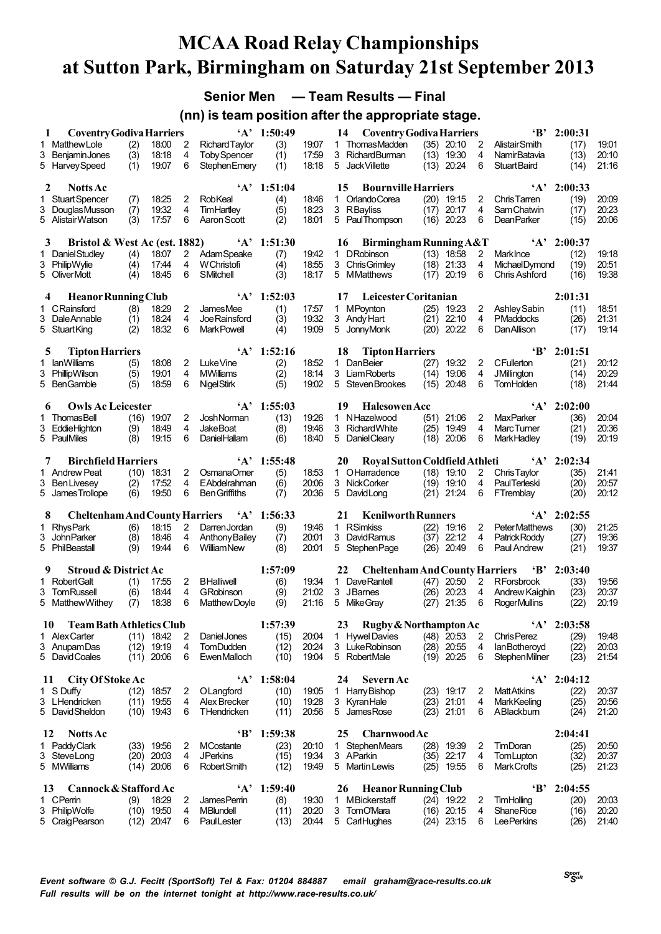**Senior Men — Team Results — Final**

**(nn) is team position after the appropriate stage.**

| 1       | <b>Coventry Godiva Harriers</b>                 |            |                |                     |                                         | $'A'$ 1:50:49  |                | 14           | <b>Coventry Godiva Harriers</b>                  |              |                              |                       | $\mathbf{B}$                           | 2:00:31               |                |
|---------|-------------------------------------------------|------------|----------------|---------------------|-----------------------------------------|----------------|----------------|--------------|--------------------------------------------------|--------------|------------------------------|-----------------------|----------------------------------------|-----------------------|----------------|
| 1.      | <b>Matthew Lole</b>                             | (2)        | 18:00          | 2                   | <b>Richard Taylor</b>                   | (3)            | 19:07          |              | 1 ThomasMadden                                   |              | $(35)$ 20:10                 | 2                     | Alistair Smith                         | (17)                  | 19.01          |
| 3       | Beniamin Jones                                  | (3)        | 18:18          | 4                   | <b>Toby Spencer</b>                     | (1)            | 17:59          |              | 3 Richard Burman                                 |              | $(13)$ 19:30                 | 4                     | <b>NamirBatavia</b>                    | (13)                  | 20:10          |
|         | 5 HarveySpeed                                   | (1)        | 19:07          | 6                   | <b>StephenEmery</b>                     | (1)            | 18:18          |              | 5 Jack Villette                                  |              | $(13)$ 20:24                 | 6                     | <b>StuartBaird</b>                     | (14)                  | 21:16          |
| 2       | <b>Notts Ac</b>                                 |            |                |                     |                                         | $'A'$ 1:51:04  |                | 15           | <b>Bournville Harriers</b>                       |              |                              |                       |                                        | $'A'$ 2:00:33         |                |
|         | 1 Stuart Spencer                                | (7)        | 18:25          | 2                   | RobKeal                                 | (4)            | 18:46          |              | 1 Orlando Corea                                  |              | $(20)$ 19:15                 | 2                     | <b>ChrisTarren</b>                     | (19)                  | 20:09          |
| 3       | Douglas Musson                                  | (7)        | 19:32          | 4                   | TimHartley                              | (5)            | 18:23          |              | 3 RBayliss                                       | (17)         | 20:17                        | 4                     | <b>SamChatwin</b>                      | (17)                  | 20:23          |
|         | 5 AlistairWatson                                | (3)        | 17:57          | 6                   | Aaron Scott                             | (2)            | 18:01          |              | 5 PaulThompson                                   | (16)         | 20:23                        | 6                     | <b>DeanParker</b>                      | (15)                  | 20:06          |
|         |                                                 |            |                |                     |                                         |                |                |              |                                                  |              |                              |                       |                                        |                       |                |
| 3<br>1. | Bristol & West Ac (est. 1882)<br>Daniel Studley | (4)        | 18:07          | 2                   | $\mathbf{A}$<br>AdamSpeake              | 1:51:30<br>(7) | 19:42          | 16           | <b>Birmingham Running A&amp;T</b><br>1 DRobinson |              | $(13)$ 18:58                 | $\mathbf{2}^{\prime}$ | <b>MarkInce</b>                        | $'A'$ 2:00:37<br>(12) | 19.18          |
|         | 3 PhilipWylie                                   | (4)        | 17:44          | 4                   | W Christofi                             | (4)            | 18:55          |              | 3 ChrisGrimley                                   |              | $(18)$ 21:33                 | 4                     | <b>MichaelDymond</b>                   | (19)                  | 20.51          |
|         | 5 OliverMott                                    | (4)        | 18:45          | 6                   | SMitchell                               | (3)            | 18:17          | 5            | MMatthews                                        | (17)         | 20:19                        | 6                     | Chris Ashford                          | (16)                  | 19:38          |
|         |                                                 |            |                |                     |                                         |                |                |              |                                                  |              |                              |                       |                                        |                       |                |
| 4       | <b>Heanor Running Club</b>                      |            |                |                     | $\mathbf{A}$                            | 1:52:03        |                | 17           | Leicester Coritanian                             |              |                              |                       |                                        | 2:01:31               |                |
| 1.      | CRainsford<br>3 DaleAnnable                     | (8)<br>(1) | 18:29<br>18:24 | $\overline{2}$<br>4 | <b>JamesMee</b><br><b>Joe Rainsford</b> | (1)<br>(3)     | 17:57<br>19:32 |              | 1 MPoynton<br>3 Andy Hart                        |              | $(25)$ 19:23<br>$(21)$ 22:10 | 2<br>4                | Ashley Sabin<br><b>PMaddocks</b>       | (11)<br>(26)          | 18.51<br>21:31 |
|         | 5 StuartKing                                    | (2)        | 18:32          | 6                   | <b>MarkPowell</b>                       | (4)            | 19:09          | 5            | JonnyMonk                                        | (20)         | 20:22                        | 6                     | <b>Dan Allison</b>                     | (17)                  | 19.14          |
|         |                                                 |            |                |                     |                                         |                |                |              |                                                  |              |                              |                       |                                        |                       |                |
| 5       | <b>Tipton Harriers</b>                          |            |                |                     | $\Delta$                                | 1:52:16        |                | 18           | <b>Tipton Harriers</b>                           |              |                              |                       | $\mathbf{B}$                           | 2:01:51               |                |
| 1.<br>3 | <b>lanWilliams</b>                              | (5)        | 18:08<br>19:01 | 2<br>4              | Luke Vine<br><b>MWilliams</b>           | (2)<br>(2)     | 18:52<br>18:14 | $\mathbf{1}$ | <b>DanBeier</b><br>3 Liam Roberts                | (27)<br>(14) | 19:32<br>19:06               | 2<br>4                | <b>CFullerton</b>                      | (21)                  | 20:12<br>20:29 |
|         | PhillipWilson<br>5 BenGamble                    | (5)<br>(5) | 18:59          | 6                   | <b>NigelStirk</b>                       | (5)            | 19:02          |              | 5 Steven Brookes                                 | (15)         | 20:48                        | 6                     | <b>JMillington</b><br><b>TomHolden</b> | (14)<br>(18)          | 21:44          |
|         |                                                 |            |                |                     |                                         |                |                |              |                                                  |              |                              |                       |                                        |                       |                |
| 6       | <b>Owls Ac Leicester</b>                        |            |                |                     | $\Delta$                                | 1:55:03        |                | 19           | <b>Halesowen Acc</b>                             |              |                              |                       |                                        | $'A'$ 2:02:00         |                |
|         | <b>ThomasBell</b>                               | (16)       | 19:07          | 2                   | <b>Josh Norman</b>                      | (13)           | 19:26          |              | 1 NHazelwood                                     |              | $(51)$ 21:06                 | 2                     | <b>MaxParker</b>                       | (36)                  | 20:04          |
|         | 3 EddieHighton<br>5 PaulMiles                   | (9)<br>(8) | 18:49<br>19:15 | 4<br>6              | <b>JakeBoat</b><br><b>DanielHallam</b>  | (8)<br>(6)     | 19:46<br>18:40 | 3            | <b>Richard White</b><br>5 DanielCleary           |              | $(25)$ 19:49<br>$(18)$ 20:06 | 4<br>6                | MarcTumer<br><b>MarkHadley</b>         | (21)<br>(19)          | 20:36<br>20:19 |
|         |                                                 |            |                |                     |                                         |                |                |              |                                                  |              |                              |                       |                                        |                       |                |
| 7       | <b>Birchfield Harriers</b>                      |            |                |                     |                                         | $'A'$ 1:55:48  |                | 20           | Royal Sutton Coldfield Athleti                   |              |                              |                       | $\mathbf{A}$                           | 2:02:34               |                |
|         | 1 Andrew Peat                                   |            | $(10)$ 18:31   | 2                   | OsmanaOmer                              | (5)            | 18:53          |              | 1 OHarradence                                    |              | $(18)$ 19:10                 | 2                     | Chris Taylor                           | (35)                  | 21:41          |
|         | 3 Ben Livesey<br>5 James Trollope               | (2)<br>(6) | 17:52<br>19:50 | 4<br>6              | EAbdelrahman<br><b>Ben Griffiths</b>    | (6)<br>(7)     | 20:06<br>20:36 | 5            | 3 NickCorker<br>DavidLong                        | (21)         | $(19)$ 19:10<br>21:24        | 4<br>6                | <b>PaulTerleski</b><br>FTremblay       | (20)<br>(20)          | 20:57<br>20:12 |
|         |                                                 |            |                |                     |                                         |                |                |              |                                                  |              |                              |                       |                                        |                       |                |
| 8       | <b>Cheltenham And County Harriers</b>           |            |                |                     |                                         | $'A'$ 1:56:33  |                | 21           | <b>Kenilworth Runners</b>                        |              |                              |                       |                                        | $A'$ 2:02:55          |                |
|         | 1 RhysPark                                      | (6)        | 18:15          | 2                   | DarrenJordan                            | (9)            | 19:46          | $\mathbf{1}$ | <b>RSimkiss</b>                                  | (22)         | 19:16                        | 2                     | <b>PeterMatthews</b>                   | (30)                  | 21:25          |
|         | 3 John Parker                                   | (8)        | 18:46          | 4                   | Anthony Bailey                          | (7)            | 20.01          | 3            | DavidRamus                                       | (37)         | 22:12                        | 4                     | Patrick Roddy                          | (27)                  | 19:36          |
|         | 5 PhilBeastall                                  | (9)        | 19:44          | 6                   | WilliamNew                              | (8)            | 20.01          | 5            | Stephen Page                                     | (26)         | 20:49                        | 6                     | Paul Andrew                            | (21)                  | 19.37          |
| 9       | <b>Stroud &amp; District Ac</b>                 |            |                |                     |                                         | 1:57:09        |                | 22           | <b>Cheltenham And County Harriers</b>            |              |                              |                       | $\mathbf{B}$                           | 2:03:40               |                |
| 1.      | <b>Robert Galt</b>                              | (1)        | 17:55          | $\overline{2}$      | <b>BHalliwell</b>                       | (6)            | 19:34          | 1            | Dave Rantell                                     |              | $(47)$ 20:50                 | $\overline{2}$        | <b>RForsbrook</b>                      | (33)                  | 19:56          |
|         | 3 TomRussell                                    | (6)        | 18:44          | 4                   | <b>GRobinson</b>                        | (9)            | 21:02          |              | 3 JBarnes                                        |              | $(26)$ 20:23                 | 4                     | Andrew Kaighin                         | (23)                  | 20:37          |
|         | 5 Matthew Withey                                | (7)        | 18:38          | 6                   | Matthew Dovle                           | (9)            | 21:16          | 5            | Mike Gray                                        | (27)         | 21:35                        | 6                     | <b>RogerMullins</b>                    | (22)                  | 20.19          |
| 10      | Team Bath Athletics Club                        |            |                |                     |                                         | 1:57:39        |                | 23           | Rugby & Northampton Ac                           |              |                              |                       | $\mathbf{A}$                           | 2:03:58               |                |
|         | 1 Alex Carter                                   |            | $(11)$ 18:42   | 2                   | Daniel Jones                            | (15)           | 20:04          | $\mathbf{1}$ | <b>Hywel Davies</b>                              |              | $(48)$ 20:53                 | 2                     | Chris Perez                            | (29)                  | 1948           |
|         | 3 AnupamDas<br>5 David Coales                   |            | $(12)$ 19:19   | 4                   | <b>TomDudden</b><br>Ewen Malloch        | (12)           | 20:24          |              | 3 LukeRobinson                                   |              | $(28)$ 20.55                 | 4                     | lan Botheroyd                          | (22)                  | 20.03          |
|         |                                                 |            | $(11)$ 20:06   | 6                   |                                         | (10)           | 19.04          |              | 5 RobertMale                                     |              | $(19)$ 20:25                 | 6                     | Stephen Milner                         | (23)                  | 21:54          |
| 11      | City Of Stoke Ac                                |            |                |                     |                                         | $'A'$ 1:58:04  |                | 24           | Severn Ac                                        |              |                              |                       |                                        | $'A'$ 2:04:12         |                |
|         | 1 S Duffy                                       | (12)       | 18:57          | 2                   | OLangford                               | (10)           | 19:05          |              | 1 Harry Bishop                                   |              | $(23)$ 19:17                 | 2                     | <b>MattAtkins</b>                      | (22)                  | 20:37          |
|         | 3 LHendricken                                   |            | $(11)$ 19:55   | 4                   | Alex Brecker                            | (10)           | 19:28          |              | 3 KyranHale                                      |              | $(23)$ 21:01                 | 4                     | <b>Mark Keeling</b>                    | (25)                  | 20:56          |
|         | 5 David Sheldon                                 |            | $(10)$ 19:43   | 6                   | THendricken                             | (11)           | 20:56          |              | 5 JamesRose                                      |              | $(23)$ 21:01                 | 6                     | ABlackbum                              | (24)                  | 21:20          |
| 12      | <b>Notts</b> Ac                                 |            |                |                     | 'В'                                     | 1:59:38        |                | 25           | <b>Charnwood Ac</b>                              |              |                              |                       |                                        | 2:04:41               |                |
|         | 1 Paddy Clark                                   |            | $(33)$ 19.56   | 2                   | <b>MCostante</b>                        | (23)           | 20:10          |              | 1 StephenMears                                   |              | $(28)$ 19:39                 | 2                     | TimDoran                               | (25)                  | 20.50          |
|         | 3 SteveLong                                     | (20)       | 20:03          | 4                   | <b>JPerkins</b>                         | (15)           | 19:34          | 3 AParkin    |                                                  |              | $(35)$ 22:17                 | 4                     | TomLupton                              | (32)                  | 20:37          |
|         | 5 MWilliams                                     | (14)       | 20:06          | 6                   | <b>Robert Smith</b>                     | (12)           | 19:49          |              | 5 Martin Lewis                                   |              | $(25)$ 19:55                 | 6                     | Mark Crofts                            | (25)                  | 21:23          |
| 13      | Cannock & Stafford Ac                           |            |                |                     | $\mathbf{A}$                            | 1:59:40        |                | 26           | <b>Heanor Running Club</b>                       |              |                              |                       | $\cdot$ B'                             | 2:04:55               |                |
|         | 1 CPemin                                        | (9)        | 18:29          | 2                   | James Perrin                            | (8)            | 19:30          |              | 1 MBickerstaff                                   |              | $(24)$ 19:22                 | 2                     | TimHolling                             | (20)                  | 20:03          |
|         | 3 PhilipWolfe                                   |            | $(10)$ 19:50   | 4                   | <b>MBlundell</b>                        | (11)           | 20:20          |              | 3 TomO'Mara                                      |              | $(16)$ 20:15                 | 4                     | <b>Shane Rice</b>                      | (16)                  | 20:20          |
|         | 5 Craig Pearson                                 | (12)       | 20:47          | 6                   | PaulLester                              | (13)           | 20:44          |              | 5 CarlHughes                                     |              | $(24)$ 23:15                 | 6                     | <b>LeePerkins</b>                      | (26)                  | 21:40          |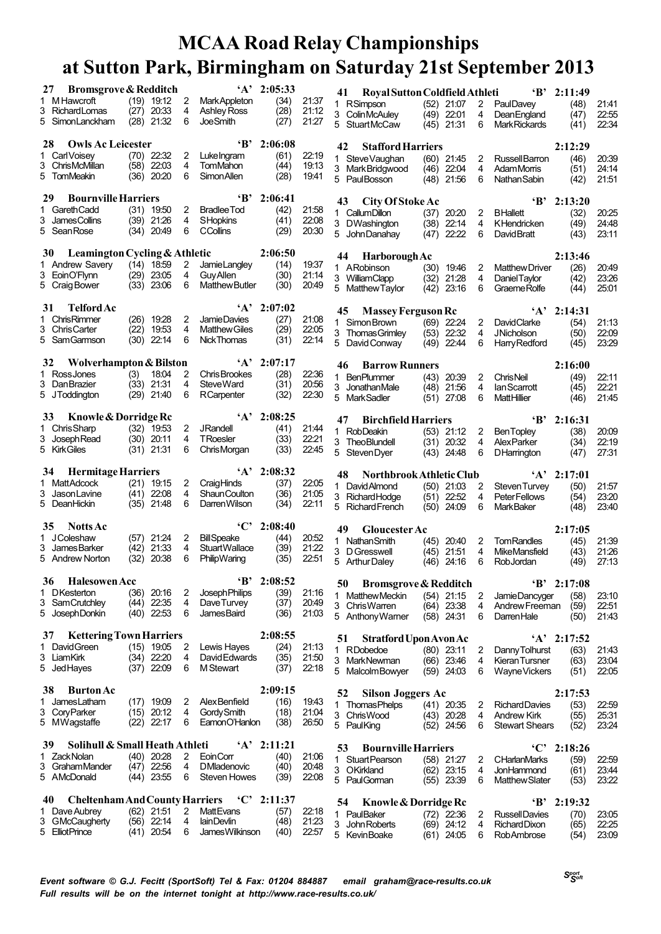|    | <b>Bromsgrove &amp; Redditch</b><br>27      |              |                            |        |                                  | $'A'$ 2:05:33 |                | Roval Sutton Coldfield Athleti<br>41   |                              |                | $\mathbf{B}$                                | 2:11:49       |                |
|----|---------------------------------------------|--------------|----------------------------|--------|----------------------------------|---------------|----------------|----------------------------------------|------------------------------|----------------|---------------------------------------------|---------------|----------------|
|    | 1 M Hawcroft                                |              | $(19)$ 19:12               | 2      | Mark Appleton                    | (34)          | 21:37          | 1 RSimpson                             | $(52)$ 21:07                 | 2              | PaulDavey                                   | (48)          | 21:41          |
|    | 3 Richard Lomas                             |              | $(27)$ 20:33               | 4      | <b>Ashley Ross</b>               | (28)          | 21:12          | 3 ColinMcAuley                         | $(49)$ 22:01                 | 4              | DeanEngland                                 | (47)          | 22.55          |
|    | 5 SimonLanckham                             |              | $(28)$ 21:32               | 6      | JoeSmith                         | (27)          | 21.27          | 5 StuartMcCaw                          | $(45)$ 21:31                 | 6              | <b>MarkRickards</b>                         | (41)          | 22:34          |
|    | <b>Owls Ac Leicester</b><br>28              |              |                            |        | $\mathbf{B}$                     | 2:06:08       |                |                                        |                              |                |                                             |               |                |
|    | 1 Carl Voisev                               |              | $(70)$ 22:32               | 2      | LukeIngram                       | (61)          | 22:19          | 42<br><b>Stafford Harriers</b>         |                              |                |                                             | 2:12:29       |                |
|    | 3 ChrisMcMillan                             | $(58)$ 22:03 |                            | 4      | TomMahon                         | (44)          | 19:13          | 1 SteveVaughan                         | $(60)$ 21:45                 | 2              | Russell Barron                              | (46)          | 20.39          |
|    | 5 TomMeakin                                 |              | $(36)$ 20:20               | 6      | Simon Allen                      | (28)          | 19:41          | 3 Mark Bridgwood<br>5 PaulBosson       | $(46)$ 22:04<br>$(48)$ 21:56 | 4<br>6         | <b>AdamMorris</b><br><b>Nathan Sabin</b>    | (51)<br>(42)  | 24:14<br>21:51 |
|    |                                             |              |                            |        |                                  |               |                |                                        |                              |                |                                             |               |                |
|    | <b>Bournville Harriers</b><br>29            |              |                            |        | 'R'                              | 2:06:41       |                | City Of Stoke Ac<br>43                 |                              |                | $\mathbf{B}^*$                              | 2:13:20       |                |
| 1. | <b>Gareth Cadd</b>                          |              | $(31)$ 19:50               | 2      | <b>Bradlee Tod</b>               | (42)          | 21.58          | 1 Callum Dillon                        | (37)<br>20:20                | 2              | <b>BHallett</b>                             | (32)          | 20:25          |
|    | 3 James Collins                             | $(39)$ 21:26 |                            | 4      | <b>SHopkins</b>                  | (41)          | 22:08          | 3 DWashington                          | $(38)$ 22:14                 | 4              | KHendricken                                 | (49)          | 24:48          |
|    | 5 Sean Rose                                 | $(34)$ 20:49 |                            | 6      | <b>CCollins</b>                  | (29)          | 20:30          | 5 John Danahay                         | 22:22<br>(47)                | 6              | David Bratt                                 | (43)          | 23:11          |
|    |                                             |              |                            |        |                                  |               |                |                                        |                              |                |                                             |               |                |
|    | Leamington Cycling & Athletic<br>30         |              |                            |        |                                  | 2:06:50       |                | <b>Harborough Ac</b><br>44             |                              |                |                                             | 2:13:46       |                |
|    | 1 Andrew Savery<br>3 EoinO'Flynn            | $(14)$ 18:59 | $(29)$ 23:05               | 2<br>4 | JamieLangley<br><b>Guy Allen</b> | (14)<br>(30)  | 19.37<br>21:14 | 1 ARobinson                            | $(30)$ 19:46                 | $\overline{2}$ | <b>Matthew Driver</b>                       | (26)          | 20:49          |
|    | 5 Craig Bower                               | $(33)$ 23:06 |                            | 6      | <b>Matthew Butler</b>            | (30)          | 20:49          | 3 WilliamClapp                         | (32)<br>21:28                | 4              | Daniel Taylor                               | (42)          | 23:26          |
|    |                                             |              |                            |        |                                  |               |                | 5 Matthew Taylor                       | 23:16<br>(42)                | 6              | Graeme Rolfe                                | (44)          | 25.01          |
|    | <b>Telford Ac</b><br>31                     |              |                            |        |                                  | $'A'$ 2:07:02 |                | <b>Massey Ferguson Rc</b><br>45        |                              |                | $\mathbf{A}$                                | 2:14:31       |                |
|    | 1 Chris Rimmer                              |              | (26) 19:28                 | 2      | Jamie Davies                     | (27)          | 21:08          | 1 Simon Brown                          | $(69)$ 22:24                 | $\overline{2}$ | <b>DavidClarke</b>                          | (54)          | 21.13          |
|    | 3 Chris Carter                              |              | (22) 19:53                 | 4      | <b>Matthew Giles</b>             | (29)          | 22:05          | 3 Thomas Grimley                       | $(53)$ 22:32                 | 4              | <b>JNicholson</b>                           | (50)          | 22:09          |
|    | 5 Sam Garmson                               | $(30)$ 22:14 |                            | 6      | Nick Thomas                      | (31)          | 22:14          | 5 David Conway                         | $(49)$ 22:44                 | 6              | Harry Redford                               | (45)          | 23.29          |
|    |                                             |              |                            |        |                                  |               |                |                                        |                              |                |                                             |               |                |
|    | Wolverhampton & Bilston<br>32               |              |                            |        |                                  | $A'$ 2:07:17  |                | <b>Barrow Runners</b><br>46            |                              |                |                                             | 2:16:00       |                |
|    | 1 Ross Jones                                | (3)          | 18:04                      | 2      | Chris Brookes                    | (28)          | 22:36          | 1 BenPlummer                           | $(43)$ 20:39                 | 2              | <b>ChrisNeil</b>                            | (49)          | 22:11          |
|    | 3 DanBrazier                                | $(33)$ 21:31 |                            | 4      | <b>Steve Ward</b>                | (31)          | 20:56          | 3 JonathanMale                         | $(48)$ 21:56                 | 4              | lan Scarrott                                | (45)          | 22:21          |
|    | 5 JToddington                               | $(29)$ 21:40 |                            | 6      | RCarpenter                       | (32)          | 22:30          | 5 MarkSadler                           | $(51)$ 27:08                 | 6              | <b>MattHillier</b>                          | (46)          | 21:45          |
|    | Knowle & Dorridge Rc<br>33                  |              |                            |        | $\mathbf{A}$                     | 2:08:25       |                |                                        |                              |                |                                             |               |                |
|    | 1 Chris Sharp                               |              | $(32)$ 19.53               | 2      | <b>JRandell</b>                  | (41)          | 21:44          | <b>Birchfield Harriers</b><br>47       |                              |                | $\mathbf{B}^*$                              | 2:16:31       |                |
|    | 3 Joseph Read                               | $(30)$ 20:11 |                            | 4      | TRoesler                         | (33)          | 22:21          | 1 RobDeakin                            | $(53)$ 21:12                 | 2<br>4         | <b>BenTopley</b>                            | (38)          | 20.09          |
|    | 5 KirkGiles                                 | $(31)$ 21:31 |                            | 6      | Chris Morgan                     | (33)          | 22:45          | 3 TheoBlundell<br>5 Steven Dyer        | $(31)$ 20:32<br>$(43)$ 24:48 | 6              | <b>AlexParker</b><br><b>DHarrington</b>     | (34)<br>(47)  | 22:19<br>27:31 |
|    |                                             |              |                            |        |                                  |               |                |                                        |                              |                |                                             |               |                |
|    |                                             |              |                            |        |                                  |               |                |                                        |                              |                |                                             |               |                |
|    | <b>Hermitage Harriers</b><br>34             |              |                            |        |                                  | $'A'$ 2:08:32 |                |                                        |                              |                |                                             |               |                |
|    | 1 MattAdcock                                |              | $(21)$ 19:15               | 2      | CraigHinds                       | (37)          | 22:05          | 48<br>Northbrook Athletic Club         |                              |                |                                             | $'A'$ 2:17:01 |                |
|    | 3 Jason Lavine                              | $(41)$ 22:08 |                            | 4      | <b>ShaunCoulton</b>              | (36)          | 21:05          | 1 David Almond                         | $(50)$ 21:03<br>$(51)$ 22.52 | 2<br>4         | Steven Turvey<br><b>PeterFellows</b>        | (50)<br>(54)  | 21.57<br>23:20 |
|    | 5 DeanHickin                                | $(35)$ 21:48 |                            | 6      | <b>Darren Wilson</b>             | (34)          | 22:11          | 3 Richard Hodge<br>5 Richard French    | (50)<br>24:09                | 6              | <b>MarkBaker</b>                            | (48)          | 23.40          |
|    |                                             |              |                            |        |                                  |               |                |                                        |                              |                |                                             |               |                |
|    | 35<br><b>Notts Ac</b>                       |              |                            |        | $\cdot$ C'                       | 2:08:40       |                | 49<br>Gloucester Ac                    |                              |                |                                             | 2:17:05       |                |
|    | 1 J Coleshaw                                |              | $(57)$ 21:24               | 2      | <b>Bill</b> Speake               | (44)          | 20:52          | 1 Nathan Smith                         | $(45)$ 20:40                 | 2              | <b>TomRandles</b>                           | (45)          | 21:39          |
|    | 3 James Barker                              |              | $(42)$ 21:33               | 4      | <b>Stuart Wallace</b>            | (39)          | 21:22          | 3 D Gresswell                          | 21.51<br>(45)                | 4              | <b>MikeMansfield</b>                        | (43)          | 21:26          |
|    | 5 Andrew Norton                             | $(32)$ 20:38 |                            | 6      | PhilipWaring                     | (35)          | 22:51          | 5 Arthur Daley                         | 24:16<br>(46)                | 6              | RobJordan                                   | (49)          | 27:13          |
|    | 36 Halesowen Acc                            |              |                            |        |                                  | $B'$ 2:08:52  |                |                                        |                              |                |                                             |               |                |
| 1  | <b>DKesterton</b>                           |              | $(36)$ 20:16               | 2      | <b>JosephPhilips</b>             | (39)          | 21:16          | <b>Bromsgrove &amp; Redditch</b><br>5V |                              |                |                                             | $B'$ 2:17:08  |                |
| 3  | <b>SamCrutchley</b>                         |              | (44) 22:35                 | 4      | Dave Turvey                      | (37)          | 20.49          | 1 Matthew Meckin                       | $(54)$ 21:15                 | 2<br>4         | JamieDancyger<br>Andrew Freeman             | (58)          | 23:10          |
|    | 5 Joseph Donkin                             | $(40)$ 22:53 |                            | 6      | James Baird                      | (36)          | 21:03          | 3 ChrisWarren<br>5 Anthony Warner      | $(64)$ 23:38<br>$(58)$ 24:31 | 6              | DarrenHale                                  | (59)<br>(50)  | 22:51<br>21:43 |
|    |                                             |              |                            |        |                                  |               |                |                                        |                              |                |                                             |               |                |
|    | <b>Kettering Town Harriers</b><br>37        |              |                            |        |                                  | 2:08:55       |                | <b>Stratford Upon Avon Ac</b><br>51    |                              |                |                                             | $A'$ 2:17:52  |                |
| 1  | David Green                                 |              | (15) 19:05                 | 2      | Lewis Hayes                      | (24)          | 21:13          | 1 RDobedoe                             | $(80)$ 23:11                 | 2              | Danny Tolhurst                              | (63)          | 21:43          |
|    | 3 LiamKirk                                  |              | (34) 22:20                 | 4      | David Edwards                    | (35)          | 21:50          | 3 MarkNewman                           | $(66)$ 23:46                 | 4              | <b>Kieran Tursner</b>                       | (63)          | 23:04          |
|    | 5 Jed Hayes                                 |              | $(37)$ 22:09               | 6      | M Stewart                        | (37)          | 22:18          | 5 MalcolmBowyer                        | $(59)$ 24:03                 | 6              | <b>WayneVickers</b>                         | (51)          | 22:05          |
|    |                                             |              |                            |        |                                  |               |                |                                        |                              |                |                                             |               |                |
| 1  | <b>Burton</b> Ac<br>38<br>JamesLatham       |              | (17) 19:09                 | 2      | Alex Benfield                    | 2:09:15       |                | <b>Silson Joggers Ac</b><br>52         |                              |                |                                             | 2:17:53       |                |
|    | 3 CoryParker                                |              | $(15)$ 20:12               | 4      | Gordy Smith                      | (16)<br>(18)  | 19:43<br>21:04 | 1 ThomasPhelps                         | $(41)$ 20:35                 | 2              | <b>Richard Davies</b>                       | (53)          | 22:59          |
|    | 5 MWagstaffe                                | $(22)$ 22:17 |                            | 6      | EamonO'Hanlon                    | (38)          | 26:50          | 3 ChrisWood<br>5 PaulKing              | $(43)$ 20:28<br>$(52)$ 24:56 | 4<br>6         | <b>Andrew Kirk</b><br><b>Stewart Shears</b> | (55)<br>(52)  | 25.31<br>23:24 |
|    |                                             |              |                            |        |                                  |               |                |                                        |                              |                |                                             |               |                |
|    | Solihull & Small Heath Athleti<br>39        |              |                            |        | $\mathbf{A}$                     | 2:11:21       |                | <b>Bournville Harriers</b><br>53       |                              |                | $\cdot$ C'                                  | 2:18:26       |                |
| 1. | Zack Nolan                                  |              | $(40)$ 20:28               | 2      | EoinCorr                         | (40)          | 21:06          | <b>StuartPearson</b><br>1.             | $(58)$ 21:27                 | 2              | <b>CHarlanMarks</b>                         | (59)          | 22.59          |
|    | 3 GrahamMander                              | $(47)$ 22:56 |                            | 4      | <b>DMIadenovic</b>               | (40)          | 20:48          | 3 OKirkland                            | (62) 23:15                   | 4              | JonHammond                                  | (61)          | 23:44          |
|    | 5 AMcDonald                                 | $(44)$ 23:55 |                            | 6      | Steven Howes                     | (39)          | 22:08          | 5 PaulGorman                           | $(55)$ 23:39                 | 6              | <b>Matthew Slater</b>                       | (53)          | 23.22          |
|    |                                             |              |                            |        |                                  |               |                |                                        |                              |                |                                             |               |                |
| 1  | <b>Cheltenham And County Harriers</b><br>40 |              |                            | 2      | $\cdot$ C'<br>MattEvans          | 2:11:37       |                | Knowle & Dorridge Rc<br>54             |                              |                | $\mathbf{B}^*$                              | 2:19:32       |                |
|    | Dave Aubrey<br>3 GMcCaugherty               |              | (62) 21:51<br>$(56)$ 22:14 | 4      | lainDevlin                       | (57)<br>(48)  | 22:18<br>21:23 | PaulBaker<br>1.                        | $(72)$ 22:36                 | 2              | <b>Russell Davies</b>                       | (70)          | 23:05          |
|    | 5 ElliotPrince                              |              | $(41)$ 20:54               | 6      | James Wilkinson                  | (40)          | 22:57          | 3<br>John Roberts<br>5 KevinBoake      | $(69)$ 24:12<br>$(61)$ 24:05 | 4<br>6         | Richard Dixon<br>RobAmbrose                 | (65)<br>(54)  | 22:25<br>23.09 |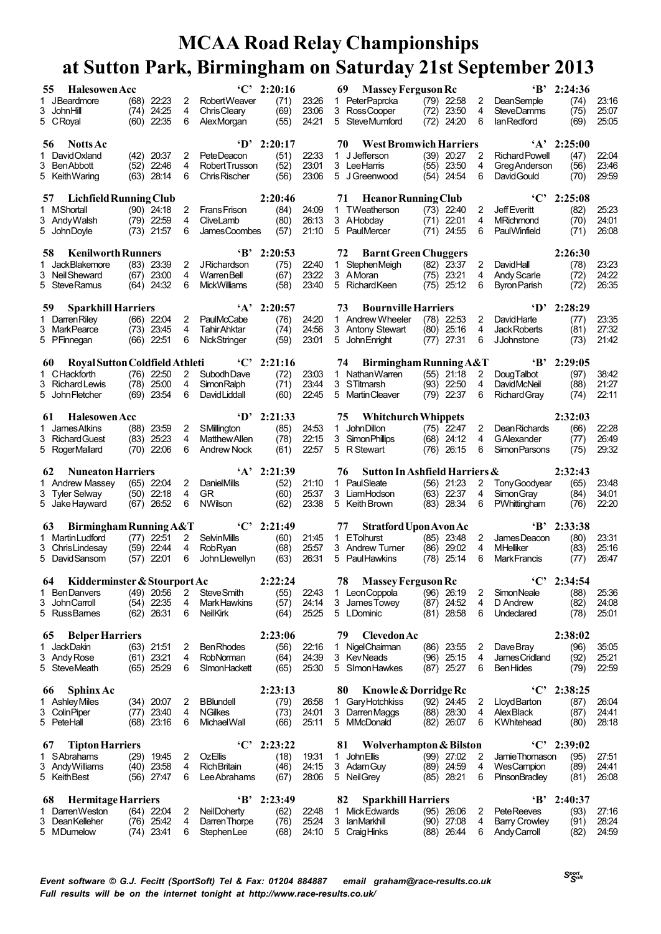| 55 | <b>Halesowen Acc</b>                                 |                              |       |        | $\mathbf{C}$                          | 2:20:16         |                | <b>Massey Ferguson Rc</b><br>69               |                               |        |                                        | $B'$ 2:24:36         |                |
|----|------------------------------------------------------|------------------------------|-------|--------|---------------------------------------|-----------------|----------------|-----------------------------------------------|-------------------------------|--------|----------------------------------------|----------------------|----------------|
|    | 1 JBeardmore<br>3 John Hill                          | $(68)$ 22:23<br>(74)         | 24.25 | 2<br>4 | Robert Weaver<br>Chris Cleary         | (71)<br>(69)    | 23:26<br>23.06 | 1 PeterPaprcka<br>3 RossCooper                | $(79)$ 22:58<br>(72)<br>23.50 | 2<br>4 | <b>DeanSemple</b><br><b>SteveDamms</b> | (74)<br>(75)         | 23.16<br>25.07 |
|    | 5 CRoyal                                             | $(60)$ 22:35                 |       | 6      | AlexMorgan                            | (55)            | 24.21          | 5 SteveMumford                                | (72)<br>24.20                 | 6      | lan Redford                            | (69)                 | 25:05          |
| 56 | <b>Notts Ac</b>                                      |                              |       |        | ·D'                                   | 2:20:17         |                | 70<br><b>West Bromwich Harriers</b>           |                               |        |                                        | $'A'$ 2:25:00        |                |
|    | David Oxland                                         | $(42)$ 20:37                 |       | 2      | PeteDeacon                            | (51)            | 22:33          | J Jefferson<br>$\mathbf{1}$                   | $(39)$ 20:27                  | 2      | <b>Richard Powell</b>                  | (47)                 | 22:04          |
|    | 3 BenAbbott                                          | (52) 22:46                   |       | 4      | <b>RobertTrusson</b>                  | (52)            | 23:01          | 3 Lee Harris                                  | $(55)$ 23:50                  | 4      | Greg Anderson                          | (56)                 | 23.46          |
|    | 5 Keith Waring                                       | (63)                         | 28:14 | 6      | Chris Rischer                         | (56)            | 23.06          | 5 J Greenwood                                 | (54)<br>24.54                 | 6      | David Gould                            | (70)                 | 29.59          |
| 57 | Lichfield Running Club                               |                              |       |        |                                       | 2:20:46         |                | <b>Heanor Running Club</b><br>71              |                               |        | $\cdot$ $C$                            | 2:25:08              |                |
|    | 1 MShortall                                          | $(90)$ 24:18                 |       | 2      | <b>FransFrison</b>                    | (84)            | 24:09          | 1 TWeatherson                                 | $(73)$ 22:40                  | 2      | <b>Jeff</b> Everitt                    | (82)                 | 25.23          |
|    | 3 Andy Walsh<br>5 John Doyle                         | $(79)$ 22:59<br>$(73)$ 21:57 |       | 4<br>6 | CliveLamb<br>James Coombes            | (80)<br>(57)    | 26:13<br>21:10 | 3 AHobdav<br>5 PaulMercer                     | $(71)$ 22:01<br>(71)<br>24.55 | 4<br>6 | MRichmond<br><b>PaulWinfield</b>       | (70)<br>(71)         | 24.01<br>26.08 |
| 58 | <b>Kenilworth Runners</b>                            |                              |       |        | $\mathbf{B}$                          | 2:20:53         |                | <b>Barnt Green Chuggers</b><br>72             |                               |        |                                        | 2:26:30              |                |
|    | 1 JackBlakemore                                      | $(83)$ 23:39                 |       | 2      | <b>JRichardson</b>                    | (75)            | 22:40          | 1 StephenMeigh                                | $(82)$ 23.37                  | 2      | DavidHall                              | (78)                 | 23:23          |
|    | 3 Neil Sheward                                       | $(67)$ 23:00                 |       | 4      | WarrenBell                            | (67)            | 23:22          | 3 AMoran                                      | $(75)$ 23:21                  | 4      | <b>Andy Scarle</b>                     | (72)                 | 24:22          |
|    | 5 SteveRamus                                         | $(64)$ 24:32                 |       | 6      | <b>MickWilliams</b>                   | (58)            | 23:40          | 5 Richard Keen                                | $(75)$ 25:12                  | 6      | Byron Parish                           | (72)                 | 26.35          |
| 59 | <b>Sparkhill Harriers</b>                            |                              |       |        | $\mathbf{A}$                          | 2:20:57         |                | 73<br><b>Bournville Harriers</b>              |                               |        | $\mathbf{D}^{\ast}$                    | 2:28:29              |                |
|    | 1 Darren Riley                                       | $(66)$ 22:04                 |       | 2      | PaulMcCabe                            | (76)            | 24:20          | 1 Andrew Wheeler                              | $(78)$ 22:53                  | 2      | DavidHarte                             | (77)                 | 23.35          |
|    | 3 MarkPearce                                         | $(73)$ 23:45                 |       | 4      | <b>Tahir Ahktar</b>                   | (74)            | 24:56          | 3 Antony Stewart                              | 25.16<br>(80)                 | 4      | Jack Roberts                           | (81)                 | 27:32          |
|    | 5 PFinnegan                                          | $(66)$ 22:51                 |       | 6      | <b>NickStringer</b>                   | (59)            | 23.01          | 5 John Enright                                | 27:31<br>(77)                 | 6      | <b>JJohnstone</b>                      | (73)                 | 21:42          |
| 60 | Royal Sutton Coldfield Athleti                       |                              |       |        | $\cdot$ C                             | 2:21:16         |                | Birmingham Running A&T<br>74                  |                               |        | $\mathbf{B}$                           | 2:29:05              |                |
|    | 1 CHackforth                                         | $(76)$ 22:50                 |       | 2      | Subodh Dave                           | (72)            | 23.03          | 1 Nathan Warren                               | $(55)$ 21:18                  | 2      | <b>Doug Talbot</b>                     | (97)                 | 38.42          |
|    | 3 Richard Lewis                                      | (78) 25:00                   |       | 4      | <b>Simon Ralph</b>                    | (71)            | 23:44          | 3 STitmarsh                                   | (93) 22:50                    | 4      | <b>DavidMcNeil</b>                     | (88)                 | 21:27          |
|    | 5 John Fletcher                                      | $(69)$ 23:54                 |       | 6      | David Liddall                         | (60)            | 22:45          | 5 Martin Cleaver                              | $(79)$ 22:37                  | 6      | Richard Gray                           | (74)                 | 22:11          |
| 61 | <b>Halesowen Acc</b>                                 |                              |       |        | $\mathbf{D}^{\ast}$                   | 2:21:33         |                | <b>Whitchurch Whippets</b><br>75              |                               |        |                                        | 2:32:03              |                |
|    | 1 James Atkins                                       | (88) 23:59                   |       | 2      | SMillington                           | (85)            | 24:53          | <b>JohnDillon</b><br>$\mathbf{1}$             | $(75)$ 22:47                  | 2      | <b>DeanRichards</b>                    | (66)                 | 22:28          |
|    | 3 Richard Guest                                      | $(83)$ 25:23                 |       | 4      | <b>Matthew Allen</b>                  | (78)            | 22:15          | 3 Simon Phillips                              | $(68)$ 24:12                  | 4      | GAlexander                             | (77)                 | 26.49<br>29.32 |
|    | 5 RogerMallard                                       | $(70)$ 22:06                 |       | 6      | <b>Andrew Nock</b>                    | (61)            | 22:57          | 5 R Stewart                                   | $(76)$ 26:15                  | 6      | Simon Parsons                          | (75)                 |                |
|    |                                                      |                              |       |        |                                       |                 |                |                                               |                               |        |                                        |                      |                |
| 62 | <b>Nuneaton Harriers</b>                             |                              |       |        | $\mathbf{A}$                          | 2:21:39         |                | Sutton In Ashfield Harriers &<br>76           |                               |        |                                        | 2:32:43              |                |
|    | 1 Andrew Massey                                      | (65) 22:04                   |       | 2      | <b>DanielMills</b>                    | (52)            | 21:10          | 1 PaulSleate                                  | $(56)$ 21:23                  | 2      | Tony Goodyear                          | (65)                 | 23.48          |
|    | 3 Tyler Selway<br>5 Jake Hayward                     | $(50)$ 22:18<br>$(67)$ 26:52 |       | 4<br>6 | GR<br><b>NWilson</b>                  | (60)<br>(62)    | 25.37<br>23:38 | 3 LiamHodson<br>5 Keith Brown                 | $(63)$ 22:37<br>$(83)$ 28:34  | 4<br>6 | <b>Simon Gray</b><br>PWhittingham      | (84)<br>(76)         | 34:01<br>22:20 |
|    |                                                      |                              |       |        |                                       |                 |                |                                               |                               |        |                                        |                      |                |
| 63 | Birmingham Running A&T                               |                              |       |        |                                       | $°C$ 2:21:49    |                | <b>Stratford Upon Avon Ac</b><br>77           |                               |        | $\mathbf{B}$                           | 2:33:38              |                |
|    | 1 Martin Ludford                                     | $(77)$ 22:51                 |       | 2      | <b>SelvinMills</b>                    | (60)            | 21:45          | 1 ETolhurst                                   | (85) 23.48                    | 2      | James Deacon                           | (80)                 | 23.31          |
|    | 3 ChrisLindesay<br>5 David Sansom                    | $(59)$ 22:44<br>$(57)$ 22:01 |       | 4<br>6 | RobRyan<br>John Llewellyn             | (68)<br>(63)    | 25.57<br>26:31 | 3 Andrew Turner<br>5 PaulHawkins              | $(86)$ 29:02<br>$(78)$ 25:14  | 4<br>6 | <b>MHelliker</b><br>Mark Francis       | (83)<br>(77)         | 25.16<br>26:47 |
|    |                                                      |                              |       |        |                                       |                 |                |                                               |                               |        |                                        |                      |                |
| 1. | 64 Kidderminster & Stourport Ac<br><b>BenDanvers</b> | $(49)$ 20:56                 |       | 2      | <b>Steve Smith</b>                    | 2:22:24<br>(55) | 22:43          | 78 Massey Ferguson Rc                         | $(96)$ 26:19                  | 2      | <b>SimonNeale</b>                      | $°C$ 2:34:54<br>(88) | 2536           |
|    | 3 John Carroll                                       | (54) 22:35                   |       | 4      | Mark Hawkins                          | (57)            | 24:14          | 1 LeonCoppola<br>3 James Towey                | (87) 24:52                    | 4      | D Andrew                               | (82)                 | 24:08          |
|    | 5 RussBarnes                                         | $(62)$ 26:31                 |       | 6      | <b>NeilKirk</b>                       | (64)            | 25:25          | 5 LDominic                                    | $(81)$ 28:58                  | 6      | Undeclared                             | (78)                 | 25:01          |
| 65 | <b>Belper Harriers</b>                               |                              |       |        |                                       | 2:23:06         |                | <b>Clevedon Ac</b><br>79                      |                               |        |                                        | 2:38:02              |                |
| 1  | JackDakin                                            | $(63)$ 21:51                 |       | 2      | <b>Ben Rhodes</b>                     | (56)            | 22:16          | 1 NigelChairman                               | (86) 23:55                    | 2      | Dave Bray                              | (96)                 | 35.05          |
|    | 3 Andy Rose                                          | $(61)$ 23:21                 |       | 4      | RobNorman                             | (64)            | 24:39          | 3 KevNeads                                    | $(96)$ 25:15                  | 4      | James Cridland                         | (92)                 | 25.21          |
|    | 5 SteveMeath                                         | $(65)$ 25:29                 |       | 6      | SImonHackett                          | (65)            | 25.30          | 5 SImon Hawkes                                | $(87)$ 25:27                  | 6      | <b>BenHides</b>                        | (79)                 | 22:59          |
| 66 | <b>Sphinx Ac</b>                                     |                              |       |        |                                       | 2:23:13         |                | Knowle & Dorridge Rc<br>80                    |                               |        | $\cdot$ C'                             | 2:38:25              |                |
|    | 1 AshleyMiles                                        | $(34)$ 20:07                 |       | 2      | <b>BBlundell</b>                      | (79)            | 26.58          | 1 Gary Hotchkiss                              | $(92)$ 24:45                  | 2      | Lloyd Barton                           | (87)                 | 26.04          |
|    | 3 Colin Piper<br>5 PeteHall                          | $(77)$ 23:40<br>$(68)$ 23:16 |       | 4<br>6 | <b>NGilkes</b><br><b>Michael Wall</b> | (73)<br>(66)    | 24:01<br>25.11 | 3 Darren Maggs<br>5 MMcDonald                 | $(88)$ 28:30<br>$(82)$ 26:07  | 4<br>6 | <b>AlexBlack</b><br>KWhitehead         | (87)<br>(80)         | 24:41<br>28:18 |
|    |                                                      |                              |       |        |                                       |                 |                |                                               |                               |        |                                        |                      |                |
| 67 | <b>Tipton Harriers</b><br>1 SAbrahams                |                              |       | 2      | $\cdot$ C'<br><b>OzEllis</b>          | 2:23:22         |                | Wolverhampton & Bilston<br>81<br>1 John Ellis |                               | 2      | $\cdot$ C'<br>Jamie Thomason           | 2:39:02              |                |
|    | 3 Andy Williams                                      | $(29)$ 19:45<br>$(40)$ 23:58 |       | 4      | <b>Rich Britain</b>                   | (18)<br>(46)    | 19:31<br>24:15 | 3 Adam Guy                                    | $(99)$ 27:02<br>$(89)$ 24.59  | 4      | WesCampion                             | (95)<br>(89)         | 27:51<br>24:41 |
|    | 5 Keith Best                                         | (56) 27:47                   |       | 6      | Lee Abrahams                          | (67)            | 28.06          | 5 Neil Grey                                   | $(85)$ 28:21                  | 6      | PinsonBradley                          | (81)                 | 26.08          |
| 68 | <b>Hermitage Harriers</b>                            |                              |       |        | $\mathbf{B}$                          | 2:23:49         |                | 82<br><b>Sparkhill Harriers</b>               |                               |        | $\mathbf{B}$                           | 2:40:37              |                |
| 1  | Darren Weston                                        | $(64)$ 22:04                 |       | 2      | Neil Doherty                          | (62)            | 22:48          | Mick Edwards<br>1                             | (95) 26:06                    | 2      | <b>PeteReeves</b>                      | (93)                 | 27:16          |
|    | 3 DeanKelleher<br>5 MDumelow                         | $(76)$ 25:42<br>$(74)$ 23:41 |       | 4<br>6 | Darren Thorpe<br>Stephen Lee          | (76)<br>(68)    | 25:24<br>24:10 | 3 IanMarkhill<br>5 CraigHinks                 | $(90)$ 27:08<br>$(88)$ 26:44  | 4<br>6 | <b>Barry Crowley</b><br>Andy Carroll   | (91)<br>(82)         | 28:24<br>24:59 |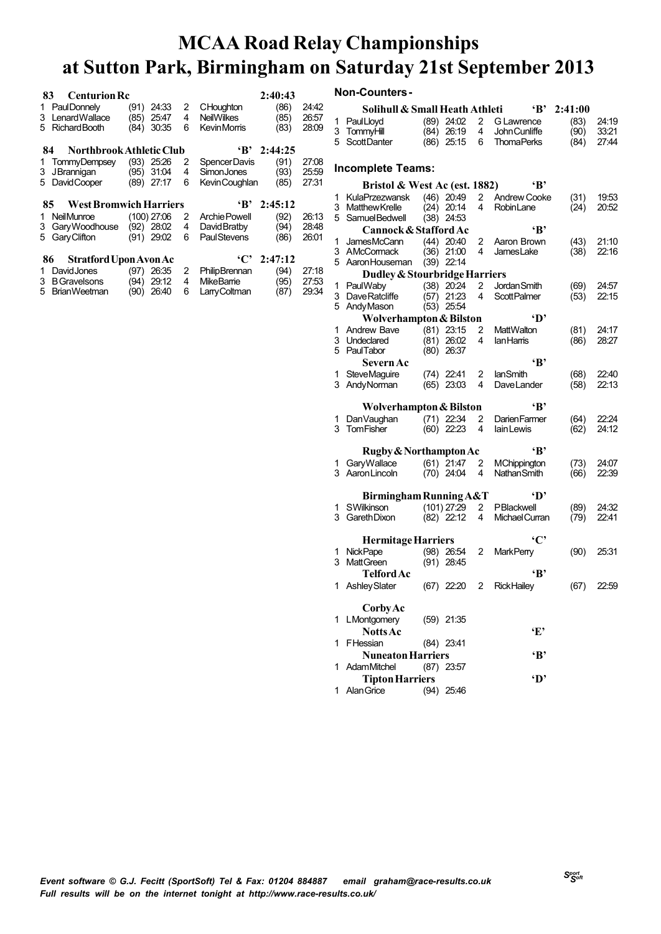| 1.<br>3<br>5 | <b>Centurion Rc</b><br>83.<br>PaulDonnely<br>Lenard Wallace<br>Richard Booth | (91)<br>(85)<br>(84) | 24:33<br>25:47<br>30.35                | 2<br>4<br>6 | <b>CHoughton</b><br><b>NeilWilkes</b><br>KevinMorris | 2:40:43<br>(86)<br>(85)<br>(83) | 24:42<br>26.57<br>28:09 |
|--------------|------------------------------------------------------------------------------|----------------------|----------------------------------------|-------------|------------------------------------------------------|---------------------------------|-------------------------|
|              | Northbrook Athletic Club<br>84                                               |                      |                                        |             | $\mathbf{B}^*$                                       | 2:44:25                         |                         |
| 1<br>3<br>5. | TommyDempsey<br>JBrannigan (95)<br>David Cooper                              | (93)                 | 25:26<br>31:04<br>$(89)$ 27:17         | 2<br>4<br>6 | Spencer Davis<br>SimonJones<br>Kevin Coughlan        | (91)<br>(93)<br>(85)            | 27:08<br>25.59<br>27:31 |
|              | 85 West Bromwich Harriers                                                    |                      |                                        |             | $\mathbf{B}$                                         | 2:45:12                         |                         |
|              |                                                                              |                      |                                        |             |                                                      |                                 |                         |
| 1<br>3<br>5  | Neil Munroe<br>Gary Woodhouse<br>Gary Clifton                                | (91)                 | $(100)$ 27:06<br>$(92)$ 28:02<br>29:02 | 2<br>4<br>6 | Archie Powell<br>David Bratby<br><b>PaulStevens</b>  | (92)<br>(94)<br>(86)            | 26:13<br>28:48<br>26:01 |
|              | 86<br><b>Stratford Upon Avon Ac</b>                                          |                      |                                        |             | $\cdot$ C'                                           | 2:47:12                         |                         |

|    | <b>Non-Counters -</b>          |               |                       |                         |         |       |
|----|--------------------------------|---------------|-----------------------|-------------------------|---------|-------|
|    | Solihull & Small Heath Athleti |               |                       | ʻВ'                     | 2:41:00 |       |
| 1  | PaulLloyd                      | $(89)$ 24:02  | 2                     | G Lawrence              | (83)    | 24:19 |
| 3  | TommyHill                      | (84) 26:19    | $\overline{4}$        | <b>John Cunliffe</b>    | (90)    | 33:21 |
| 5. | <b>ScottDanter</b>             | $(86)$ 25:15  | 6                     | <b>ThomaPerks</b>       | (84)    | 27:44 |
|    | <b>Incomplete Teams:</b>       |               |                       |                         |         |       |
|    | Bristol & West Ac (est. 1882)  |               |                       | ʻВ'                     |         |       |
| 1  | <b>KulaPrzezwansk</b>          | $(46)$ 20:49  | $\overline{2}$        | Andrew Cooke            | (31)    | 19.53 |
|    | 3 Matthew Krelle               | $(24)$ 20:14  | 4                     | RobinLane               | (24)    | 20.52 |
|    | 5 SamuelBedwell                | $(38)$ 24:53  |                       |                         |         |       |
|    | Cannock & Stafford Ac          |               |                       | ʻВ'                     |         |       |
| 1  | JamesMcCann                    | $(44)$ 20:40  | 2                     | Aaron Brown             | (43)    | 21:10 |
|    | 3 AMcCormack                   | $(36)$ 21:00  | 4                     | <b>JamesLake</b>        | (38)    | 22:16 |
|    | 5 Aaron Houseman               | $(39)$ 22:14  |                       |                         |         |       |
|    | Dudley & Stourbridge Harriers  |               |                       |                         |         |       |
| 1  | PaulWaby                       | $(38)$ 20:24  | 2                     | Jordan Smith            | (69)    | 24.57 |
|    | 3 DaveRatcliffe                | $(57)$ 21:23  | 4                     | <b>ScottPalmer</b>      | (53)    | 22:15 |
| 5  | Andy Mason                     | $(53)$ 25:54  |                       |                         |         |       |
|    | Wolverhampton & Bilston        |               |                       | ·n'                     |         |       |
| 1  | <b>Andrew Bave</b>             | $(81)$ 23:15  | 2                     | MattWalton              | (81)    | 24:17 |
|    | 3 Undeclared                   | $(81)$ 26:02  | 4                     | <b>lanHarris</b>        | (86)    | 28:27 |
|    | 5 PaulTabor                    | $(80)$ 26:37  |                       |                         |         |       |
|    | Severn Ac                      |               |                       | ʻВ'                     |         |       |
| 1  | <b>SteveMaguire</b>            | (74) 22:41    | 2                     | lanSmith                | (68)    | 22.40 |
|    | 3 Andy Norman                  | $(65)$ 23.03  | 4                     | DaveLander              | (58)    | 22:13 |
|    | Wolverhampton & Bilston        |               |                       | ٠R,                     |         |       |
| 1  | Dan Vaughan                    | $(71)$ 22:34  | 2                     | Darien Farmer           | (64)    | 22:24 |
|    | 3 TomFisher                    | $(60)$ 22:23  | 4                     | lain Lewis              | (62)    | 24:12 |
|    | Rugby & Northampton Ac         |               |                       | ٠R,                     |         |       |
| 1  | Gary Wallace                   | $(61)$ 21:47  | $\overline{2}$        | MChippington            | (73)    | 24:07 |
|    | 3 Aaron Lincoln                | $(70)$ 24:04  | 4                     | Nathan Smith            | (66)    | 22:39 |
|    |                                |               |                       |                         |         |       |
|    | Birmingham Running A&T         |               |                       | 'D'                     |         |       |
| 1  | <b>SWilkinson</b>              | $(101)$ 27:29 | $\mathbf{2}^{\prime}$ | PBlackwell              | (89)    | 24:32 |
| 3  | Gareth Dixon                   | $(82)$ 22:12  | $\overline{4}$        | Michael Curran          | (79)    | 22.41 |
|    | <b>Hermitage Harriers</b>      |               |                       | 'C'                     |         |       |
| 1  | <b>NickPape</b>                | $(98)$ 26:54  | 2                     | <b>MarkPerry</b>        | (90)    | 25.31 |
| 3  | <b>MattGreen</b>               | $(91)$ 28:45  |                       |                         |         |       |
|    | <b>Telford Ac</b>              |               |                       | $\mathbf{B}$            |         |       |
|    | 1 AshleySlater                 |               |                       | (67) 22:20 2 RickHailey | (67)    | 22.59 |
|    |                                |               |                       |                         |         |       |
|    | <b>Corby Ac</b>                |               |                       |                         |         |       |
| 1  | LMontgomery                    | $(59)$ 21:35  |                       |                         |         |       |
|    | <b>Notts</b> Ac                |               |                       | ٠Ę,                     |         |       |
| 1  | FHessian                       | $(84)$ 23:41  |                       |                         |         |       |
|    | <b>Nuneaton Harriers</b>       |               |                       | ٠в,                     |         |       |
| 1  | <b>AdamMitchel</b>             | $(87)$ 23.57  |                       |                         |         |       |

**TiptonHarriers 'D'** AlanGrice (94) 25:46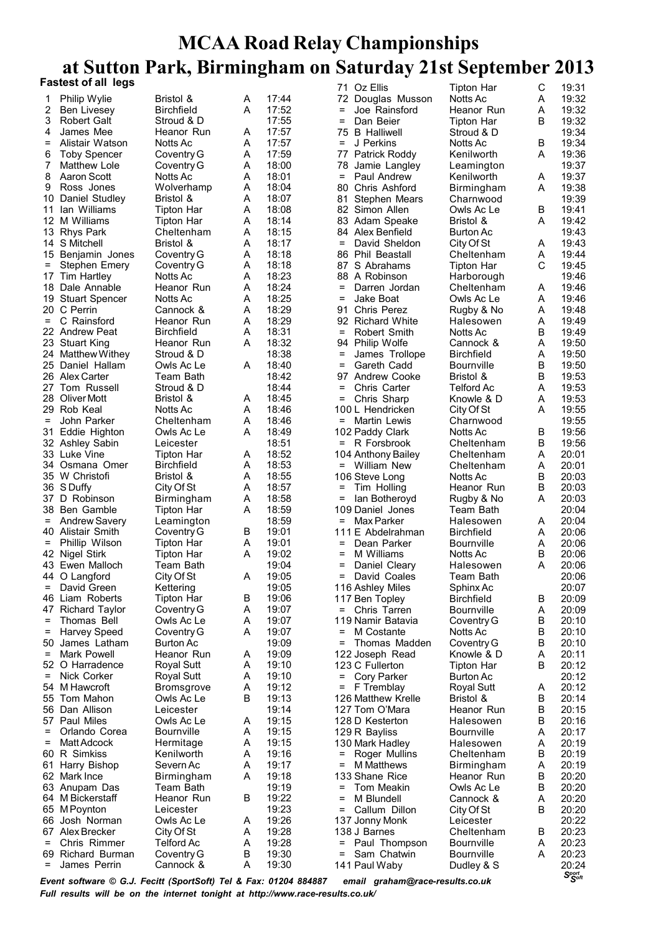|                   | <b>Fastest of all legs</b>      |                                 |        |                | 71 Oz Ellis                                  | Tipton Har                  | C      | 19:31          |
|-------------------|---------------------------------|---------------------------------|--------|----------------|----------------------------------------------|-----------------------------|--------|----------------|
| 1                 | Philip Wylie                    | Bristol &                       | Α      | 17:44          | 72 Douglas Musson                            | Notts Ac                    | A      | 19:32          |
| 2                 | Ben Livesey                     | <b>Birchfield</b>               | A      | 17:52          | Joe Rainsford<br>$=$                         | Heanor Run                  | A      | 19:32          |
| 3                 | Robert Galt                     | Stroud & D                      |        | 17:55          | Dan Beier<br>$=$                             | <b>Tipton Har</b>           | B      | 19:32          |
| 4                 | James Mee                       | Heanor Run                      | Α      | 17:57          | <b>B</b> Halliwell<br>75                     | Stroud & D                  |        | 19:34          |
| $=$               | Alistair Watson                 | Notts Ac                        | A      | 17:57          | J Perkins<br>$\equiv$                        | Notts Ac                    | B      | 19:34          |
| 6                 | <b>Toby Spencer</b>             | Coventry G                      | Α      | 17:59          | 77 Patrick Roddy                             | Kenilworth                  | A      | 19:36          |
| 7                 | Matthew Lole                    | Coventry G                      | Α      | 18:00          | 78<br>Jamie Langley                          | Leamington                  |        | 19:37          |
| 8                 | Aaron Scott                     | Notts Ac                        | A      | 18:01          | $\equiv$<br>Paul Andrew                      | Kenilworth                  | A      | 19:37          |
| 9                 | Ross Jones                      | Wolverhamp                      | Α      | 18:04          | 80<br>Chris Ashford                          | Birmingham                  | A      | 19:38          |
|                   | 10 Daniel Studley               | Bristol &                       | Α      | 18:07          | 81<br>Stephen Mears                          | Charnwood                   |        | 19:39          |
|                   | 11 Ian Williams                 | Tipton Har                      | A      | 18:08          | 82 Simon Allen                               | Owls Ac Le                  | B      | 19:41          |
|                   | 12 M Williams                   | Tipton Har                      | Α      | 18:14          | 83 Adam Speake                               | Bristol &                   | A      | 19:42          |
|                   | 13 Rhys Park                    | Cheltenham                      | Α      | 18:15          | 84 Alex Benfield                             | <b>Burton Ac</b>            |        | 19:43          |
|                   | 14 S Mitchell                   | Bristol &                       | A      | 18:17<br>18:18 | David Sheldon<br>$\equiv$                    | City Of St                  | A      | 19:43<br>19:44 |
| $\equiv$          | 15 Benjamin Jones               | Coventry G                      | Α<br>Α | 18:18          | 86 Phil Beastall<br>S Abrahams<br>87         | Cheltenham                  | A<br>С | 19:45          |
|                   | Stephen Emery<br>17 Tim Hartley | Coventry G<br>Notts Ac          | A      | 18:23          | 88 A Robinson                                | Tipton Har<br>Harborough    |        | 19:46          |
|                   | 18 Dale Annable                 | Heanor Run                      | Α      | 18:24          | Darren Jordan<br>$=$                         | Cheltenham                  | A      | 19:46          |
|                   | 19 Stuart Spencer               | Notts Ac                        | Α      | 18:25          | Jake Boat<br>$=$                             | Owls Ac Le                  | A      | 19:46          |
|                   | 20 C Perrin                     | Cannock &                       | A      | 18:29          | <b>Chris Perez</b><br>91.                    | Rugby & No                  | A      | 19:48          |
| $=$               | C Rainsford                     | Heanor Run                      | A      | 18:29          | 92 Richard White                             | Halesowen                   | A      | 19:49          |
|                   | 22 Andrew Peat                  | <b>Birchfield</b>               | Α      | 18:31          | Robert Smith<br>$=$                          | Notts Ac                    | B      | 19:49          |
|                   | 23 Stuart King                  | Heanor Run                      | A      | 18:32          | 94 Philip Wolfe                              | Cannock &                   | Α      | 19:50          |
|                   | 24 Matthew Withey               | Stroud & D                      |        | 18:38          | $\equiv$<br>James Trollope                   | Birchfield                  | A      | 19:50          |
|                   | 25 Daniel Hallam                | Owls Ac Le                      | A      | 18:40          | Gareth Cadd<br>=                             | <b>Bournville</b>           | B      | 19:50          |
|                   | 26 Alex Carter                  | Team Bath                       |        | 18:42          | 97 Andrew Cooke                              | Bristol &                   | B      | 19:53          |
|                   | 27 Tom Russell                  | Stroud & D                      |        | 18:44          | Chris Carter<br>$=$                          | Telford Ac                  | A      | 19:53          |
|                   | 28 Oliver Mott                  | Bristol &                       | Α      | 18:45          | Chris Sharp<br>Ξ                             | Knowle & D                  | A      | 19:53          |
|                   | 29 Rob Keal                     | Notts Ac                        | A      | 18:46          | 100 L Hendricken                             | City Of St                  | A      | 19:55          |
| $=$               | John Parker                     | Cheltenham                      | A      | 18:46          | Martin Lewis<br>=                            | Charnwood                   |        | 19:55          |
|                   | 31 Eddie Highton                | Owls Ac Le                      | Α      | 18:49          | 102 Paddy Clark                              | Notts Ac                    | B      | 19:56          |
|                   | 32 Ashley Sabin                 | Leicester                       |        | 18:51          | $= R$ Forsbrook                              | Cheltenham                  | B      | 19:56          |
|                   | 33 Luke Vine                    | Tipton Har                      | A      | 18:52          | 104 Anthony Bailey                           | Cheltenham                  | A      | 20:01          |
|                   | 34 Osmana Omer                  | <b>Birchfield</b>               | Α      | 18:53          | William New<br>$=$                           | Cheltenham                  | A      | 20:01          |
|                   | 35 W Christofi                  | Bristol &                       | A      | 18:55          | 106 Steve Long                               | Notts Ac                    | B      | 20:03          |
|                   | 36 S Duffy                      | City Of St                      | Α      | 18:57          | $\equiv$<br>Tim Holling                      | Heanor Run                  | B      | 20:03          |
|                   | 37 D Robinson<br>38 Ben Gamble  | Birmingham                      | Α<br>A | 18:58<br>18:59 | =<br>lan Botheroyd<br>109 Daniel Jones       | Rugby & No                  | A      | 20:03<br>20:04 |
| $=$               | <b>Andrew Savery</b>            | <b>Tipton Har</b><br>Leamington |        | 18:59          | Max Parker<br>=                              | Team Bath<br>Halesowen      | A      | 20:04          |
|                   | 40 Alistair Smith               | Coventry G                      | В      | 19:01          | 111 E Abdelrahman                            | <b>Birchfield</b>           | A      | 20:06          |
| $=$               | Phillip Wilson                  | <b>Tipton Har</b>               | A      | 19:01          | Dean Parker<br>$\qquad \qquad =$             | <b>Bournville</b>           | A      | 20:06          |
|                   | 42 Nigel Stirk                  | Tipton Har                      | Α      | 19:02          | M Williams<br>$=$                            | Notts Ac                    | B      | 20:06          |
|                   | 43 Ewen Malloch                 | Team Bath                       |        | 19:04          | Daniel Cleary<br>$=$                         | Halesowen                   | A      | 20:06          |
|                   | 44 O Langford                   | City Of St                      | Α      | 19:05          | = David Coales                               | Team Bath                   |        | 20:06          |
| $=$               | David Green                     | Kettering                       |        | 19:05          | 116 Ashley Miles                             | Sphinx Ac                   |        | 20:07          |
|                   | 46 Liam Roberts                 | <b>Tipton Har</b>               | B      | 19:06          | 117 Ben Topley                               | <b>Birchfield</b>           | B      | 20:09          |
|                   | 47 Richard Taylor               | Coventry G                      | A      | 19:07          | Chris Tarren<br>$=$                          | <b>Bournville</b>           | Α      | 20:09          |
| $\qquad \qquad =$ | Thomas Bell                     | Owls Ac Le                      | A      | 19:07          | 119 Namir Batavia                            | Coventry G                  | B      | 20:10          |
| =                 | Harvey Speed                    | Coventry G                      | Α      | 19:07          | M Costante<br>=                              | Notts Ac                    | B      | 20:10          |
| 50                | James Latham                    | Burton Ac                       |        | 19:09          | =                                            | Thomas Madden<br>Coventry G | B      | 20:10          |
| $\qquad \qquad =$ | Mark Powell                     | Heanor Run                      | A      | 19:09          | 122 Joseph Read                              | Knowle & D                  | A      | 20:11          |
|                   | 52 O Harradence                 | Royal Sutt                      | Α      | 19:10          | 123 C Fullerton                              | Tipton Har                  | B      | 20:12          |
| $\equiv$          | Nick Corker                     | <b>Royal Sutt</b>               | A      | 19:10          | $=$<br>Cory Parker                           | <b>Burton Ac</b>            |        | 20:12          |
|                   | 54 M Hawcroft                   | <b>Bromsgrove</b>               | Α      | 19:12          | F Tremblay<br>=                              | Royal Sutt                  | A      | 20:12          |
|                   | 55 Tom Mahon                    | Owls Ac Le                      | B      | 19:13          | 126 Matthew Krelle                           | Bristol &                   | B      | 20:14          |
| 56                | Dan Allison                     | Leicester                       |        | 19:14          | 127 Tom O'Mara                               | Heanor Run                  | B      | 20:15          |
|                   | 57 Paul Miles                   | Owls Ac Le                      | A      | 19:15          | 128 D Kesterton                              | Halesowen                   | B      | 20:16          |
| $=$               | Orlando Corea                   | <b>Bournville</b>               | Α      | 19:15          | 129 R Bayliss                                | <b>Bournville</b>           | A      | 20:17          |
| $\equiv$          | Matt Adcock<br>60 R Simkiss     | Hermitage<br>Kenilworth         | A<br>A | 19:15<br>19:16 | 130 Mark Hadley                              | Halesowen                   | A      | 20:19<br>20:19 |
|                   |                                 | Severn Ac                       | Α      | 19:17          | Roger Mullins<br>=<br><b>M</b> Matthews<br>= | Cheltenham                  | B      | 20:19          |
|                   | 61 Harry Bishop<br>62 Mark Ince | Birmingham                      | A      | 19:18          | 133 Shane Rice                               | Birmingham<br>Heanor Run    | Α<br>B | 20:20          |
|                   | 63 Anupam Das                   | Team Bath                       |        | 19:19          | <b>Tom Meakin</b><br>=                       | Owls Ac Le                  | B      | 20:20          |
|                   | 64 M Bickerstaff                | Heanor Run                      | B      | 19:22          | M Blundell<br>Ξ                              | Cannock &                   | Α      | 20:20          |
|                   | 65 M Poynton                    | Leicester                       |        | 19:23          | Callum Dillon<br>=                           | City Of St                  | B      | 20:20          |
|                   | 66 Josh Norman                  | Owls Ac Le                      | A      | 19:26          | 137 Jonny Monk                               | Leicester                   |        | 20:22          |
|                   | 67 Alex Brecker                 | City Of St                      | Α      | 19:28          | 138 J Barnes                                 | Cheltenham                  | B      | 20:23          |
| $\equiv$          | Chris Rimmer                    | <b>Telford Ac</b>               | Α      | 19:28          | $=$<br>Paul Thompson                         | <b>Bournville</b>           | A      | 20:23          |
|                   | 69 Richard Burman               | Coventry G                      | В      | 19:30          | Sam Chatwin<br>=                             | <b>Bournville</b>           | A      | 20:23          |
| $=$               | James Perrin                    | Cannock &                       | Α      | 19:30          | 141 Paul Waby                                | Dudley & S                  |        | 20:24          |

*Event software © G.J. Fecitt (SportSoft) Tel & Fax: 01204 884887 email graham@race-results.co.uk Full results will be on the internet tonight at http://www.race-results.co.uk/*

*Sport Soft*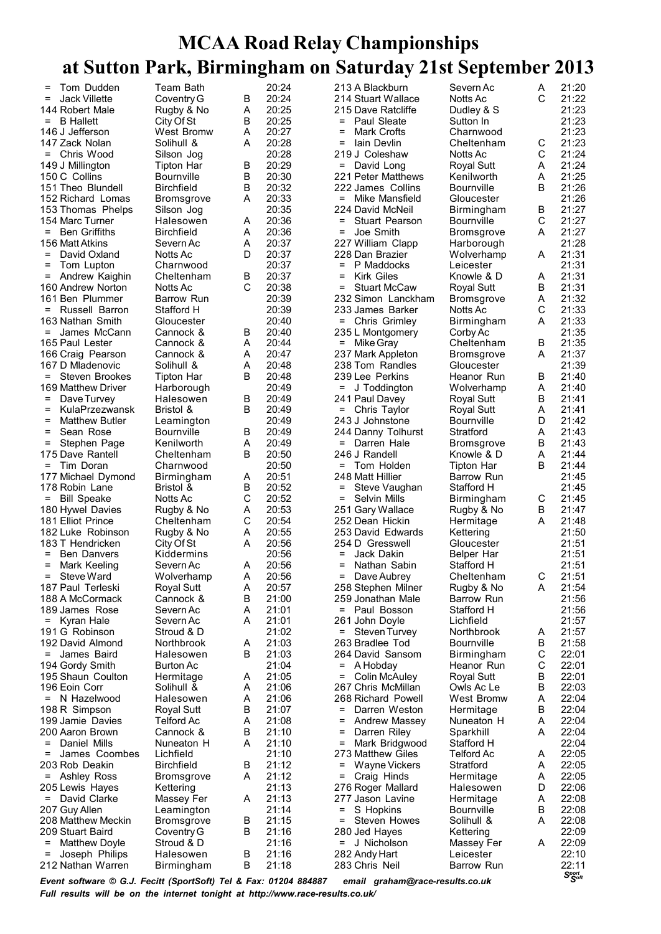| $=$      | Tom Dudden                                                       | Team Bath         |   | 20:24          |                    | 213 A Blackburn                 | Severn Ac         | Α      | 21:20                         |
|----------|------------------------------------------------------------------|-------------------|---|----------------|--------------------|---------------------------------|-------------------|--------|-------------------------------|
| $\equiv$ | <b>Jack Villette</b>                                             | Coventry G        | в | 20:24          |                    | 214 Stuart Wallace              | Notts Ac          | C      | 21:22                         |
|          | 144 Robert Male                                                  | Rugby & No        | Α | 20:25          |                    | 215 Dave Ratcliffe              | Dudley & S        |        | 21:23                         |
| $=$      | <b>B</b> Hallett                                                 | City Of St        | В | 20:25          | $=$                | Paul Sleate                     | Sutton In         |        | 21:23                         |
|          | 146 J Jefferson                                                  | West Bromw        | Α | 20:27          | $=$                | Mark Crofts                     | Charnwood         |        | 21:23                         |
|          | 147 Zack Nolan                                                   | Solihull &        | A | 20:28          | =                  | lain Devlin                     | Cheltenham        | С      | 21:23                         |
|          | = Chris Wood                                                     | Silson Jog        |   | 20:28          |                    | 219 J Coleshaw                  | Notts Ac          | C      | 21:24                         |
|          | 149 J Millington                                                 | <b>Tipton Har</b> | В | 20:29          |                    | = David Long                    | Royal Sutt        | Α      | 21:24                         |
|          | 150 C Collins                                                    | Bournville        | В | 20:30          |                    | 221 Peter Matthews              | Kenilworth        | Α      | 21:25                         |
|          | 151 Theo Blundell                                                | <b>Birchfield</b> | В | 20:32          |                    | 222 James Collins               | <b>Bournville</b> | B      | 21:26                         |
|          | 152 Richard Lomas                                                | Bromsgrove        | A | 20:33          | $=$ $\blacksquare$ | Mike Mansfield                  | Gloucester        |        | 21:26                         |
|          | 153 Thomas Phelps                                                | Silson Jog        |   | 20:35          |                    | 224 David McNeil                | Birmingham        | В      | 21:27                         |
|          | 154 Marc Turner                                                  | Halesowen         | Α | 20:36          | $=$                | <b>Stuart Pearson</b>           | <b>Bournville</b> | C      | 21:27                         |
| $=$      | <b>Ben Griffiths</b>                                             | <b>Birchfield</b> | A | 20:36          | $=$                | Joe Smith                       | Bromsgrove        | A      | 21:27                         |
|          | 156 Matt Atkins                                                  | Severn Ac         | Α | 20:37          |                    | 227 William Clapp               | Harborough        |        | 21:28                         |
| $=$      | David Oxland                                                     | Notts Ac          | D | 20:37          |                    | 228 Dan Brazier                 | Wolverhamp        | Α      | 21:31                         |
| =        | Tom Lupton                                                       | Charnwood         |   | 20:37          | $=$                | P Maddocks                      | Leicester         |        | 21:31                         |
| Ξ.       | Andrew Kaighin                                                   | Cheltenham        | В | 20:37          | =                  | <b>Kirk Giles</b>               | Knowle & D        | Α      | 21:31                         |
|          | 160 Andrew Norton                                                | Notts Ac          | C | 20:38          | $=$                | <b>Stuart McCaw</b>             | <b>Royal Sutt</b> | B      | 21:31                         |
|          | 161 Ben Plummer                                                  | <b>Barrow Run</b> |   | 20:39          |                    | 232 Simon Lanckham              | <b>Bromsgrove</b> | Α      | 21:32                         |
| $=$      | Russell Barron                                                   | Stafford H        |   | 20:39          |                    | 233 James Barker                | Notts Ac          | С      | 21:33                         |
|          | 163 Nathan Smith                                                 | Gloucester        |   | 20:40          | Ξ.                 | Chris Grimley                   | Birmingham        | Α      | 21:33                         |
| $=$      | James McCann                                                     | Cannock &         | В | 20:40          |                    | 235 L Montgomery                |                   |        | 21:35                         |
|          |                                                                  |                   |   |                |                    |                                 | Corby Ac          |        |                               |
|          | 165 Paul Lester                                                  | Cannock &         | Α | 20:44<br>20:47 | $=$                | Mike Gray                       | Cheltenham        | В      | 21:35                         |
|          | 166 Craig Pearson                                                | Cannock &         | Α |                |                    | 237 Mark Appleton               | Bromsgrove        | A      | 21:37                         |
|          | 167 D Mladenovic                                                 | Solihull &        | Α | 20:48          |                    | 238 Tom Randles                 | Gloucester        |        | 21:39                         |
| $=$      | Steven Brookes                                                   | Tipton Har        | B | 20:48          |                    | 239 Lee Perkins                 | Heanor Run        | В      | 21:40                         |
|          | 169 Matthew Driver                                               | Harborough        |   | 20:49          | $=$                | J Toddington                    | Wolverhamp        | Α      | 21:40                         |
| $=$      | Dave Turvey                                                      | Halesowen         | В | 20:49          |                    | 241 Paul Davey                  | Royal Sutt        | В      | 21:41                         |
| =        | KulaPrzezwansk                                                   | Bristol &         | B | 20:49          |                    | = Chris Taylor                  | Royal Sutt        | Α      | 21:41                         |
| $=$      | <b>Matthew Butler</b>                                            | Leamington        |   | 20:49          |                    | 243 J Johnstone                 | <b>Bournville</b> | D      | 21:42                         |
| $=$      | Sean Rose                                                        | <b>Bournville</b> | В | 20:49          |                    | 244 Danny Tolhurst              | Stratford         | Α      | 21:43                         |
| =        | Stephen Page                                                     | Kenilworth        | Α | 20:49          | $=$                | Darren Hale                     | Bromsgrove        | В      | 21:43                         |
|          | 175 Dave Rantell                                                 | Cheltenham        | В | 20:50          |                    | 246 J Randell                   | Knowle & D        | A      | 21:44                         |
|          | = Tim Doran                                                      | Charnwood         |   | 20:50          |                    | = Tom Holden                    | Tipton Har        | B      | 21:44                         |
|          | 177 Michael Dymond                                               | Birmingham        | Α | 20:51          |                    | 248 Matt Hillier                | Barrow Run        |        | 21:45                         |
|          | 178 Robin Lane                                                   | Bristol &         | В | 20:52          | $=$                | Steve Vaughan                   | Stafford H        |        | 21:45                         |
| Ξ.       | <b>Bill Speake</b>                                               | Notts Ac          | C | 20:52          | =                  | Selvin Mills                    | <b>Birmingham</b> | C      | 21:45                         |
|          | 180 Hywel Davies                                                 | Rugby & No        | Α | 20:53          |                    | 251 Gary Wallace                | Rugby & No        | В      | 21:47                         |
|          | 181 Elliot Prince                                                | Cheltenham        | С | 20:54          |                    | 252 Dean Hickin                 | Hermitage         | A      | 21:48                         |
|          | 182 Luke Robinson                                                | Rugby & No        | Α | 20:55          |                    | 253 David Edwards               | Kettering         |        | 21:50                         |
|          | 183 T Hendricken                                                 | City Of St        | A | 20:56          |                    | 254 D Gresswell                 | Gloucester        |        | 21:51                         |
| $=$      | <b>Ben Danvers</b>                                               | Kiddermins        |   | 20:56          | $=$                | Jack Dakin                      | Belper Har        |        | 21:51                         |
| =        | Mark Keeling                                                     | Severn Ac         | Α | 20:56          | $=$                | Nathan Sabin                    | Stafford H        |        | 21:51                         |
| $\equiv$ | Steve Ward                                                       | Wolverhamp        | A | 20:56          | $=$                | Dave Aubrey                     | Cheltenham        | C      | 21:51                         |
|          | 187 Paul Terleski                                                | Royal Sutt        | Α | 20:57          |                    | 258 Stephen Milner              | Rugby & No        | Α      | 21:54                         |
|          | 188 A McCormack                                                  | Cannock &         | В | 21:00          |                    | 259 Jonathan Male               | Barrow Run        |        | 21:56                         |
|          | 189 James Rose                                                   | Severn Ac         | Α | 21:01          |                    | = Paul Bosson                   | Stafford H        |        | 21:56                         |
| $=$      | Kyran Hale                                                       | Severn Ac         | Α | 21:01          |                    | 261 John Doyle                  | Lichfield         |        | 21:57                         |
|          | 191 G Robinson                                                   | Stroud & D        |   | 21:02          |                    | = Steven Turvey                 | Northbrook        | Α      | 21:57                         |
|          | 192 David Almond                                                 | Northbrook        | Α | 21:03          |                    | 263 Bradlee Tod                 | <b>Bournville</b> | В      | 21:58                         |
| $=$      | James Baird                                                      | Halesowen         | В | 21:03          |                    | 264 David Sansom                | Birmingham        | С      | 22:01                         |
|          | 194 Gordy Smith                                                  | <b>Burton Ac</b>  |   | 21:04          | =                  | A Hobday                        | Heanor Run        | C      | 22:01                         |
|          | 195 Shaun Coulton                                                | Hermitage         | Α | 21:05          | =                  | <b>Colin McAuley</b>            | Royal Sutt        | B      | 22:01                         |
|          | 196 Eoin Corr                                                    | Solihull &        | Α | 21:06          |                    | 267 Chris McMillan              | Owls Ac Le        | B      | 22:03                         |
|          | = N Hazelwood                                                    | Halesowen         | Α | 21:06          |                    | 268 Richard Powell              | West Bromw        | Α      | 22:04                         |
|          | 198 R Simpson                                                    | <b>Royal Sutt</b> | В | 21:07          | =                  | Darren Weston                   | Hermitage         | В      | 22:04                         |
|          | 199 Jamie Davies                                                 | Telford Ac        | Α | 21:08          | Ξ                  | <b>Andrew Massey</b>            | Nuneaton H        | Α      | 22:04                         |
|          | 200 Aaron Brown                                                  | Cannock &         | В | 21:10          | =                  | Darren Riley                    | Sparkhill         | A      | 22:04                         |
| $=$      | Daniel Mills                                                     | Nuneaton H        | Α | 21:10          | =                  | Mark Bridgwood                  | Stafford H        |        | 22:04                         |
| =        | James Coombes                                                    | Lichfield         |   | 21:10          |                    | 273 Matthew Giles               | <b>Telford Ac</b> | A      | 22:05                         |
|          |                                                                  |                   |   | 21:12          |                    |                                 |                   |        | 22:05                         |
|          | 203 Rob Deakin                                                   | <b>Birchfield</b> | В |                | =                  | Wayne Vickers                   | Stratford         | Α<br>Α |                               |
|          | = Ashley Ross                                                    | <b>Bromsgrove</b> | Α | 21:12          | =                  | Craig Hinds                     | Hermitage         |        | 22:05                         |
|          | 205 Lewis Hayes                                                  | Kettering         |   | 21:13          |                    | 276 Roger Mallard               | Halesowen         | D      | 22:06                         |
|          | = David Clarke                                                   | Massey Fer        | A | 21:13          |                    | 277 Jason Lavine                | Hermitage         | Α      | 22:08                         |
|          | 207 Guy Allen                                                    | Leamington        |   | 21:14          | =                  | S Hopkins                       | <b>Bournville</b> | B      | 22:08                         |
|          | 208 Matthew Meckin                                               | <b>Bromsgrove</b> | В | 21:15          | Ξ.                 | Steven Howes                    | Solihull &        | Α      | 22:08                         |
|          | 209 Stuart Baird                                                 | Coventry G        | В | 21:16          |                    | 280 Jed Hayes                   | Kettering         |        | 22:09                         |
| Ξ        | <b>Matthew Doyle</b>                                             | Stroud & D        |   | 21:16          | =                  | J Nicholson                     | Massey Fer        | A      | 22:09                         |
| =        | Joseph Philips                                                   | Halesowen         | В | 21:16          |                    | 282 Andy Hart                   | Leicester         |        | 22:10                         |
|          | 212 Nathan Warren                                                | Birmingham        | В | 21:18          |                    | 283 Chris Neil                  | Barrow Run        |        | 22:11                         |
|          | Event software © G.J. Fecitt (SportSoft) Tel & Fax: 01204 884887 |                   |   |                |                    | email araham@race-results.co.uk |                   |        | $S_{\mathcal{S}^{opt}}^{pot}$ |

*Event software © G.J. Fecitt (SportSoft) Tel & Fax: 01204 884887 email graham@race-results.co.uk Full results will be on the internet tonight at http://www.race-results.co.uk/*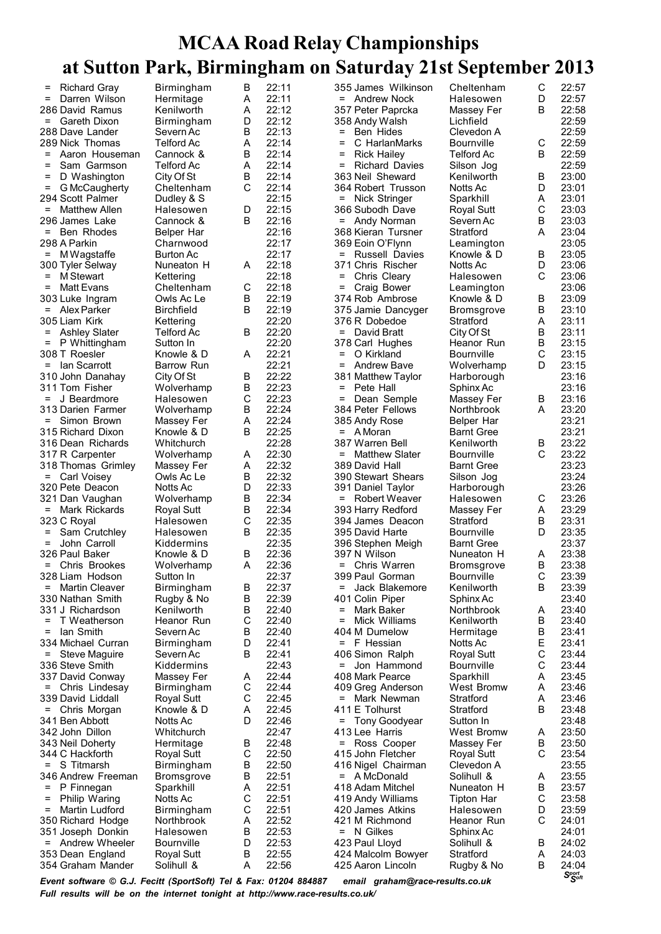| =        | <b>Richard Gray</b>                                              | Birmingham              | B      | 22:11 |                    | 355 James Wilkinson             | Cheltenham                      | C      | 22:57                       |
|----------|------------------------------------------------------------------|-------------------------|--------|-------|--------------------|---------------------------------|---------------------------------|--------|-----------------------------|
| $\equiv$ | Darren Wilson                                                    | Hermitage               | A      | 22:11 |                    | = Andrew Nock                   | Halesowen                       | D      | 22:57                       |
|          | 286 David Ramus                                                  | Kenilworth              | Α      | 22:12 |                    | 357 Peter Paprcka               | Massey Fer                      | B      | 22:58                       |
| $=$      | Gareth Dixon                                                     | Birmingham              | D      | 22:12 |                    | 358 Andy Walsh                  | Lichfield                       |        | 22:59                       |
|          | 288 Dave Lander                                                  | Severn Ac               | В      | 22:13 | $=$                | Ben Hides                       | Clevedon A                      |        | 22:59                       |
|          | 289 Nick Thomas                                                  | Telford Ac              | Α      | 22:14 | Ξ                  | C HarlanMarks                   | Bournville                      | C      | 22:59                       |
| $=$      | Aaron Houseman                                                   | Cannock &               | В      | 22:14 | $=$                | <b>Rick Hailey</b>              | <b>Telford Ac</b>               | B      | 22:59                       |
| $=$      | Sam Garmson                                                      | Telford Ac              | Α      | 22:14 | $=$                | <b>Richard Davies</b>           | Silson Jog                      |        | 22:59                       |
| $\equiv$ | D Washington                                                     | City Of St              | В      | 22:14 |                    | 363 Neil Sheward                | Kenilworth                      | B      | 23:00                       |
| $\equiv$ | G McCaugherty                                                    | Cheltenham              | C      | 22:14 |                    | 364 Robert Trusson              | Notts Ac                        | D      | 23:01                       |
|          | 294 Scott Palmer                                                 | Dudley & S              |        | 22:15 | $=$ $\blacksquare$ | Nick Stringer                   | Sparkhill                       | Α      | 23:01                       |
| $\equiv$ | Matthew Allen                                                    | Halesowen               | D      | 22:15 |                    | 366 Subodh Dave                 | Royal Sutt                      | C      | 23:03                       |
|          | 296 James Lake                                                   | Cannock &               | B      | 22:16 | =                  | Andy Norman                     | Severn Ac                       | B      | 23:03                       |
| $=$      | Ben Rhodes                                                       | Belper Har              |        | 22:16 |                    | 368 Kieran Tursner              | Stratford                       | А      | 23:04                       |
|          | 298 A Parkin                                                     | Charnwood               |        | 22:17 |                    | 369 Eoin O'Flynn                | Leamington                      |        | 23:05                       |
| $=$      | M Wagstaffe                                                      | Burton Ac               |        | 22:17 | $=$                | <b>Russell Davies</b>           | Knowle & D                      | B      | 23:05                       |
|          | 300 Tyler Selway                                                 | Nuneaton H              | Α      | 22:18 |                    | 371 Chris Rischer               | Notts Ac                        | D      | 23:06                       |
| $\equiv$ | M Stewart                                                        | Kettering               |        | 22:18 | =                  | Chris Cleary                    | Halesowen                       | C      | 23:06                       |
| $\equiv$ | Matt Evans                                                       | Cheltenham              | С      | 22:18 | $=$                | Craig Bower                     | Leamington                      |        | 23:06                       |
|          | 303 Luke Ingram                                                  | Owls Ac Le              | B      | 22:19 |                    | 374 Rob Ambrose                 | Knowle & D                      | B      | 23:09                       |
|          | = Alex Parker                                                    | Birchfield              | B      | 22:19 |                    | 375 Jamie Dancyger              | <b>Bromsgrove</b>               | B      | 23:10                       |
|          | 305 Liam Kirk                                                    | Kettering               |        | 22:20 |                    | 376 R Dobedoe                   | Stratford                       | Α      | 23:11                       |
|          | = Ashley Slater                                                  | <b>Telford Ac</b>       | В      | 22:20 |                    | = David Bratt                   | City Of St                      | B      | 23:11                       |
| $=$      |                                                                  |                         |        | 22:20 |                    |                                 |                                 | B      | 23:15                       |
|          | P Whittingham<br>308 T Roesler                                   | Sutton In<br>Knowle & D | Α      | 22:21 | $=$                | 378 Carl Hughes<br>O Kirkland   | Heanor Run<br><b>Bournville</b> | C      | 23:15                       |
|          |                                                                  |                         |        |       |                    |                                 |                                 |        |                             |
|          | = Ian Scarrott                                                   | <b>Barrow Run</b>       |        | 22:21 | $=$                | Andrew Bave                     | Wolverhamp                      | D      | 23:15                       |
|          | 310 John Danahay                                                 | City Of St              | В      | 22:22 |                    | 381 Matthew Taylor              | Harborough                      |        | 23:16                       |
|          | 311 Tom Fisher                                                   | Wolverhamp              | В      | 22:23 | $=$                | Pete Hall                       | Sphinx Ac                       |        | 23:16                       |
|          | $=$ J Beardmore                                                  | Halesowen               | С      | 22:23 | $=$                | Dean Semple                     | Massey Fer                      | B      | 23:16                       |
|          | 313 Darien Farmer                                                | Wolverhamp              | В      | 22:24 |                    | 384 Peter Fellows               | Northbrook                      | A      | 23:20                       |
| $=$      | Simon Brown                                                      | Massey Fer              | A      | 22:24 |                    | 385 Andy Rose                   | Belper Har                      |        | 23:21                       |
|          | 315 Richard Dixon                                                | Knowle & D              | B      | 22:25 |                    | $=$ A Moran                     | <b>Barnt Gree</b>               |        | 23:21                       |
|          | 316 Dean Richards                                                | Whitchurch              |        | 22:28 |                    | 387 Warren Bell                 | Kenilworth                      | B      | 23:22                       |
|          | 317 R Carpenter                                                  | Wolverhamp              | A      | 22:30 | =                  | <b>Matthew Slater</b>           | <b>Bournville</b>               | C      | 23:22                       |
|          | 318 Thomas Grimley                                               | Massey Fer              | Α      | 22:32 |                    | 389 David Hall                  | <b>Barnt Gree</b>               |        | 23:23                       |
|          | = Carl Voisey                                                    | Owls Ac Le              | В      | 22:32 |                    | 390 Stewart Shears              | Silson Jog                      |        | 23:24                       |
|          | 320 Pete Deacon                                                  | Notts Ac                | D      | 22:33 |                    | 391 Daniel Taylor               | Harborough                      |        | 23:26                       |
|          | 321 Dan Vaughan                                                  | Wolverhamp              | В      | 22:34 |                    | = Robert Weaver                 | Halesowen                       | C      | 23:26                       |
| $=$      | Mark Rickards                                                    | Royal Sutt              | В      | 22:34 |                    | 393 Harry Redford               | Massey Fer                      | Α      | 23:29                       |
|          | 323 C Royal                                                      | Halesowen               | C      | 22:35 |                    | 394 James Deacon                | Stratford                       | В      | 23:31                       |
| =        | Sam Crutchley                                                    | Halesowen               | В      | 22:35 |                    | 395 David Harte                 | Bournville                      | D      | 23:35                       |
| $\equiv$ | John Carroll                                                     | Kiddermins              |        | 22:35 |                    | 396 Stephen Meigh               | <b>Barnt Gree</b>               |        | 23:37                       |
|          | 326 Paul Baker                                                   | Knowle & D              | В      | 22:36 |                    | 397 N Wilson                    | Nuneaton H                      | Α      | 23:38                       |
|          | = Chris Brookes                                                  | Wolverhamp              | A      | 22:36 |                    | = Chris Warren                  | <b>Bromsgrove</b>               | В      | 23:38                       |
|          | 328 Liam Hodson                                                  | Sutton In               |        | 22:37 |                    | 399 Paul Gorman                 | <b>Bournville</b>               | C      | 23:39                       |
| =        | <b>Martin Cleaver</b>                                            | Birmingham              | В      | 22:37 | =                  | Jack Blakemore                  | Kenilworth                      | B      | 23:39                       |
|          | 330 Nathan Smith                                                 | Rugby & No              | В      | 22:39 |                    | 401 Colin Piper                 | Sphinx Ac                       |        | 23:40                       |
|          | 331 J Richardson                                                 | Kenilworth              | В      | 22:40 | =                  | Mark Baker                      | Northbrook                      | Α      | 23:40                       |
| $=$      | T Weatherson                                                     | Heanor Run              | C      | 22:40 | =                  | Mick Williams                   | Kenilworth                      | В      | 23:40                       |
| $=$      | lan Smith                                                        | Severn Ac               | В      | 22:40 |                    | 404 M Dumelow                   | Hermitage                       | В      | 23:41                       |
|          | 334 Michael Curran                                               | Birmingham              | D      | 22:41 |                    | $=$ F Hessian                   | Notts Ac                        | Е      | 23:41                       |
| $=$      | Steve Maguire                                                    | Severn Ac               | В      | 22:41 |                    | 406 Simon Ralph                 | <b>Royal Sutt</b>               | C      | 23:44                       |
|          | 336 Steve Smith                                                  | Kiddermins              |        | 22:43 | =                  | Jon Hammond                     | <b>Bournville</b>               | С      | 23:44                       |
|          | 337 David Conway                                                 | Massey Fer              | Α      | 22:44 |                    | 408 Mark Pearce                 | Sparkhill                       | Α      | 23:45                       |
|          | = Chris Lindesay                                                 | Birmingham              | С      | 22:44 |                    | 409 Greg Anderson               | West Bromw                      | A      | 23:46                       |
|          | 339 David Liddall                                                | Royal Sutt              | С      | 22:45 | Ξ.                 | Mark Newman                     | Stratford                       | Α      | 23:46                       |
| =        | Chris Morgan                                                     | Knowle & D              | Α      | 22:45 |                    | 411 E Tolhurst                  | Stratford                       | В      | 23:48                       |
|          | 341 Ben Abbott                                                   | Notts Ac                | D      | 22:46 |                    | = Tony Goodyear                 | Sutton In                       |        | 23:48                       |
|          | 342 John Dillon                                                  | Whitchurch              |        | 22:47 |                    | 413 Lee Harris                  | West Bromw                      | Α      | 23:50                       |
|          |                                                                  |                         |        | 22:48 |                    |                                 |                                 |        | 23:50                       |
|          | 343 Neil Doherty                                                 | Hermitage               | В<br>C |       | =                  | Ross Cooper                     | Massey Fer                      | В<br>C |                             |
|          | 344 C Hackforth                                                  | Royal Sutt              |        | 22:50 |                    | 415 John Fletcher               | Royal Sutt                      |        | 23:54                       |
|          | $=$ S Titmarsh                                                   | Birmingham              | В      | 22:50 |                    | 416 Nigel Chairman              | Clevedon A                      |        | 23:55                       |
|          | 346 Andrew Freeman                                               | <b>Bromsgrove</b>       | В      | 22:51 |                    | = A McDonald                    | Solihull &                      | Α      | 23:55                       |
| Ξ.       | P Finnegan                                                       | Sparkhill               | Α      | 22:51 |                    | 418 Adam Mitchel                | Nuneaton H                      | В      | 23:57                       |
| =        | <b>Philip Waring</b>                                             | Notts Ac                | С      | 22:51 |                    | 419 Andy Williams               | Tipton Har                      | C      | 23:58                       |
| $=$      | Martin Ludford                                                   | Birmingham              | С      | 22:51 |                    | 420 James Atkins                | Halesowen                       | D      | 23:59                       |
|          | 350 Richard Hodge                                                | Northbrook              | A      | 22:52 |                    | 421 M Richmond                  | Heanor Run                      | С      | 24:01                       |
|          | 351 Joseph Donkin                                                | Halesowen               | В      | 22:53 |                    | = N Gilkes                      | Sphinx Ac                       |        | 24:01                       |
|          | = Andrew Wheeler                                                 | Bournville              | D      | 22:53 |                    | 423 Paul Lloyd                  | Solihull &                      | B      | 24:02                       |
|          | 353 Dean England                                                 | <b>Royal Sutt</b>       | В      | 22:55 |                    | 424 Malcolm Bowyer              | Stratford                       | Α      | 24:03                       |
|          | 354 Graham Mander                                                | Solihull &              | A      | 22:56 |                    | 425 Aaron Lincoln               | Rugby & No                      | В      | 24:04                       |
|          | Event software © G.J. Fecitt (SportSoft) Tel & Fax: 01204 884887 |                         |        |       |                    | email graham@race-results.co.uk |                                 |        | $S_{\text{S}^{opt}}^{port}$ |

*Event software © G.J. Fecitt (SportSoft) Tel & Fax: 01204 884887 email graham@race-results.co.uk Full results will be on the internet tonight at http://www.race-results.co.uk/*